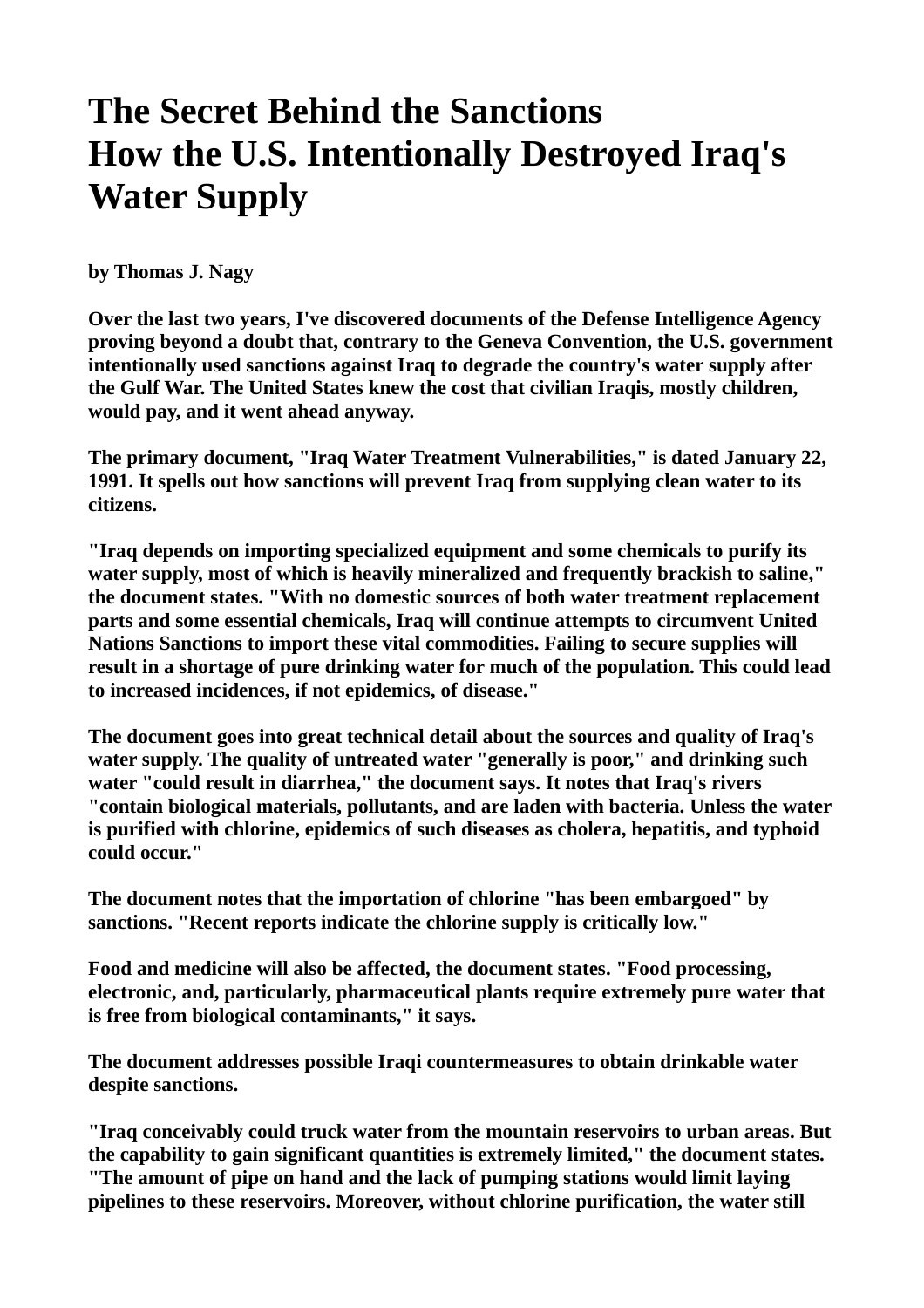# **The Secret Behind the Sanctions How the U.S. Intentionally Destroyed Iraq's Water Supply**

**by Thomas J. Nagy** 

**Over the last two years, I've discovered documents of the Defense Intelligence Agency proving beyond a doubt that, contrary to the Geneva Convention, the U.S. government intentionally used sanctions against Iraq to degrade the country's water supply after the Gulf War. The United States knew the cost that civilian Iraqis, mostly children, would pay, and it went ahead anyway.** 

**The primary document, "Iraq Water Treatment Vulnerabilities," is dated January 22, 1991. It spells out how sanctions will prevent Iraq from supplying clean water to its citizens.** 

**"Iraq depends on importing specialized equipment and some chemicals to purify its water supply, most of which is heavily mineralized and frequently brackish to saline," the document states. "With no domestic sources of both water treatment replacement parts and some essential chemicals, Iraq will continue attempts to circumvent United Nations Sanctions to import these vital commodities. Failing to secure supplies will result in a shortage of pure drinking water for much of the population. This could lead to increased incidences, if not epidemics, of disease."** 

**The document goes into great technical detail about the sources and quality of Iraq's water supply. The quality of untreated water "generally is poor," and drinking such water "could result in diarrhea," the document says. It notes that Iraq's rivers "contain biological materials, pollutants, and are laden with bacteria. Unless the water is purified with chlorine, epidemics of such diseases as cholera, hepatitis, and typhoid could occur."** 

**The document notes that the importation of chlorine "has been embargoed" by sanctions. "Recent reports indicate the chlorine supply is critically low."** 

**Food and medicine will also be affected, the document states. "Food processing, electronic, and, particularly, pharmaceutical plants require extremely pure water that is free from biological contaminants," it says.** 

**The document addresses possible Iraqi countermeasures to obtain drinkable water despite sanctions.** 

**"Iraq conceivably could truck water from the mountain reservoirs to urban areas. But the capability to gain significant quantities is extremely limited," the document states. "The amount of pipe on hand and the lack of pumping stations would limit laying pipelines to these reservoirs. Moreover, without chlorine purification, the water still**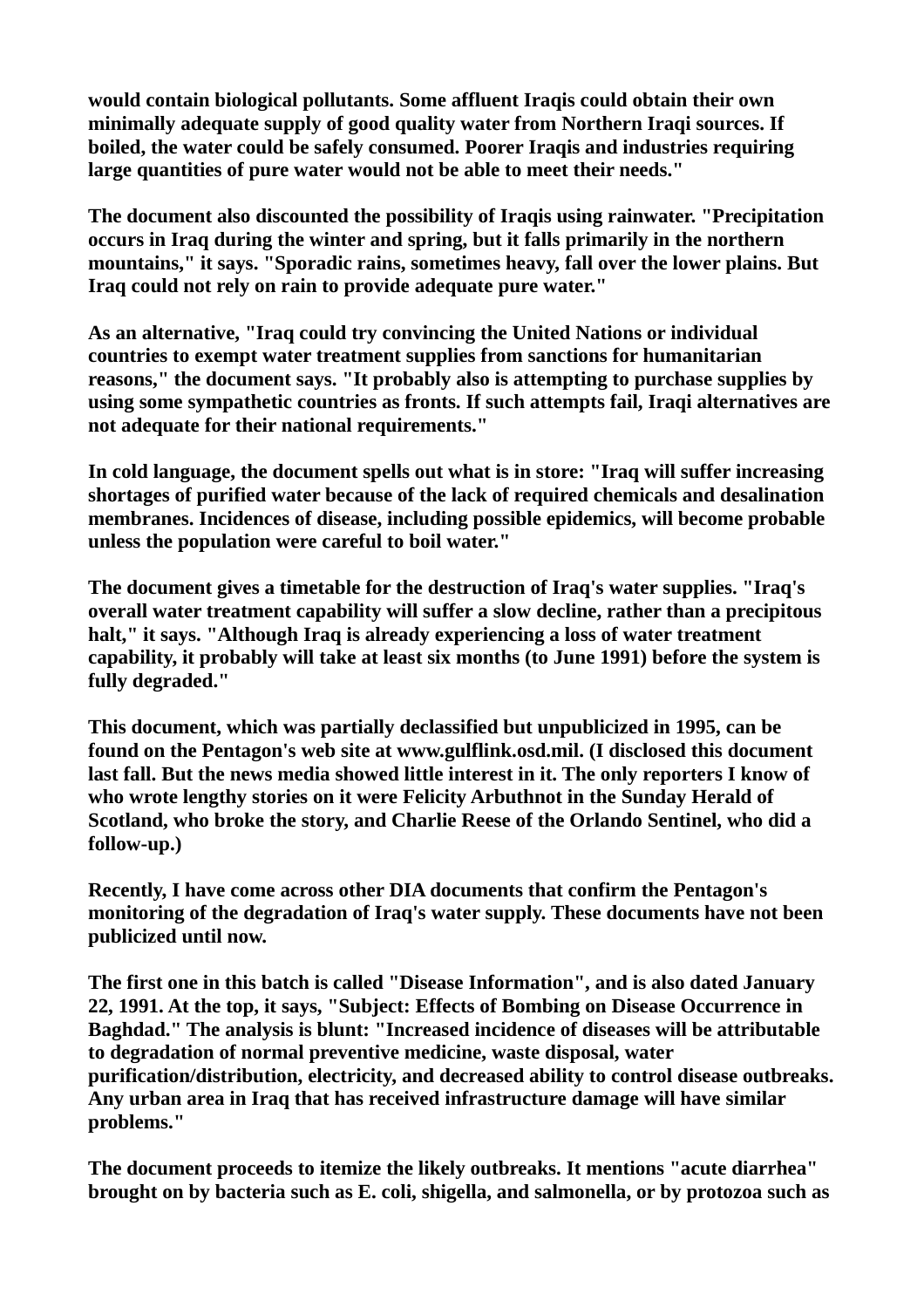**would contain biological pollutants. Some affluent Iraqis could obtain their own minimally adequate supply of good quality water from Northern Iraqi sources. If boiled, the water could be safely consumed. Poorer Iraqis and industries requiring large quantities of pure water would not be able to meet their needs."** 

**The document also discounted the possibility of Iraqis using rainwater. "Precipitation occurs in Iraq during the winter and spring, but it falls primarily in the northern mountains," it says. "Sporadic rains, sometimes heavy, fall over the lower plains. But Iraq could not rely on rain to provide adequate pure water."** 

**As an alternative, "Iraq could try convincing the United Nations or individual countries to exempt water treatment supplies from sanctions for humanitarian reasons," the document says. "It probably also is attempting to purchase supplies by using some sympathetic countries as fronts. If such attempts fail, Iraqi alternatives are not adequate for their national requirements."** 

**In cold language, the document spells out what is in store: "Iraq will suffer increasing shortages of purified water because of the lack of required chemicals and desalination membranes. Incidences of disease, including possible epidemics, will become probable unless the population were careful to boil water."** 

**The document gives a timetable for the destruction of Iraq's water supplies. "Iraq's overall water treatment capability will suffer a slow decline, rather than a precipitous halt," it says. "Although Iraq is already experiencing a loss of water treatment capability, it probably will take at least six months (to June 1991) before the system is fully degraded."** 

**This document, which was partially declassified but unpublicized in 1995, can be found on the Pentagon's web site at www.gulflink.osd.mil. (I disclosed this document last fall. But the news media showed little interest in it. The only reporters I know of who wrote lengthy stories on it were Felicity Arbuthnot in the Sunday Herald of Scotland, who broke the story, and Charlie Reese of the Orlando Sentinel, who did a follow-up.)** 

**Recently, I have come across other DIA documents that confirm the Pentagon's monitoring of the degradation of Iraq's water supply. These documents have not been publicized until now.** 

**The first one in this batch is called "Disease Information", and is also dated January 22, 1991. At the top, it says, "Subject: Effects of Bombing on Disease Occurrence in Baghdad." The analysis is blunt: "Increased incidence of diseases will be attributable to degradation of normal preventive medicine, waste disposal, water purification/distribution, electricity, and decreased ability to control disease outbreaks. Any urban area in Iraq that has received infrastructure damage will have similar problems."** 

**The document proceeds to itemize the likely outbreaks. It mentions "acute diarrhea" brought on by bacteria such as E. coli, shigella, and salmonella, or by protozoa such as**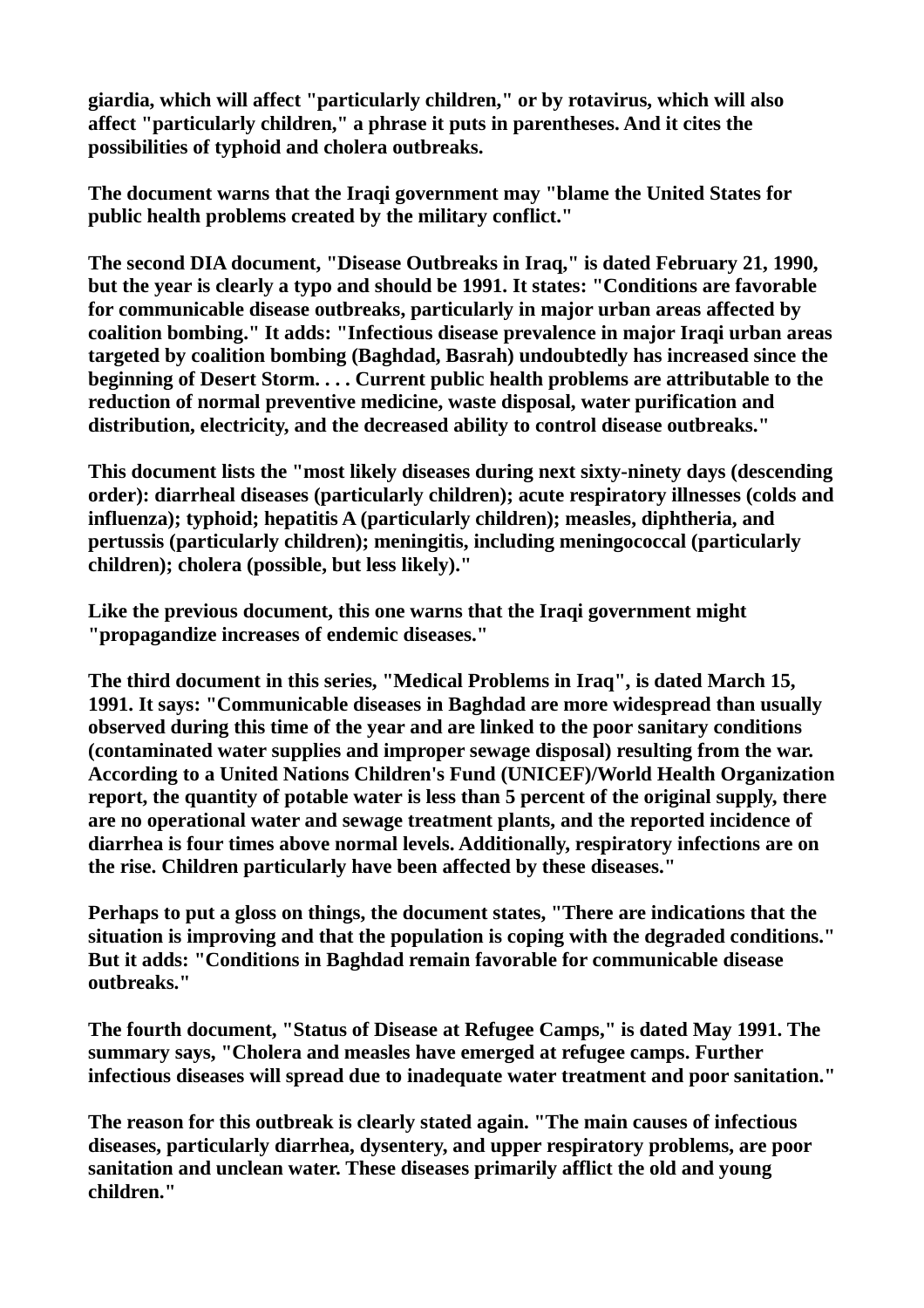**giardia, which will affect "particularly children," or by rotavirus, which will also affect "particularly children," a phrase it puts in parentheses. And it cites the possibilities of typhoid and cholera outbreaks.** 

**The document warns that the Iraqi government may "blame the United States for public health problems created by the military conflict."** 

**The second DIA document, "Disease Outbreaks in Iraq," is dated February 21, 1990, but the year is clearly a typo and should be 1991. It states: "Conditions are favorable for communicable disease outbreaks, particularly in major urban areas affected by coalition bombing." It adds: "Infectious disease prevalence in major Iraqi urban areas targeted by coalition bombing (Baghdad, Basrah) undoubtedly has increased since the beginning of Desert Storm. . . . Current public health problems are attributable to the reduction of normal preventive medicine, waste disposal, water purification and distribution, electricity, and the decreased ability to control disease outbreaks."** 

**This document lists the "most likely diseases during next sixty-ninety days (descending order): diarrheal diseases (particularly children); acute respiratory illnesses (colds and influenza); typhoid; hepatitis A (particularly children); measles, diphtheria, and pertussis (particularly children); meningitis, including meningococcal (particularly children); cholera (possible, but less likely)."** 

**Like the previous document, this one warns that the Iraqi government might "propagandize increases of endemic diseases."** 

**The third document in this series, "Medical Problems in Iraq", is dated March 15, 1991. It says: "Communicable diseases in Baghdad are more widespread than usually observed during this time of the year and are linked to the poor sanitary conditions (contaminated water supplies and improper sewage disposal) resulting from the war. According to a United Nations Children's Fund (UNICEF)/World Health Organization report, the quantity of potable water is less than 5 percent of the original supply, there are no operational water and sewage treatment plants, and the reported incidence of diarrhea is four times above normal levels. Additionally, respiratory infections are on the rise. Children particularly have been affected by these diseases."** 

**Perhaps to put a gloss on things, the document states, "There are indications that the situation is improving and that the population is coping with the degraded conditions." But it adds: "Conditions in Baghdad remain favorable for communicable disease outbreaks."** 

**The fourth document, "Status of Disease at Refugee Camps," is dated May 1991. The summary says, "Cholera and measles have emerged at refugee camps. Further infectious diseases will spread due to inadequate water treatment and poor sanitation."**

**The reason for this outbreak is clearly stated again. "The main causes of infectious diseases, particularly diarrhea, dysentery, and upper respiratory problems, are poor sanitation and unclean water. These diseases primarily afflict the old and young children."**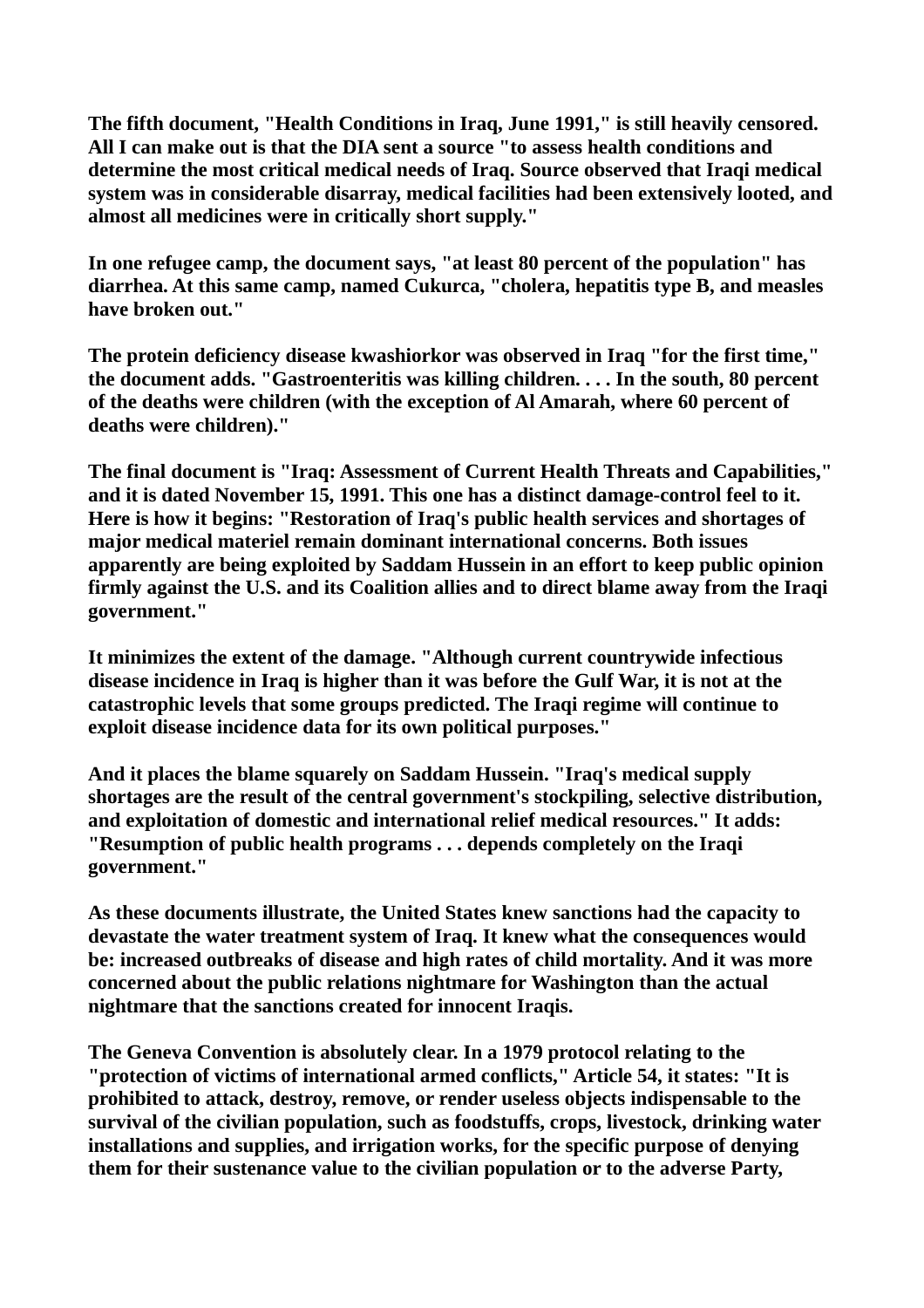**The fifth document, "Health Conditions in Iraq, June 1991," is still heavily censored. All I can make out is that the DIA sent a source "to assess health conditions and determine the most critical medical needs of Iraq. Source observed that Iraqi medical system was in considerable disarray, medical facilities had been extensively looted, and almost all medicines were in critically short supply."** 

**In one refugee camp, the document says, "at least 80 percent of the population" has diarrhea. At this same camp, named Cukurca, "cholera, hepatitis type B, and measles have broken out."** 

**The protein deficiency disease kwashiorkor was observed in Iraq "for the first time," the document adds. "Gastroenteritis was killing children. . . . In the south, 80 percent of the deaths were children (with the exception of Al Amarah, where 60 percent of deaths were children)."** 

**The final document is "Iraq: Assessment of Current Health Threats and Capabilities," and it is dated November 15, 1991. This one has a distinct damage-control feel to it. Here is how it begins: "Restoration of Iraq's public health services and shortages of major medical materiel remain dominant international concerns. Both issues apparently are being exploited by Saddam Hussein in an effort to keep public opinion firmly against the U.S. and its Coalition allies and to direct blame away from the Iraqi government."** 

**It minimizes the extent of the damage. "Although current countrywide infectious disease incidence in Iraq is higher than it was before the Gulf War, it is not at the catastrophic levels that some groups predicted. The Iraqi regime will continue to exploit disease incidence data for its own political purposes."** 

**And it places the blame squarely on Saddam Hussein. "Iraq's medical supply shortages are the result of the central government's stockpiling, selective distribution, and exploitation of domestic and international relief medical resources." It adds: "Resumption of public health programs . . . depends completely on the Iraqi government."** 

**As these documents illustrate, the United States knew sanctions had the capacity to devastate the water treatment system of Iraq. It knew what the consequences would be: increased outbreaks of disease and high rates of child mortality. And it was more concerned about the public relations nightmare for Washington than the actual nightmare that the sanctions created for innocent Iraqis.** 

**The Geneva Convention is absolutely clear. In a 1979 protocol relating to the "protection of victims of international armed conflicts," Article 54, it states: "It is prohibited to attack, destroy, remove, or render useless objects indispensable to the survival of the civilian population, such as foodstuffs, crops, livestock, drinking water installations and supplies, and irrigation works, for the specific purpose of denying them for their sustenance value to the civilian population or to the adverse Party,**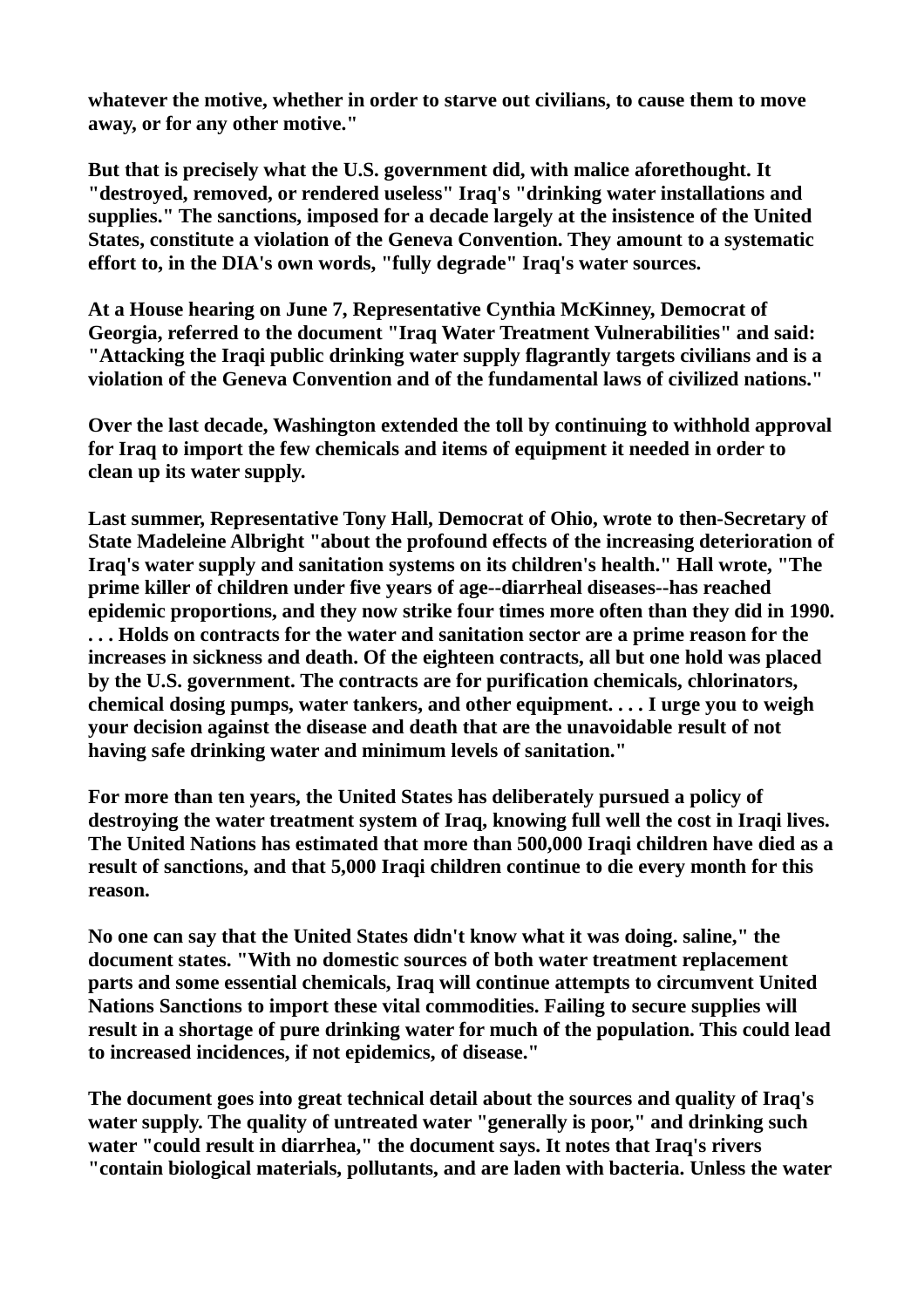**whatever the motive, whether in order to starve out civilians, to cause them to move away, or for any other motive."** 

**But that is precisely what the U.S. government did, with malice aforethought. It "destroyed, removed, or rendered useless" Iraq's "drinking water installations and supplies." The sanctions, imposed for a decade largely at the insistence of the United States, constitute a violation of the Geneva Convention. They amount to a systematic effort to, in the DIA's own words, "fully degrade" Iraq's water sources.** 

**At a House hearing on June 7, Representative Cynthia McKinney, Democrat of Georgia, referred to the document "Iraq Water Treatment Vulnerabilities" and said: "Attacking the Iraqi public drinking water supply flagrantly targets civilians and is a violation of the Geneva Convention and of the fundamental laws of civilized nations."** 

**Over the last decade, Washington extended the toll by continuing to withhold approval for Iraq to import the few chemicals and items of equipment it needed in order to clean up its water supply.** 

**Last summer, Representative Tony Hall, Democrat of Ohio, wrote to then-Secretary of State Madeleine Albright "about the profound effects of the increasing deterioration of Iraq's water supply and sanitation systems on its children's health." Hall wrote, "The prime killer of children under five years of age--diarrheal diseases--has reached epidemic proportions, and they now strike four times more often than they did in 1990. . . . Holds on contracts for the water and sanitation sector are a prime reason for the increases in sickness and death. Of the eighteen contracts, all but one hold was placed by the U.S. government. The contracts are for purification chemicals, chlorinators, chemical dosing pumps, water tankers, and other equipment. . . . I urge you to weigh your decision against the disease and death that are the unavoidable result of not having safe drinking water and minimum levels of sanitation."** 

**For more than ten years, the United States has deliberately pursued a policy of destroying the water treatment system of Iraq, knowing full well the cost in Iraqi lives. The United Nations has estimated that more than 500,000 Iraqi children have died as a result of sanctions, and that 5,000 Iraqi children continue to die every month for this reason.** 

**No one can say that the United States didn't know what it was doing. saline," the document states. "With no domestic sources of both water treatment replacement parts and some essential chemicals, Iraq will continue attempts to circumvent United Nations Sanctions to import these vital commodities. Failing to secure supplies will result in a shortage of pure drinking water for much of the population. This could lead to increased incidences, if not epidemics, of disease."** 

**The document goes into great technical detail about the sources and quality of Iraq's water supply. The quality of untreated water "generally is poor," and drinking such water "could result in diarrhea," the document says. It notes that Iraq's rivers "contain biological materials, pollutants, and are laden with bacteria. Unless the water**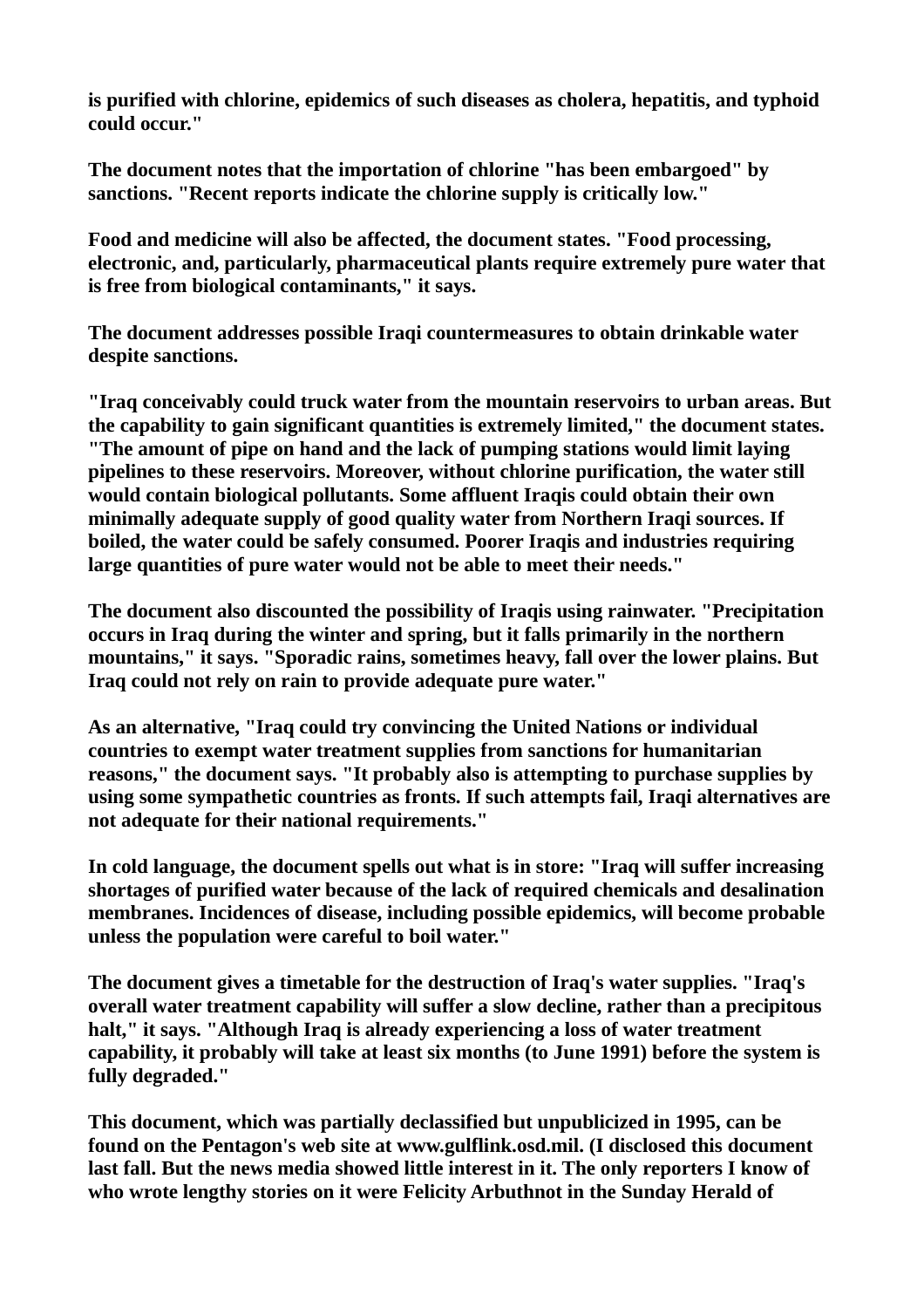**is purified with chlorine, epidemics of such diseases as cholera, hepatitis, and typhoid could occur."** 

**The document notes that the importation of chlorine "has been embargoed" by sanctions. "Recent reports indicate the chlorine supply is critically low."** 

**Food and medicine will also be affected, the document states. "Food processing, electronic, and, particularly, pharmaceutical plants require extremely pure water that is free from biological contaminants," it says.** 

**The document addresses possible Iraqi countermeasures to obtain drinkable water despite sanctions.** 

**"Iraq conceivably could truck water from the mountain reservoirs to urban areas. But the capability to gain significant quantities is extremely limited," the document states. "The amount of pipe on hand and the lack of pumping stations would limit laying pipelines to these reservoirs. Moreover, without chlorine purification, the water still would contain biological pollutants. Some affluent Iraqis could obtain their own minimally adequate supply of good quality water from Northern Iraqi sources. If boiled, the water could be safely consumed. Poorer Iraqis and industries requiring large quantities of pure water would not be able to meet their needs."** 

**The document also discounted the possibility of Iraqis using rainwater. "Precipitation occurs in Iraq during the winter and spring, but it falls primarily in the northern mountains," it says. "Sporadic rains, sometimes heavy, fall over the lower plains. But Iraq could not rely on rain to provide adequate pure water."** 

**As an alternative, "Iraq could try convincing the United Nations or individual countries to exempt water treatment supplies from sanctions for humanitarian reasons," the document says. "It probably also is attempting to purchase supplies by using some sympathetic countries as fronts. If such attempts fail, Iraqi alternatives are not adequate for their national requirements."** 

**In cold language, the document spells out what is in store: "Iraq will suffer increasing shortages of purified water because of the lack of required chemicals and desalination membranes. Incidences of disease, including possible epidemics, will become probable unless the population were careful to boil water."** 

**The document gives a timetable for the destruction of Iraq's water supplies. "Iraq's overall water treatment capability will suffer a slow decline, rather than a precipitous halt," it says. "Although Iraq is already experiencing a loss of water treatment capability, it probably will take at least six months (to June 1991) before the system is fully degraded."** 

**This document, which was partially declassified but unpublicized in 1995, can be found on the Pentagon's web site at www.gulflink.osd.mil. (I disclosed this document last fall. But the news media showed little interest in it. The only reporters I know of who wrote lengthy stories on it were Felicity Arbuthnot in the Sunday Herald of**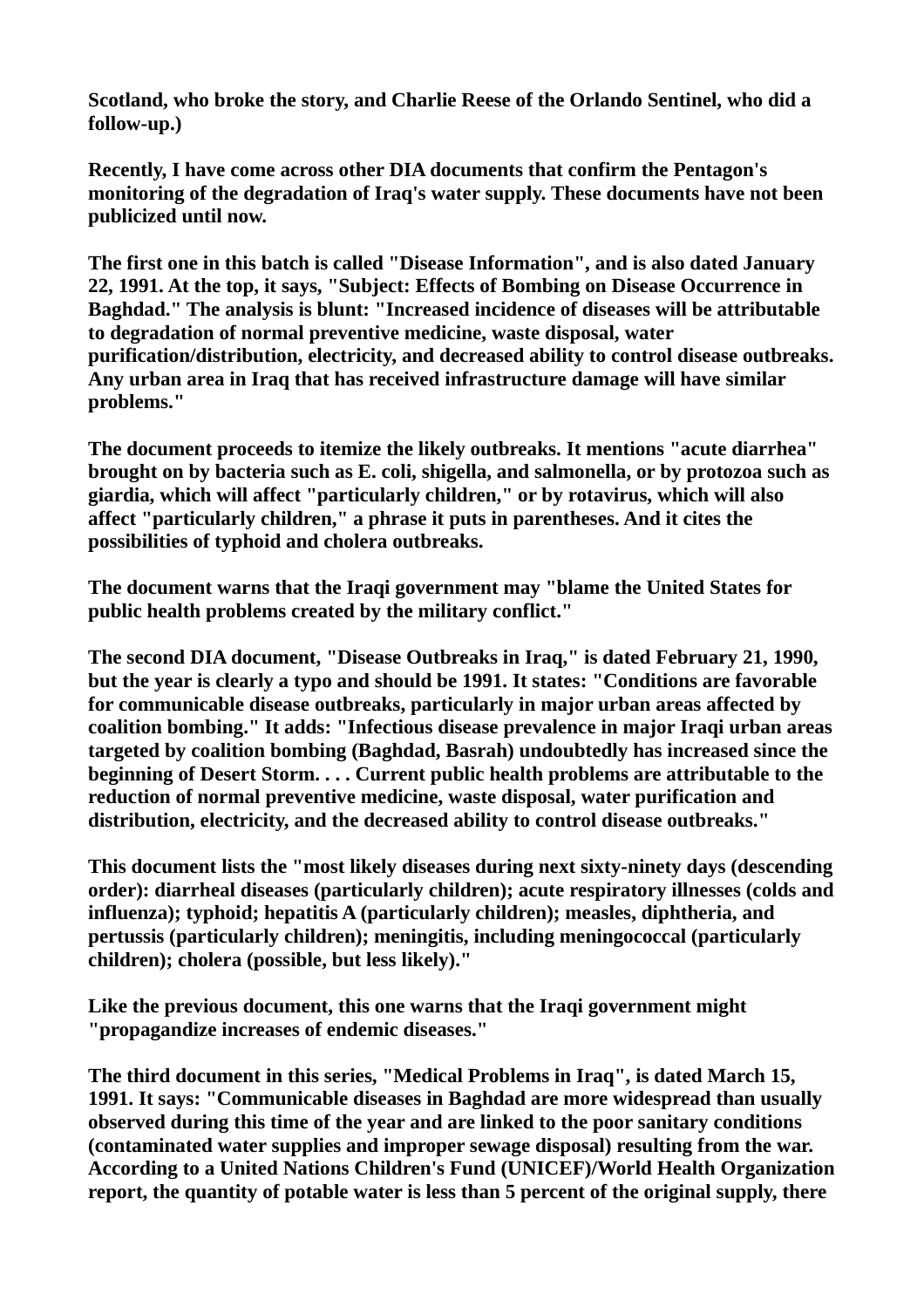**Scotland, who broke the story, and Charlie Reese of the Orlando Sentinel, who did a follow-up.)** 

**Recently, I have come across other DIA documents that confirm the Pentagon's monitoring of the degradation of Iraq's water supply. These documents have not been publicized until now.** 

**The first one in this batch is called "Disease Information", and is also dated January 22, 1991. At the top, it says, "Subject: Effects of Bombing on Disease Occurrence in Baghdad." The analysis is blunt: "Increased incidence of diseases will be attributable to degradation of normal preventive medicine, waste disposal, water purification/distribution, electricity, and decreased ability to control disease outbreaks. Any urban area in Iraq that has received infrastructure damage will have similar problems."** 

**The document proceeds to itemize the likely outbreaks. It mentions "acute diarrhea" brought on by bacteria such as E. coli, shigella, and salmonella, or by protozoa such as giardia, which will affect "particularly children," or by rotavirus, which will also affect "particularly children," a phrase it puts in parentheses. And it cites the possibilities of typhoid and cholera outbreaks.** 

**The document warns that the Iraqi government may "blame the United States for public health problems created by the military conflict."** 

**The second DIA document, "Disease Outbreaks in Iraq," is dated February 21, 1990, but the year is clearly a typo and should be 1991. It states: "Conditions are favorable for communicable disease outbreaks, particularly in major urban areas affected by coalition bombing." It adds: "Infectious disease prevalence in major Iraqi urban areas targeted by coalition bombing (Baghdad, Basrah) undoubtedly has increased since the beginning of Desert Storm. . . . Current public health problems are attributable to the reduction of normal preventive medicine, waste disposal, water purification and distribution, electricity, and the decreased ability to control disease outbreaks."** 

**This document lists the "most likely diseases during next sixty-ninety days (descending order): diarrheal diseases (particularly children); acute respiratory illnesses (colds and influenza); typhoid; hepatitis A (particularly children); measles, diphtheria, and pertussis (particularly children); meningitis, including meningococcal (particularly children); cholera (possible, but less likely)."** 

**Like the previous document, this one warns that the Iraqi government might "propagandize increases of endemic diseases."** 

**The third document in this series, "Medical Problems in Iraq", is dated March 15, 1991. It says: "Communicable diseases in Baghdad are more widespread than usually observed during this time of the year and are linked to the poor sanitary conditions (contaminated water supplies and improper sewage disposal) resulting from the war. According to a United Nations Children's Fund (UNICEF)/World Health Organization report, the quantity of potable water is less than 5 percent of the original supply, there**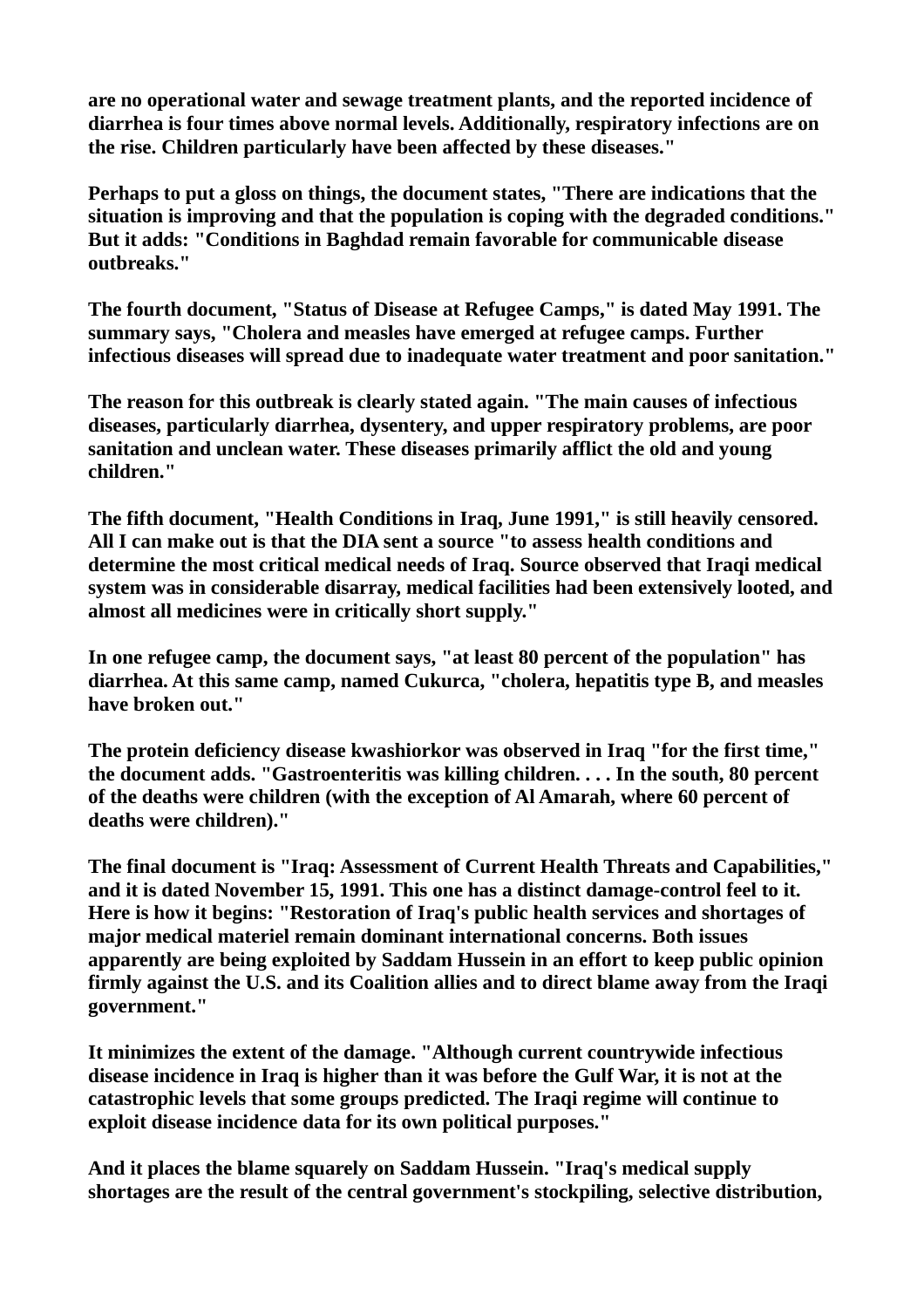**are no operational water and sewage treatment plants, and the reported incidence of diarrhea is four times above normal levels. Additionally, respiratory infections are on the rise. Children particularly have been affected by these diseases."** 

**Perhaps to put a gloss on things, the document states, "There are indications that the situation is improving and that the population is coping with the degraded conditions." But it adds: "Conditions in Baghdad remain favorable for communicable disease outbreaks."** 

**The fourth document, "Status of Disease at Refugee Camps," is dated May 1991. The summary says, "Cholera and measles have emerged at refugee camps. Further infectious diseases will spread due to inadequate water treatment and poor sanitation."**

**The reason for this outbreak is clearly stated again. "The main causes of infectious diseases, particularly diarrhea, dysentery, and upper respiratory problems, are poor sanitation and unclean water. These diseases primarily afflict the old and young children."** 

**The fifth document, "Health Conditions in Iraq, June 1991," is still heavily censored. All I can make out is that the DIA sent a source "to assess health conditions and determine the most critical medical needs of Iraq. Source observed that Iraqi medical system was in considerable disarray, medical facilities had been extensively looted, and almost all medicines were in critically short supply."** 

**In one refugee camp, the document says, "at least 80 percent of the population" has diarrhea. At this same camp, named Cukurca, "cholera, hepatitis type B, and measles have broken out."** 

**The protein deficiency disease kwashiorkor was observed in Iraq "for the first time," the document adds. "Gastroenteritis was killing children. . . . In the south, 80 percent of the deaths were children (with the exception of Al Amarah, where 60 percent of deaths were children)."** 

**The final document is "Iraq: Assessment of Current Health Threats and Capabilities," and it is dated November 15, 1991. This one has a distinct damage-control feel to it. Here is how it begins: "Restoration of Iraq's public health services and shortages of major medical materiel remain dominant international concerns. Both issues apparently are being exploited by Saddam Hussein in an effort to keep public opinion firmly against the U.S. and its Coalition allies and to direct blame away from the Iraqi government."** 

**It minimizes the extent of the damage. "Although current countrywide infectious disease incidence in Iraq is higher than it was before the Gulf War, it is not at the catastrophic levels that some groups predicted. The Iraqi regime will continue to exploit disease incidence data for its own political purposes."** 

**And it places the blame squarely on Saddam Hussein. "Iraq's medical supply shortages are the result of the central government's stockpiling, selective distribution,**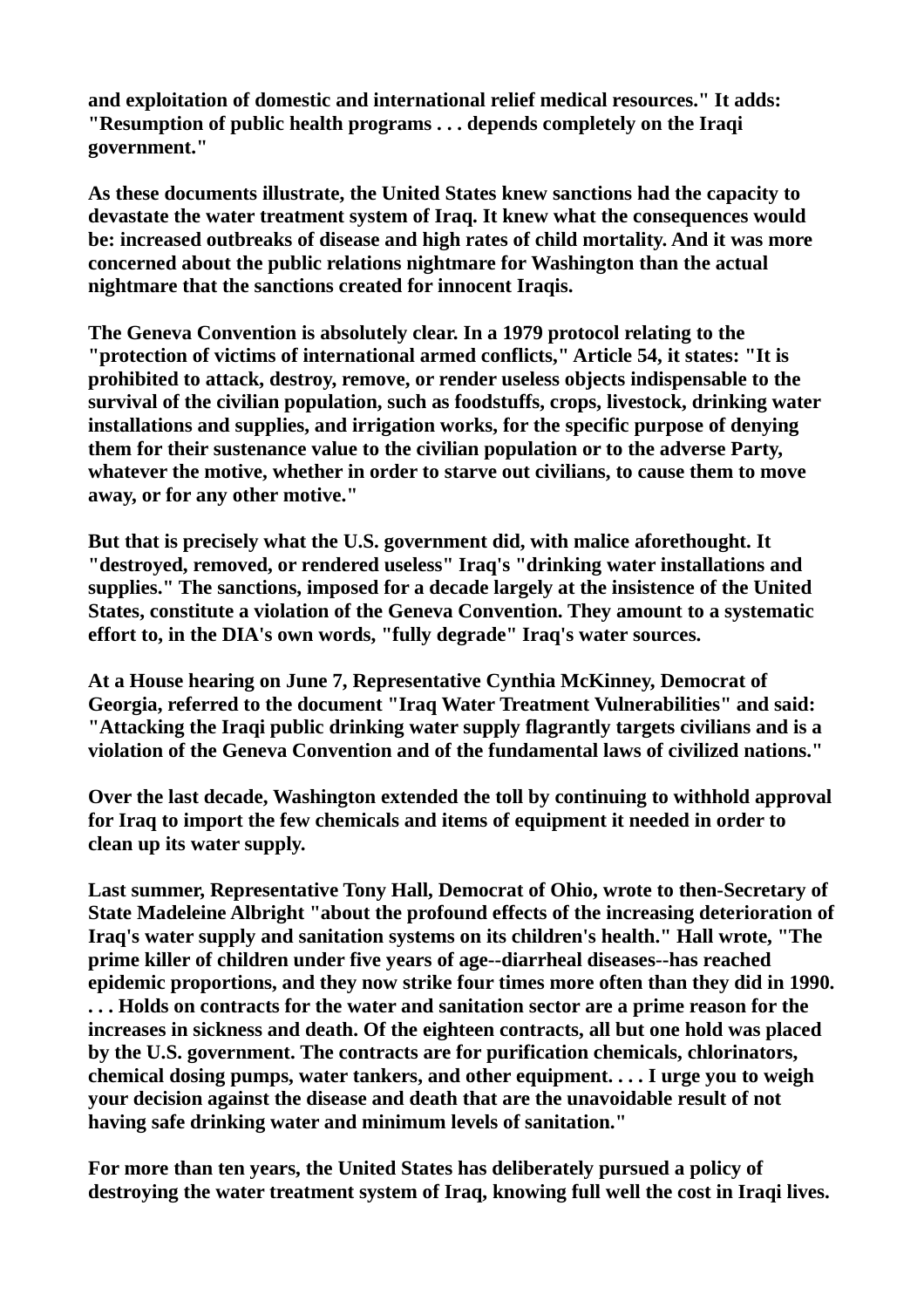**and exploitation of domestic and international relief medical resources." It adds: "Resumption of public health programs . . . depends completely on the Iraqi government."** 

**As these documents illustrate, the United States knew sanctions had the capacity to devastate the water treatment system of Iraq. It knew what the consequences would be: increased outbreaks of disease and high rates of child mortality. And it was more concerned about the public relations nightmare for Washington than the actual nightmare that the sanctions created for innocent Iraqis.** 

**The Geneva Convention is absolutely clear. In a 1979 protocol relating to the "protection of victims of international armed conflicts," Article 54, it states: "It is prohibited to attack, destroy, remove, or render useless objects indispensable to the survival of the civilian population, such as foodstuffs, crops, livestock, drinking water installations and supplies, and irrigation works, for the specific purpose of denying them for their sustenance value to the civilian population or to the adverse Party, whatever the motive, whether in order to starve out civilians, to cause them to move away, or for any other motive."** 

**But that is precisely what the U.S. government did, with malice aforethought. It "destroyed, removed, or rendered useless" Iraq's "drinking water installations and supplies." The sanctions, imposed for a decade largely at the insistence of the United States, constitute a violation of the Geneva Convention. They amount to a systematic effort to, in the DIA's own words, "fully degrade" Iraq's water sources.** 

**At a House hearing on June 7, Representative Cynthia McKinney, Democrat of Georgia, referred to the document "Iraq Water Treatment Vulnerabilities" and said: "Attacking the Iraqi public drinking water supply flagrantly targets civilians and is a violation of the Geneva Convention and of the fundamental laws of civilized nations."** 

**Over the last decade, Washington extended the toll by continuing to withhold approval for Iraq to import the few chemicals and items of equipment it needed in order to clean up its water supply.** 

**Last summer, Representative Tony Hall, Democrat of Ohio, wrote to then-Secretary of State Madeleine Albright "about the profound effects of the increasing deterioration of Iraq's water supply and sanitation systems on its children's health." Hall wrote, "The prime killer of children under five years of age--diarrheal diseases--has reached epidemic proportions, and they now strike four times more often than they did in 1990. . . . Holds on contracts for the water and sanitation sector are a prime reason for the increases in sickness and death. Of the eighteen contracts, all but one hold was placed by the U.S. government. The contracts are for purification chemicals, chlorinators, chemical dosing pumps, water tankers, and other equipment. . . . I urge you to weigh your decision against the disease and death that are the unavoidable result of not having safe drinking water and minimum levels of sanitation."** 

**For more than ten years, the United States has deliberately pursued a policy of destroying the water treatment system of Iraq, knowing full well the cost in Iraqi lives.**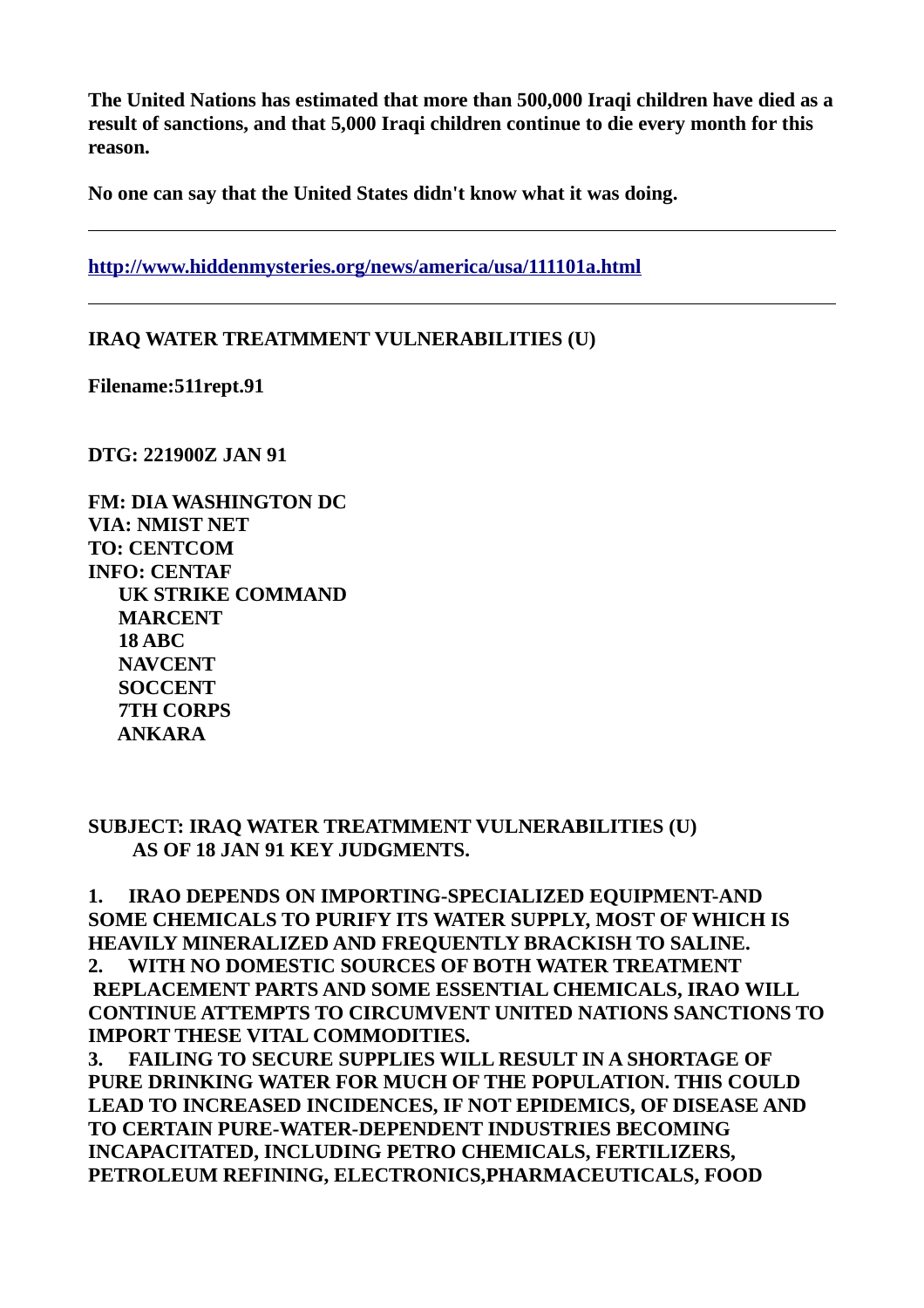**The United Nations has estimated that more than 500,000 Iraqi children have died as a result of sanctions, and that 5,000 Iraqi children continue to die every month for this reason.** 

**No one can say that the United States didn't know what it was doing.** 

**<http://www.hiddenmysteries.org/news/america/usa/111101a.html>**

# **IRAQ WATER TREATMMENT VULNERABILITIES (U)**

**Filename:511rept.91**

**DTG: 221900Z JAN 91**

**FM: DIA WASHINGTON DC VIA: NMIST NET TO: CENTCOM INFO: CENTAF UK STRIKE COMMAND MARCENT 18 ABC NAVCENT SOCCENT 7TH CORPS ANKARA**

## **SUBJECT: IRAQ WATER TREATMMENT VULNERABILITIES (U) AS OF 18 JAN 91 KEY JUDGMENTS.**

**1. IRAO DEPENDS ON IMPORTING-SPECIALIZED EQUIPMENT-AND SOME CHEMICALS TO PURIFY ITS WATER SUPPLY, MOST OF WHICH IS HEAVILY MINERALIZED AND FREQUENTLY BRACKISH TO SALINE. 2. WITH NO DOMESTIC SOURCES OF BOTH WATER TREATMENT REPLACEMENT PARTS AND SOME ESSENTIAL CHEMICALS, IRAO WILL CONTINUE ATTEMPTS TO CIRCUMVENT UNITED NATIONS SANCTIONS TO IMPORT THESE VITAL COMMODITIES.**

**3. FAILING TO SECURE SUPPLIES WILL RESULT IN A SHORTAGE OF PURE DRINKING WATER FOR MUCH OF THE POPULATION. THIS COULD LEAD TO INCREASED INCIDENCES, IF NOT EPIDEMICS, OF DISEASE AND TO CERTAIN PURE-WATER-DEPENDENT INDUSTRIES BECOMING INCAPACITATED, INCLUDING PETRO CHEMICALS, FERTILIZERS, PETROLEUM REFINING, ELECTRONICS,PHARMACEUTICALS, FOOD**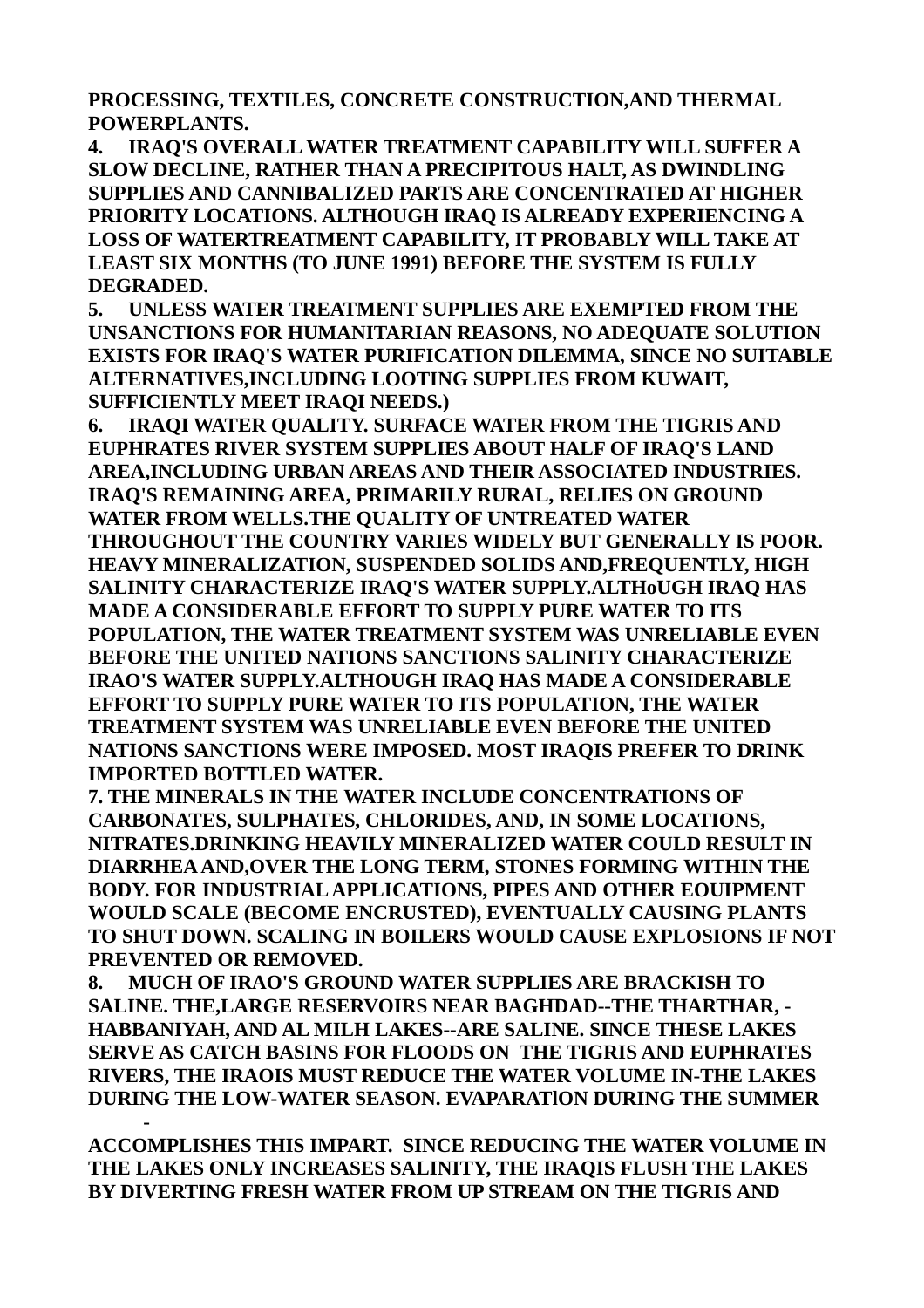**PROCESSING, TEXTILES, CONCRETE CONSTRUCTION,AND THERMAL POWERPLANTS.**

**4. IRAQ'S OVERALL WATER TREATMENT CAPABILITY WILL SUFFER A SLOW DECLINE, RATHER THAN A PRECIPITOUS HALT, AS DWINDLING SUPPLIES AND CANNIBALIZED PARTS ARE CONCENTRATED AT HIGHER PRIORITY LOCATIONS. ALTHOUGH IRAQ IS ALREADY EXPERIENCING A LOSS OF WATERTREATMENT CAPABILITY, IT PROBABLY WILL TAKE AT LEAST SIX MONTHS (TO JUNE 1991) BEFORE THE SYSTEM IS FULLY DEGRADED.**

**5. UNLESS WATER TREATMENT SUPPLIES ARE EXEMPTED FROM THE UNSANCTIONS FOR HUMANITARIAN REASONS, NO ADEQUATE SOLUTION EXISTS FOR IRAQ'S WATER PURIFICATION DILEMMA, SINCE NO SUITABLE ALTERNATIVES,INCLUDING LOOTING SUPPLIES FROM KUWAIT, SUFFICIENTLY MEET IRAQI NEEDS.)**

**6. IRAQI WATER QUALITY. SURFACE WATER FROM THE TIGRIS AND EUPHRATES RIVER SYSTEM SUPPLIES ABOUT HALF OF IRAQ'S LAND AREA,INCLUDING URBAN AREAS AND THEIR ASSOCIATED INDUSTRIES. IRAQ'S REMAINING AREA, PRIMARILY RURAL, RELIES ON GROUND WATER FROM WELLS.THE QUALITY OF UNTREATED WATER THROUGHOUT THE COUNTRY VARIES WIDELY BUT GENERALLY IS POOR. HEAVY MINERALIZATION, SUSPENDED SOLIDS AND,FREQUENTLY, HIGH SALINITY CHARACTERIZE IRAQ'S WATER SUPPLY.ALTHoUGH IRAQ HAS MADE A CONSIDERABLE EFFORT TO SUPPLY PURE WATER TO ITS POPULATION, THE WATER TREATMENT SYSTEM WAS UNRELIABLE EVEN BEFORE THE UNITED NATIONS SANCTIONS SALINITY CHARACTERIZE IRAO'S WATER SUPPLY.ALTHOUGH IRAQ HAS MADE A CONSIDERABLE EFFORT TO SUPPLY PURE WATER TO ITS POPULATION, THE WATER TREATMENT SYSTEM WAS UNRELIABLE EVEN BEFORE THE UNITED NATIONS SANCTIONS WERE IMPOSED. MOST IRAQIS PREFER TO DRINK IMPORTED BOTTLED WATER.**

**7. THE MINERALS IN THE WATER INCLUDE CONCENTRATIONS OF CARBONATES, SULPHATES, CHLORIDES, AND, IN SOME LOCATIONS, NITRATES.DRINKING HEAVILY MINERALIZED WATER COULD RESULT IN DIARRHEA AND,OVER THE LONG TERM, STONES FORMING WITHIN THE BODY. FOR INDUSTRIAL APPLICATIONS, PIPES AND OTHER EOUIPMENT WOULD SCALE (BECOME ENCRUSTED), EVENTUALLY CAUSING PLANTS TO SHUT DOWN. SCALING IN BOILERS WOULD CAUSE EXPLOSIONS IF NOT PREVENTED OR REMOVED.**

**8. MUCH OF IRAO'S GROUND WATER SUPPLIES ARE BRACKISH TO SALINE. THE,LARGE RESERVOIRS NEAR BAGHDAD--THE THARTHAR, - HABBANIYAH, AND AL MILH LAKES--ARE SALINE. SINCE THESE LAKES SERVE AS CATCH BASINS FOR FLOODS ON THE TIGRIS AND EUPHRATES RIVERS, THE IRAOIS MUST REDUCE THE WATER VOLUME IN-THE LAKES DURING THE LOW-WATER SEASON. EVAPARATlON DURING THE SUMMER**

**- ACCOMPLISHES THIS IMPART. SINCE REDUCING THE WATER VOLUME IN THE LAKES ONLY INCREASES SALINITY, THE IRAQIS FLUSH THE LAKES BY DIVERTING FRESH WATER FROM UP STREAM ON THE TIGRIS AND**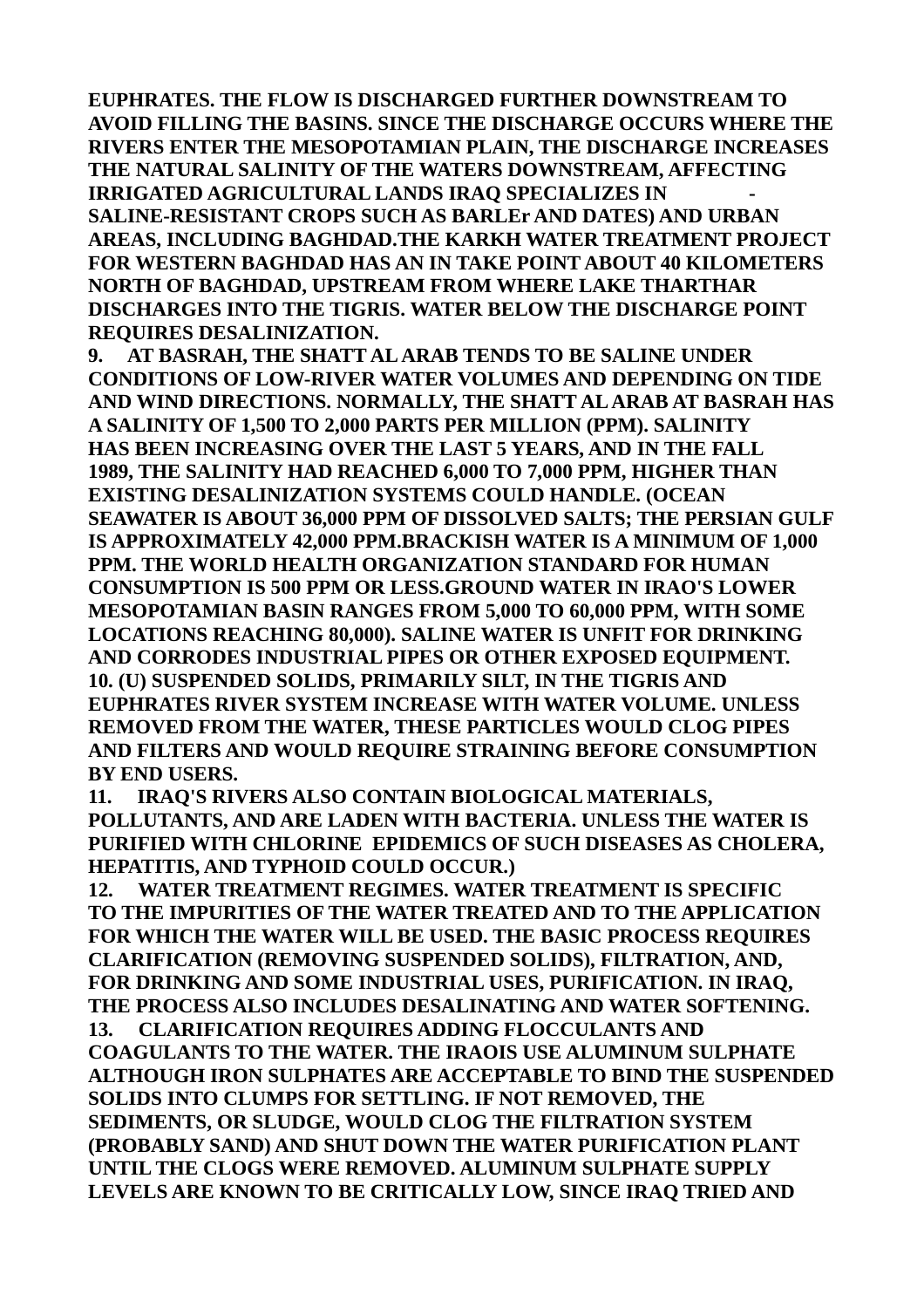**EUPHRATES. THE FLOW IS DISCHARGED FURTHER DOWNSTREAM TO AVOID FILLING THE BASINS. SINCE THE DISCHARGE OCCURS WHERE THE RIVERS ENTER THE MESOPOTAMIAN PLAIN, THE DISCHARGE INCREASES THE NATURAL SALINITY OF THE WATERS DOWNSTREAM, AFFECTING IRRIGATED AGRICULTURAL LANDS IRAQ SPECIALIZES IN - SALINE-RESISTANT CROPS SUCH AS BARLEr AND DATES) AND URBAN AREAS, INCLUDING BAGHDAD.THE KARKH WATER TREATMENT PROJECT FOR WESTERN BAGHDAD HAS AN IN TAKE POINT ABOUT 40 KILOMETERS NORTH OF BAGHDAD, UPSTREAM FROM WHERE LAKE THARTHAR DISCHARGES INTO THE TIGRIS. WATER BELOW THE DISCHARGE POINT REQUIRES DESALINIZATION.**

**9. AT BASRAH, THE SHATT AL ARAB TENDS TO BE SALINE UNDER CONDITIONS OF LOW-RIVER WATER VOLUMES AND DEPENDING ON TIDE AND WIND DIRECTIONS. NORMALLY, THE SHATT AL ARAB AT BASRAH HAS A SALINITY OF 1,500 TO 2,000 PARTS PER MILLION (PPM). SALINITY HAS BEEN INCREASING OVER THE LAST 5 YEARS, AND IN THE FALL 1989, THE SALINITY HAD REACHED 6,000 TO 7,000 PPM, HIGHER THAN EXISTING DESALINIZATION SYSTEMS COULD HANDLE. (OCEAN SEAWATER IS ABOUT 36,000 PPM OF DISSOLVED SALTS; THE PERSIAN GULF IS APPROXIMATELY 42,000 PPM.BRACKISH WATER IS A MINIMUM OF 1,000 PPM. THE WORLD HEALTH ORGANIZATION STANDARD FOR HUMAN CONSUMPTION IS 500 PPM OR LESS.GROUND WATER IN IRAO'S LOWER MESOPOTAMIAN BASIN RANGES FROM 5,000 TO 60,000 PPM, WITH SOME LOCATIONS REACHING 80,000). SALINE WATER IS UNFIT FOR DRINKING AND CORRODES INDUSTRIAL PIPES OR OTHER EXPOSED EQUIPMENT. 10. (U) SUSPENDED SOLIDS, PRIMARILY SILT, IN THE TIGRIS AND EUPHRATES RIVER SYSTEM INCREASE WITH WATER VOLUME. UNLESS REMOVED FROM THE WATER, THESE PARTICLES WOULD CLOG PIPES AND FILTERS AND WOULD REQUIRE STRAINING BEFORE CONSUMPTION BY END USERS.**

**11. IRAQ'S RIVERS ALSO CONTAIN BIOLOGICAL MATERIALS, POLLUTANTS, AND ARE LADEN WITH BACTERIA. UNLESS THE WATER IS PURIFIED WITH CHLORINE EPIDEMICS OF SUCH DISEASES AS CHOLERA, HEPATITIS, AND TYPHOID COULD OCCUR.)**

**12. WATER TREATMENT REGIMES. WATER TREATMENT IS SPECIFIC TO THE IMPURITIES OF THE WATER TREATED AND TO THE APPLICATION FOR WHICH THE WATER WILL BE USED. THE BASIC PROCESS REQUIRES CLARIFICATION (REMOVING SUSPENDED SOLIDS), FILTRATION, AND, FOR DRINKING AND SOME INDUSTRIAL USES, PURIFICATION. IN IRAQ, THE PROCESS ALSO INCLUDES DESALINATING AND WATER SOFTENING. 13. CLARIFICATION REQUIRES ADDING FLOCCULANTS AND COAGULANTS TO THE WATER. THE IRAOIS USE ALUMINUM SULPHATE ALTHOUGH IRON SULPHATES ARE ACCEPTABLE TO BIND THE SUSPENDED SOLIDS INTO CLUMPS FOR SETTLING. IF NOT REMOVED, THE SEDIMENTS, OR SLUDGE, WOULD CLOG THE FILTRATION SYSTEM (PROBABLY SAND) AND SHUT DOWN THE WATER PURIFICATION PLANT UNTIL THE CLOGS WERE REMOVED. ALUMINUM SULPHATE SUPPLY LEVELS ARE KNOWN TO BE CRITICALLY LOW, SINCE IRAQ TRIED AND**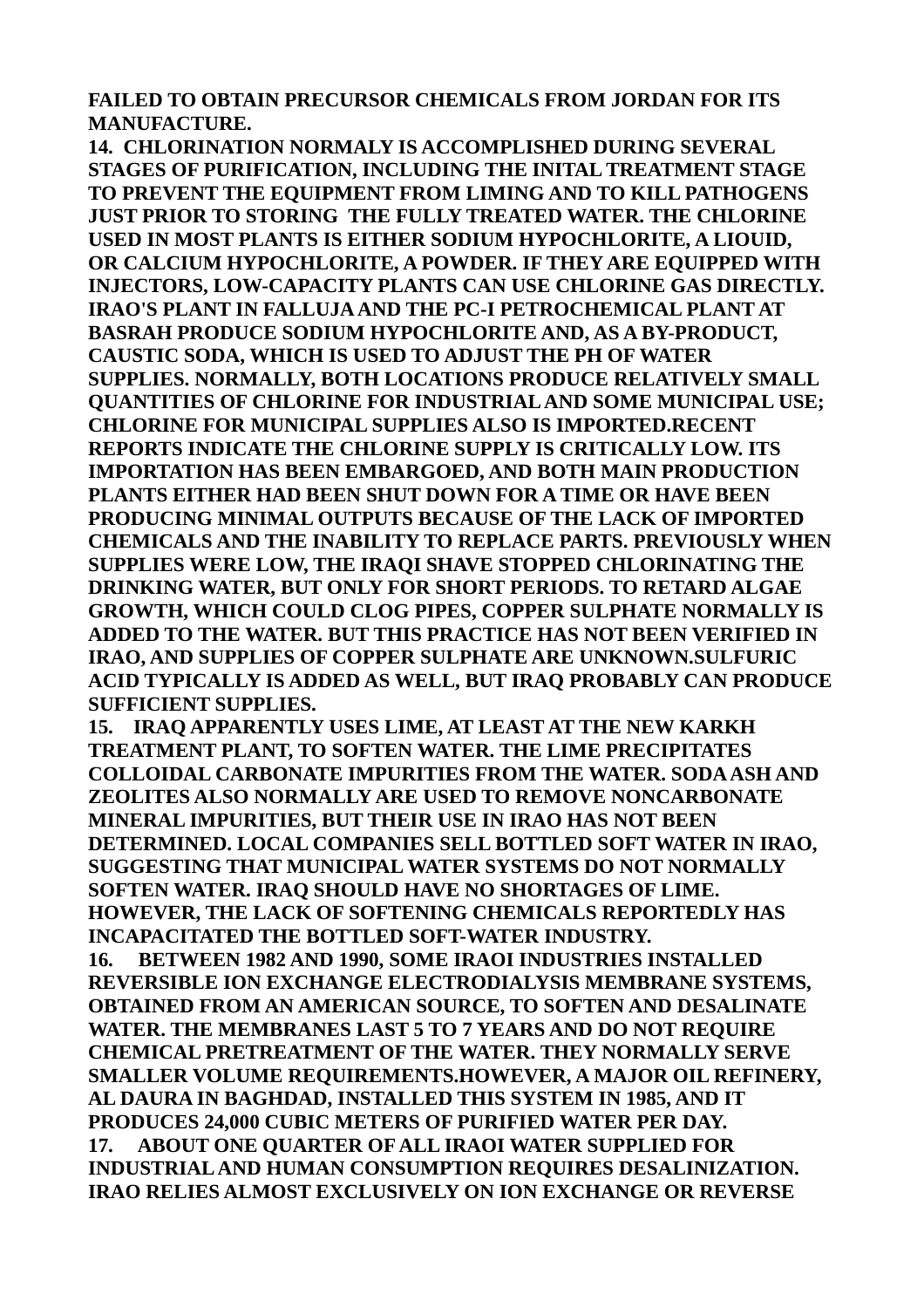**FAILED TO OBTAIN PRECURSOR CHEMICALS FROM JORDAN FOR ITS MANUFACTURE.**

**14. CHLORINATION NORMALY IS ACCOMPLISHED DURING SEVERAL STAGES OF PURIFICATION, INCLUDING THE INITAL TREATMENT STAGE TO PREVENT THE EQUIPMENT FROM LIMING AND TO KILL PATHOGENS JUST PRIOR TO STORING THE FULLY TREATED WATER. THE CHLORINE USED IN MOST PLANTS IS EITHER SODIUM HYPOCHLORITE, A LIOUID, OR CALCIUM HYPOCHLORITE, A POWDER. IF THEY ARE EQUIPPED WITH INJECTORS, LOW-CAPACITY PLANTS CAN USE CHLORINE GAS DIRECTLY. IRAO'S PLANT IN FALLUJA AND THE PC-I PETROCHEMICAL PLANT AT BASRAH PRODUCE SODIUM HYPOCHLORITE AND, AS A BY-PRODUCT, CAUSTIC SODA, WHICH IS USED TO ADJUST THE PH OF WATER SUPPLIES. NORMALLY, BOTH LOCATIONS PRODUCE RELATIVELY SMALL QUANTITIES OF CHLORINE FOR INDUSTRIAL AND SOME MUNICIPAL USE; CHLORINE FOR MUNICIPAL SUPPLIES ALSO IS IMPORTED.RECENT REPORTS INDICATE THE CHLORINE SUPPLY IS CRITICALLY LOW. ITS IMPORTATION HAS BEEN EMBARGOED, AND BOTH MAIN PRODUCTION PLANTS EITHER HAD BEEN SHUT DOWN FOR A TIME OR HAVE BEEN PRODUCING MINIMAL OUTPUTS BECAUSE OF THE LACK OF IMPORTED CHEMICALS AND THE INABILITY TO REPLACE PARTS. PREVIOUSLY WHEN SUPPLIES WERE LOW, THE IRAQI SHAVE STOPPED CHLORINATING THE DRINKING WATER, BUT ONLY FOR SHORT PERIODS. TO RETARD ALGAE GROWTH, WHICH COULD CLOG PIPES, COPPER SULPHATE NORMALLY IS ADDED TO THE WATER. BUT THIS PRACTICE HAS NOT BEEN VERIFIED IN IRAO, AND SUPPLIES OF COPPER SULPHATE ARE UNKNOWN.SULFURIC ACID TYPICALLY IS ADDED AS WELL, BUT IRAQ PROBABLY CAN PRODUCE SUFFICIENT SUPPLIES.**

**15. IRAQ APPARENTLY USES LIME, AT LEAST AT THE NEW KARKH TREATMENT PLANT, TO SOFTEN WATER. THE LIME PRECIPITATES COLLOIDAL CARBONATE IMPURITIES FROM THE WATER. SODA ASH AND ZEOLITES ALSO NORMALLY ARE USED TO REMOVE NONCARBONATE MINERAL IMPURITIES, BUT THEIR USE IN IRAO HAS NOT BEEN DETERMINED. LOCAL COMPANIES SELL BOTTLED SOFT WATER IN IRAO, SUGGESTING THAT MUNICIPAL WATER SYSTEMS DO NOT NORMALLY SOFTEN WATER. IRAQ SHOULD HAVE NO SHORTAGES OF LIME. HOWEVER, THE LACK OF SOFTENING CHEMICALS REPORTEDLY HAS INCAPACITATED THE BOTTLED SOFT-WATER INDUSTRY. 16. BETWEEN 1982 AND 1990, SOME IRAOI INDUSTRIES INSTALLED REVERSIBLE ION EXCHANGE ELECTRODIALYSIS MEMBRANE SYSTEMS, OBTAINED FROM AN AMERICAN SOURCE, TO SOFTEN AND DESALINATE WATER. THE MEMBRANES LAST 5 TO 7 YEARS AND DO NOT REQUIRE CHEMICAL PRETREATMENT OF THE WATER. THEY NORMALLY SERVE SMALLER VOLUME REQUIREMENTS.HOWEVER, A MAJOR OIL REFINERY, AL DAURA IN BAGHDAD, INSTALLED THIS SYSTEM IN 1985, AND IT PRODUCES 24,000 CUBIC METERS OF PURIFIED WATER PER DAY. 17. ABOUT ONE QUARTER OF ALL IRAOI WATER SUPPLIED FOR INDUSTRIAL AND HUMAN CONSUMPTION REQUIRES DESALINIZATION. IRAO RELIES ALMOST EXCLUSIVELY ON ION EXCHANGE OR REVERSE**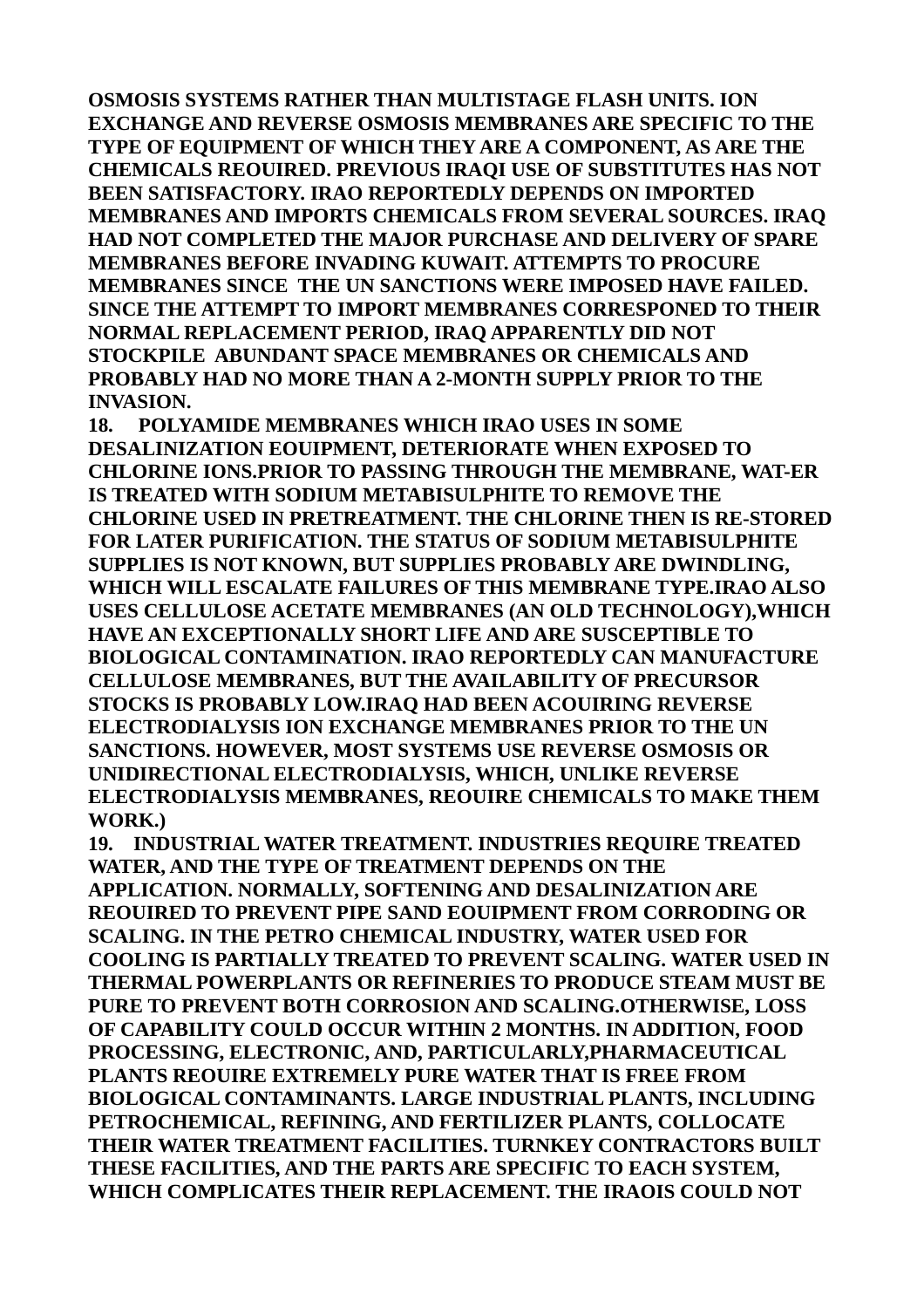**OSMOSIS SYSTEMS RATHER THAN MULTISTAGE FLASH UNITS. ION EXCHANGE AND REVERSE OSMOSIS MEMBRANES ARE SPECIFIC TO THE TYPE OF EQUIPMENT OF WHICH THEY ARE A COMPONENT, AS ARE THE CHEMICALS REOUIRED. PREVIOUS IRAQI USE OF SUBSTITUTES HAS NOT BEEN SATISFACTORY. IRAO REPORTEDLY DEPENDS ON IMPORTED MEMBRANES AND IMPORTS CHEMICALS FROM SEVERAL SOURCES. IRAQ HAD NOT COMPLETED THE MAJOR PURCHASE AND DELIVERY OF SPARE MEMBRANES BEFORE INVADING KUWAIT. ATTEMPTS TO PROCURE MEMBRANES SINCE THE UN SANCTIONS WERE IMPOSED HAVE FAILED. SINCE THE ATTEMPT TO IMPORT MEMBRANES CORRESPONED TO THEIR NORMAL REPLACEMENT PERIOD, IRAQ APPARENTLY DID NOT STOCKPILE ABUNDANT SPACE MEMBRANES OR CHEMICALS AND PROBABLY HAD NO MORE THAN A 2-MONTH SUPPLY PRIOR TO THE INVASION.** 

**18. POLYAMIDE MEMBRANES WHICH IRAO USES IN SOME DESALINIZATION EOUIPMENT, DETERIORATE WHEN EXPOSED TO CHLORINE IONS.PRIOR TO PASSING THROUGH THE MEMBRANE, WAT-ER IS TREATED WITH SODIUM METABISULPHITE TO REMOVE THE CHLORINE USED IN PRETREATMENT. THE CHLORINE THEN IS RE-STORED FOR LATER PURIFICATION. THE STATUS OF SODIUM METABISULPHITE SUPPLIES IS NOT KNOWN, BUT SUPPLIES PROBABLY ARE DWINDLING, WHICH WILL ESCALATE FAILURES OF THIS MEMBRANE TYPE.IRAO ALSO USES CELLULOSE ACETATE MEMBRANES (AN OLD TECHNOLOGY),WHICH HAVE AN EXCEPTIONALLY SHORT LIFE AND ARE SUSCEPTIBLE TO BIOLOGICAL CONTAMINATION. IRAO REPORTEDLY CAN MANUFACTURE CELLULOSE MEMBRANES, BUT THE AVAILABILITY OF PRECURSOR STOCKS IS PROBABLY LOW.IRAQ HAD BEEN ACOUIRING REVERSE ELECTRODIALYSIS ION EXCHANGE MEMBRANES PRIOR TO THE UN SANCTIONS. HOWEVER, MOST SYSTEMS USE REVERSE OSMOSIS OR UNIDIRECTIONAL ELECTRODIALYSIS, WHICH, UNLIKE REVERSE ELECTRODIALYSIS MEMBRANES, REOUIRE CHEMICALS TO MAKE THEM WORK.)**

**19. INDUSTRIAL WATER TREATMENT. INDUSTRIES REQUIRE TREATED WATER, AND THE TYPE OF TREATMENT DEPENDS ON THE APPLICATION. NORMALLY, SOFTENING AND DESALINIZATION ARE REOUIRED TO PREVENT PIPE SAND EOUIPMENT FROM CORRODING OR SCALING. IN THE PETRO CHEMICAL INDUSTRY, WATER USED FOR COOLING IS PARTIALLY TREATED TO PREVENT SCALING. WATER USED IN THERMAL POWERPLANTS OR REFINERIES TO PRODUCE STEAM MUST BE PURE TO PREVENT BOTH CORROSION AND SCALING.OTHERWISE, LOSS OF CAPABILITY COULD OCCUR WITHIN 2 MONTHS. IN ADDITION, FOOD PROCESSING, ELECTRONIC, AND, PARTICULARLY,PHARMACEUTICAL PLANTS REOUIRE EXTREMELY PURE WATER THAT IS FREE FROM BIOLOGICAL CONTAMINANTS. LARGE INDUSTRIAL PLANTS, INCLUDING PETROCHEMICAL, REFINING, AND FERTILIZER PLANTS, COLLOCATE THEIR WATER TREATMENT FACILITIES. TURNKEY CONTRACTORS BUILT THESE FACILITIES, AND THE PARTS ARE SPECIFIC TO EACH SYSTEM, WHICH COMPLICATES THEIR REPLACEMENT. THE IRAOIS COULD NOT**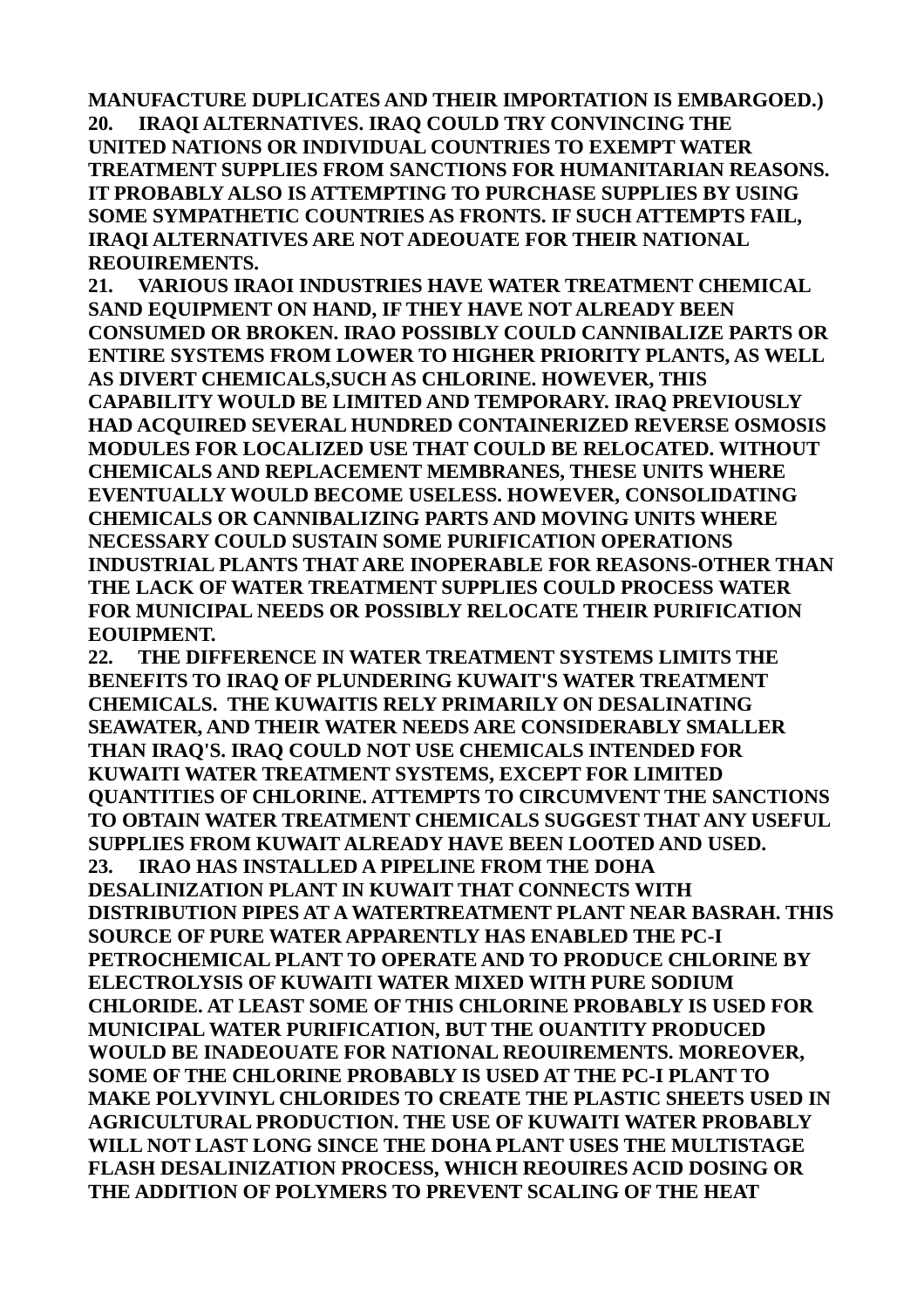**MANUFACTURE DUPLICATES AND THEIR IMPORTATION IS EMBARGOED.) 20. IRAQI ALTERNATIVES. IRAQ COULD TRY CONVINCING THE UNITED NATIONS OR INDIVIDUAL COUNTRIES TO EXEMPT WATER TREATMENT SUPPLIES FROM SANCTIONS FOR HUMANITARIAN REASONS. IT PROBABLY ALSO IS ATTEMPTING TO PURCHASE SUPPLIES BY USING SOME SYMPATHETIC COUNTRIES AS FRONTS. IF SUCH ATTEMPTS FAIL, IRAQI ALTERNATIVES ARE NOT ADEOUATE FOR THEIR NATIONAL REOUIREMENTS.**

**21. VARIOUS IRAOI INDUSTRIES HAVE WATER TREATMENT CHEMICAL SAND EQUIPMENT ON HAND, IF THEY HAVE NOT ALREADY BEEN CONSUMED OR BROKEN. IRAO POSSIBLY COULD CANNIBALIZE PARTS OR ENTIRE SYSTEMS FROM LOWER TO HIGHER PRIORITY PLANTS, AS WELL AS DIVERT CHEMICALS,SUCH AS CHLORINE. HOWEVER, THIS CAPABILITY WOULD BE LIMITED AND TEMPORARY. IRAQ PREVIOUSLY HAD ACQUIRED SEVERAL HUNDRED CONTAINERIZED REVERSE OSMOSIS MODULES FOR LOCALIZED USE THAT COULD BE RELOCATED. WITHOUT CHEMICALS AND REPLACEMENT MEMBRANES, THESE UNITS WHERE EVENTUALLY WOULD BECOME USELESS. HOWEVER, CONSOLIDATING CHEMICALS OR CANNIBALIZING PARTS AND MOVING UNITS WHERE NECESSARY COULD SUSTAIN SOME PURIFICATION OPERATIONS INDUSTRIAL PLANTS THAT ARE INOPERABLE FOR REASONS-OTHER THAN THE LACK OF WATER TREATMENT SUPPLIES COULD PROCESS WATER FOR MUNICIPAL NEEDS OR POSSIBLY RELOCATE THEIR PURIFICATION EOUIPMENT.**

**22. THE DIFFERENCE IN WATER TREATMENT SYSTEMS LIMITS THE BENEFITS TO IRAQ OF PLUNDERING KUWAIT'S WATER TREATMENT CHEMICALS. THE KUWAITIS RELY PRIMARILY ON DESALINATING SEAWATER, AND THEIR WATER NEEDS ARE CONSIDERABLY SMALLER THAN IRAQ'S. IRAQ COULD NOT USE CHEMICALS INTENDED FOR KUWAITI WATER TREATMENT SYSTEMS, EXCEPT FOR LIMITED QUANTITIES OF CHLORINE. ATTEMPTS TO CIRCUMVENT THE SANCTIONS TO OBTAIN WATER TREATMENT CHEMICALS SUGGEST THAT ANY USEFUL SUPPLIES FROM KUWAIT ALREADY HAVE BEEN LOOTED AND USED. 23. IRAO HAS INSTALLED A PIPELINE FROM THE DOHA DESALINIZATION PLANT IN KUWAIT THAT CONNECTS WITH DISTRIBUTION PIPES AT A WATERTREATMENT PLANT NEAR BASRAH. THIS SOURCE OF PURE WATER APPARENTLY HAS ENABLED THE PC-I PETROCHEMICAL PLANT TO OPERATE AND TO PRODUCE CHLORINE BY ELECTROLYSIS OF KUWAITI WATER MIXED WITH PURE SODIUM CHLORIDE. AT LEAST SOME OF THIS CHLORINE PROBABLY IS USED FOR MUNICIPAL WATER PURIFICATION, BUT THE OUANTITY PRODUCED WOULD BE INADEOUATE FOR NATIONAL REOUIREMENTS. MOREOVER, SOME OF THE CHLORINE PROBABLY IS USED AT THE PC-I PLANT TO MAKE POLYVINYL CHLORIDES TO CREATE THE PLASTIC SHEETS USED IN AGRICULTURAL PRODUCTION. THE USE OF KUWAITI WATER PROBABLY WILL NOT LAST LONG SINCE THE DOHA PLANT USES THE MULTISTAGE FLASH DESALINIZATION PROCESS, WHICH REOUIRES ACID DOSING OR THE ADDITION OF POLYMERS TO PREVENT SCALING OF THE HEAT**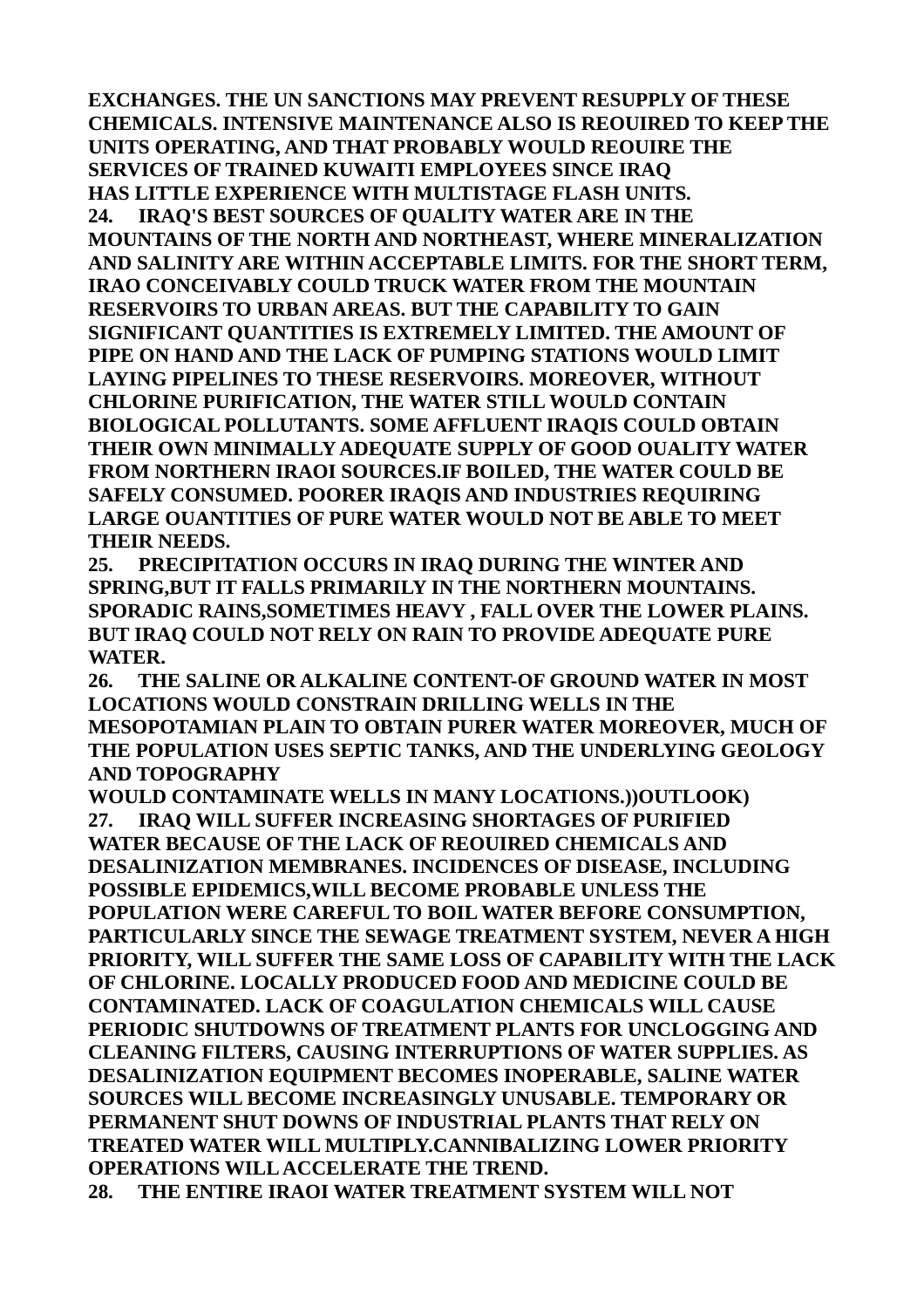**EXCHANGES. THE UN SANCTIONS MAY PREVENT RESUPPLY OF THESE CHEMICALS. INTENSIVE MAINTENANCE ALSO IS REOUIRED TO KEEP THE UNITS OPERATING, AND THAT PROBABLY WOULD REOUIRE THE SERVICES OF TRAINED KUWAITI EMPLOYEES SINCE IRAQ HAS LITTLE EXPERIENCE WITH MULTISTAGE FLASH UNITS. 24. IRAQ'S BEST SOURCES OF QUALITY WATER ARE IN THE**

**MOUNTAINS OF THE NORTH AND NORTHEAST, WHERE MINERALIZATION AND SALINITY ARE WITHIN ACCEPTABLE LIMITS. FOR THE SHORT TERM, IRAO CONCEIVABLY COULD TRUCK WATER FROM THE MOUNTAIN RESERVOIRS TO URBAN AREAS. BUT THE CAPABILITY TO GAIN SIGNIFICANT QUANTITIES IS EXTREMELY LIMITED. THE AMOUNT OF PIPE ON HAND AND THE LACK OF PUMPING STATIONS WOULD LIMIT LAYING PIPELINES TO THESE RESERVOIRS. MOREOVER, WITHOUT CHLORINE PURIFICATION, THE WATER STILL WOULD CONTAIN BIOLOGICAL POLLUTANTS. SOME AFFLUENT IRAQIS COULD OBTAIN THEIR OWN MINIMALLY ADEQUATE SUPPLY OF GOOD OUALITY WATER FROM NORTHERN IRAOI SOURCES.IF BOILED, THE WATER COULD BE SAFELY CONSUMED. POORER IRAQIS AND INDUSTRIES REQUIRING LARGE OUANTITIES OF PURE WATER WOULD NOT BE ABLE TO MEET THEIR NEEDS.**

**25. PRECIPITATION OCCURS IN IRAQ DURING THE WINTER AND SPRING,BUT IT FALLS PRIMARILY IN THE NORTHERN MOUNTAINS. SPORADIC RAINS,SOMETIMES HEAVY , FALL OVER THE LOWER PLAINS. BUT IRAQ COULD NOT RELY ON RAIN TO PROVIDE ADEQUATE PURE WATER.**

**26. THE SALINE OR ALKALINE CONTENT-OF GROUND WATER IN MOST LOCATIONS WOULD CONSTRAIN DRILLING WELLS IN THE MESOPOTAMIAN PLAIN TO OBTAIN PURER WATER MOREOVER, MUCH OF THE POPULATION USES SEPTIC TANKS, AND THE UNDERLYING GEOLOGY AND TOPOGRAPHY** 

**WOULD CONTAMINATE WELLS IN MANY LOCATIONS.))OUTLOOK) 27. IRAQ WILL SUFFER INCREASING SHORTAGES OF PURIFIED WATER BECAUSE OF THE LACK OF REOUIRED CHEMICALS AND DESALINIZATION MEMBRANES. INCIDENCES OF DISEASE, INCLUDING POSSIBLE EPIDEMICS,WILL BECOME PROBABLE UNLESS THE POPULATION WERE CAREFUL TO BOIL WATER BEFORE CONSUMPTION, PARTICULARLY SINCE THE SEWAGE TREATMENT SYSTEM, NEVER A HIGH PRIORITY, WILL SUFFER THE SAME LOSS OF CAPABILITY WITH THE LACK OF CHLORINE. LOCALLY PRODUCED FOOD AND MEDICINE COULD BE CONTAMINATED. LACK OF COAGULATION CHEMICALS WILL CAUSE PERIODIC SHUTDOWNS OF TREATMENT PLANTS FOR UNCLOGGING AND CLEANING FILTERS, CAUSING INTERRUPTIONS OF WATER SUPPLIES. AS DESALINIZATION EQUIPMENT BECOMES INOPERABLE, SALINE WATER SOURCES WILL BECOME INCREASINGLY UNUSABLE. TEMPORARY OR PERMANENT SHUT DOWNS OF INDUSTRIAL PLANTS THAT RELY ON TREATED WATER WILL MULTIPLY.CANNIBALIZING LOWER PRIORITY OPERATIONS WILL ACCELERATE THE TREND.**

**28. THE ENTIRE IRAOI WATER TREATMENT SYSTEM WILL NOT**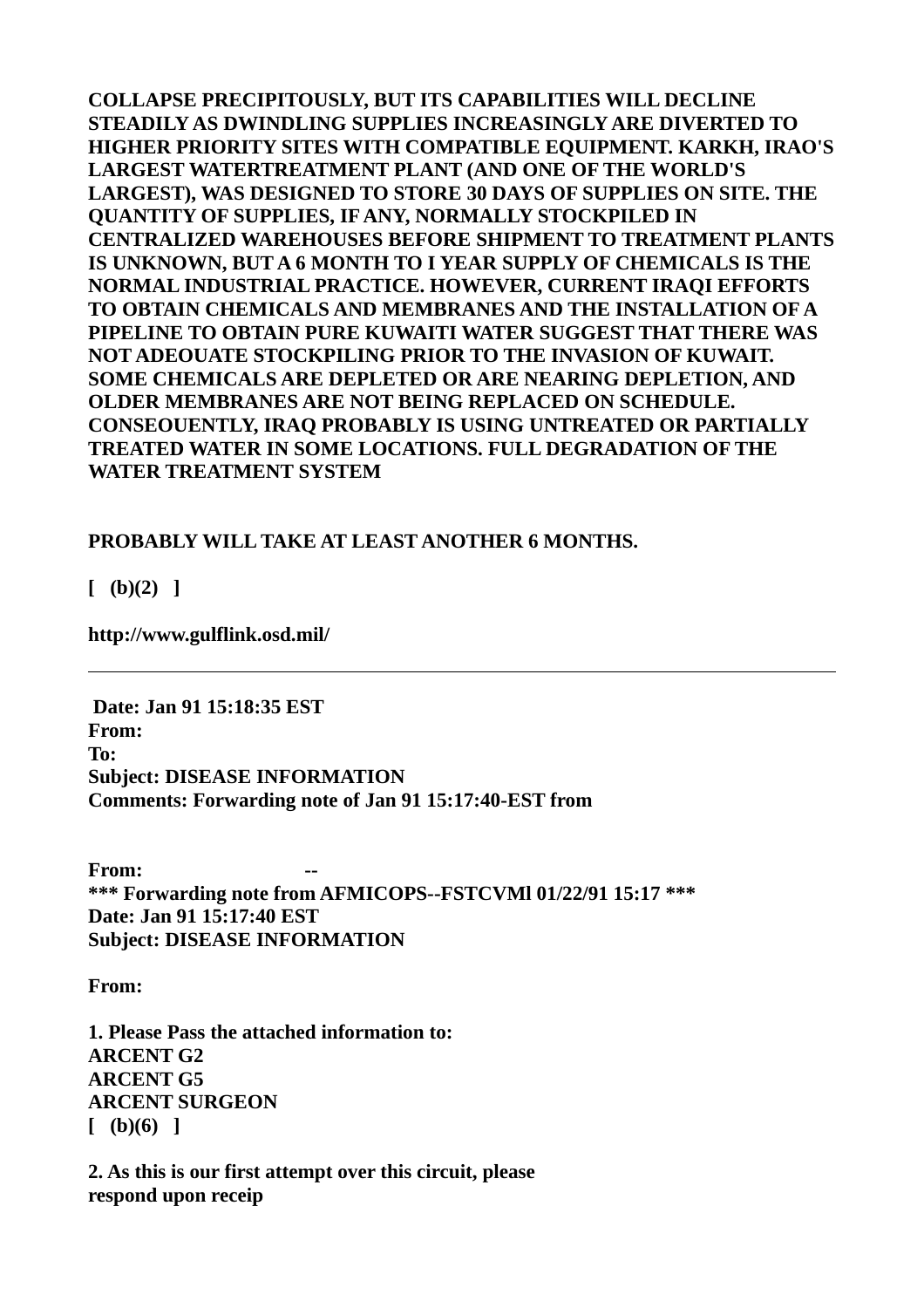**COLLAPSE PRECIPITOUSLY, BUT ITS CAPABILITIES WILL DECLINE STEADILY AS DWINDLING SUPPLIES INCREASINGLY ARE DIVERTED TO HIGHER PRIORITY SITES WITH COMPATIBLE EQUIPMENT. KARKH, IRAO'S LARGEST WATERTREATMENT PLANT (AND ONE OF THE WORLD'S LARGEST), WAS DESIGNED TO STORE 30 DAYS OF SUPPLIES ON SITE. THE QUANTITY OF SUPPLIES, IF ANY, NORMALLY STOCKPILED IN CENTRALIZED WAREHOUSES BEFORE SHIPMENT TO TREATMENT PLANTS IS UNKNOWN, BUT A 6 MONTH TO I YEAR SUPPLY OF CHEMICALS IS THE NORMAL INDUSTRIAL PRACTICE. HOWEVER, CURRENT IRAQI EFFORTS TO OBTAIN CHEMICALS AND MEMBRANES AND THE INSTALLATION OF A PIPELINE TO OBTAIN PURE KUWAITI WATER SUGGEST THAT THERE WAS NOT ADEOUATE STOCKPILING PRIOR TO THE INVASION OF KUWAIT. SOME CHEMICALS ARE DEPLETED OR ARE NEARING DEPLETION, AND OLDER MEMBRANES ARE NOT BEING REPLACED ON SCHEDULE. CONSEOUENTLY, IRAQ PROBABLY IS USING UNTREATED OR PARTIALLY TREATED WATER IN SOME LOCATIONS. FULL DEGRADATION OF THE WATER TREATMENT SYSTEM**

## **PROBABLY WILL TAKE AT LEAST ANOTHER 6 MONTHS.**

**[ (b)(2) ]**

**http://www.gulflink.osd.mil/**

 **Date: Jan 91 15:18:35 EST From: To: Subject: DISEASE INFORMATION Comments: Forwarding note of Jan 91 15:17:40-EST from** 

**From: \*\*\* Forwarding note from AFMICOPS--FSTCVMl 01/22/91 15:17 \*\*\* Date: Jan 91 15:17:40 EST Subject: DISEASE INFORMATION**

**From:**

**1. Please Pass the attached information to: ARCENT G2 ARCENT G5 ARCENT SURGEON [ (b)(6) ]**

**2. As this is our first attempt over this circuit, please respond upon receip**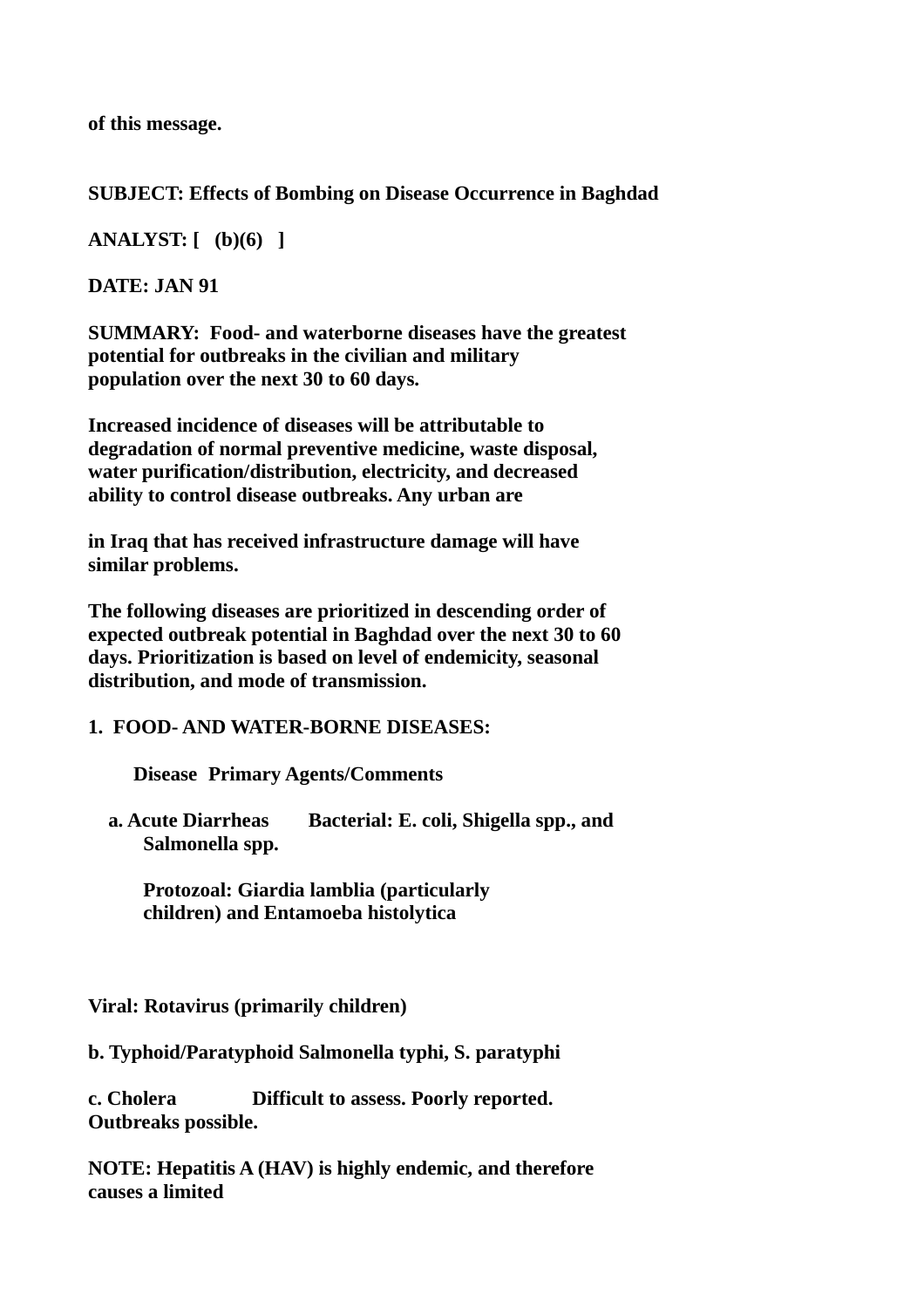**of this message.**

**SUBJECT: Effects of Bombing on Disease Occurrence in Baghdad** 

**ANALYST: [ (b)(6) ]**

**DATE: JAN 91**

**SUMMARY: Food- and waterborne diseases have the greatest potential for outbreaks in the civilian and military population over the next 30 to 60 days.**

**Increased incidence of diseases will be attributable to degradation of normal preventive medicine, waste disposal, water purification/distribution, electricity, and decreased ability to control disease outbreaks. Any urban are**

**in Iraq that has received infrastructure damage will have similar problems.** 

**The following diseases are prioritized in descending order of expected outbreak potential in Baghdad over the next 30 to 60 days. Prioritization is based on level of endemicity, seasonal distribution, and mode of transmission.**

**1. FOOD- AND WATER-BORNE DISEASES:**

 **Disease Primary Agents/Comments**

 **a. Acute Diarrheas Bacterial: E. coli, Shigella spp., and Salmonella spp.**

**Protozoal: Giardia lamblia (particularly children) and Entamoeba histolytica**

**Viral: Rotavirus (primarily children)**

**b. Typhoid/Paratyphoid Salmonella typhi, S. paratyphi**

**c. Cholera Difficult to assess. Poorly reported. Outbreaks possible.**

**NOTE: Hepatitis A (HAV) is highly endemic, and therefore causes a limited**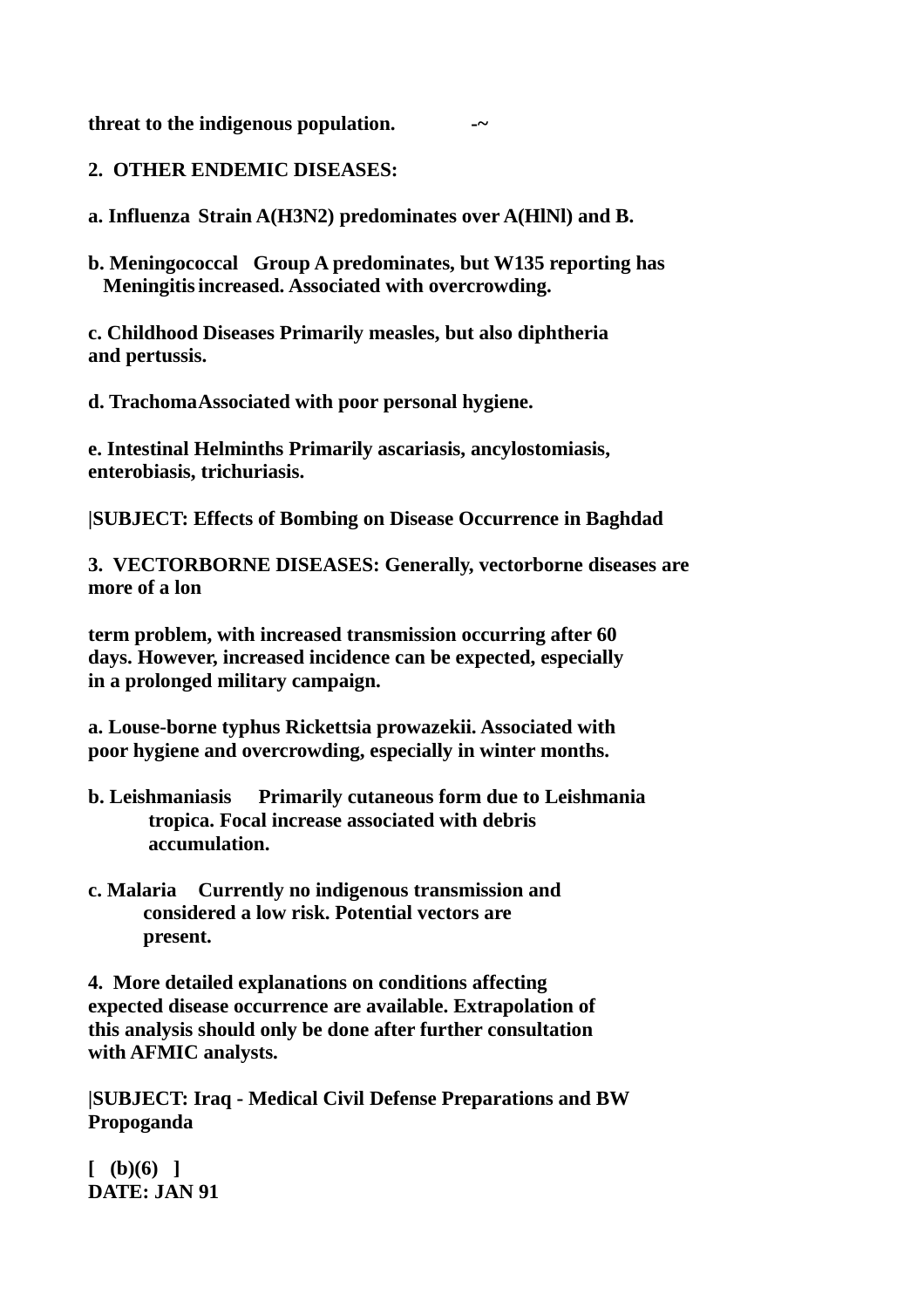**threat to the indigenous population. -~**

**2. OTHER ENDEMIC DISEASES:**

**a. Influenza Strain A(H3N2) predominates over A(HlNl) and B.**

**b. Meningococcal Group A predominates, but W135 reporting has Meningitisincreased. Associated with overcrowding.**

**c. Childhood Diseases Primarily measles, but also diphtheria and pertussis.**

**d. TrachomaAssociated with poor personal hygiene.**

**e. Intestinal Helminths Primarily ascariasis, ancylostomiasis, enterobiasis, trichuriasis.**

**|SUBJECT: Effects of Bombing on Disease Occurrence in Baghdad** 

**3. VECTORBORNE DISEASES: Generally, vectorborne diseases are more of a lon**

**term problem, with increased transmission occurring after 60 days. However, increased incidence can be expected, especially in a prolonged military campaign.**

**a. Louse-borne typhus Rickettsia prowazekii. Associated with poor hygiene and overcrowding, especially in winter months.**

- **b. Leishmaniasis Primarily cutaneous form due to Leishmania tropica. Focal increase associated with debris accumulation.**
- **c. Malaria Currently no indigenous transmission and considered a low risk. Potential vectors are present.**

**4. More detailed explanations on conditions affecting expected disease occurrence are available. Extrapolation of this analysis should only be done after further consultation with AFMIC analysts.**

**|SUBJECT: Iraq - Medical Civil Defense Preparations and BW Propoganda** 

**[ (b)(6) ] DATE: JAN 91**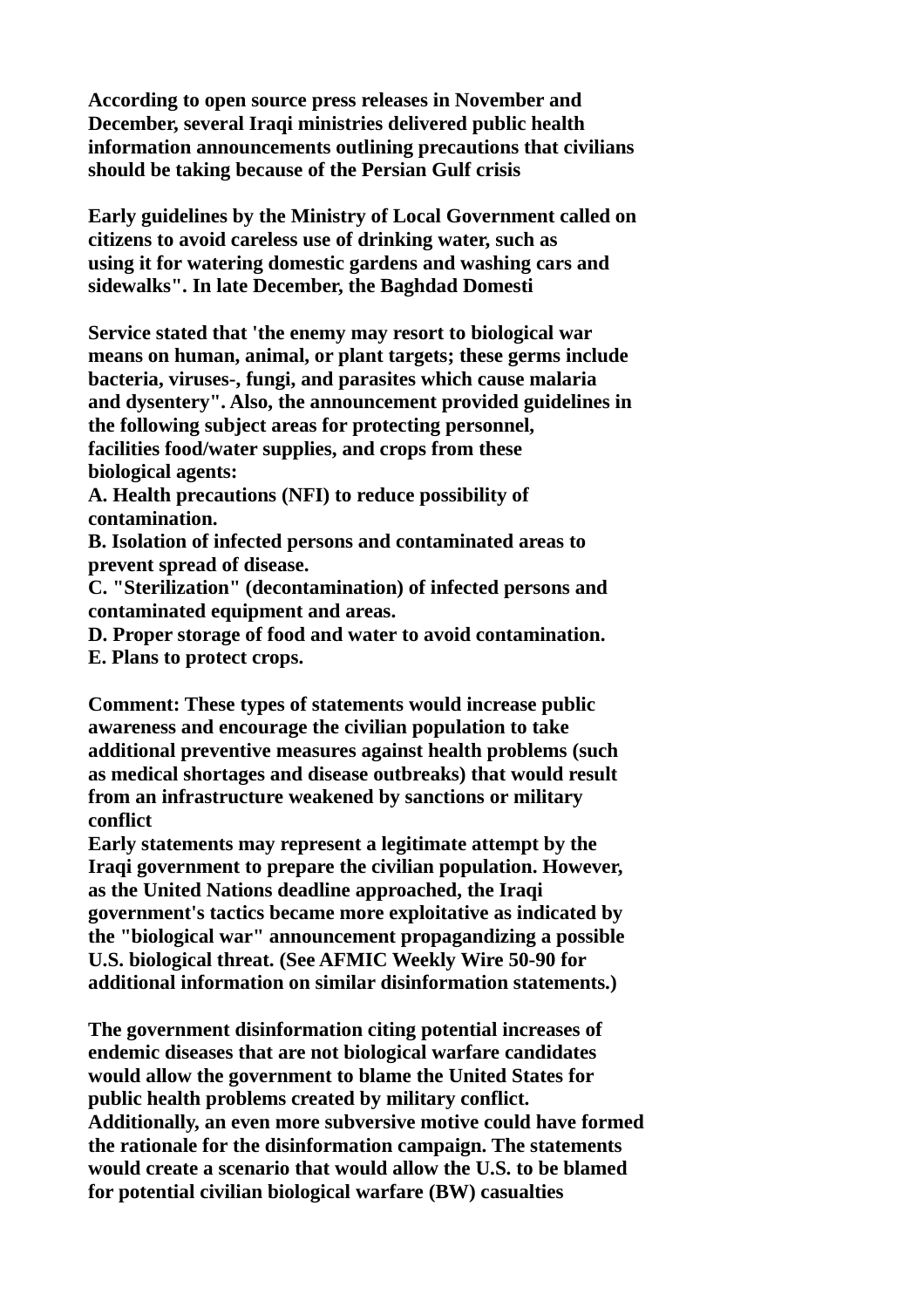**According to open source press releases in November and December, several Iraqi ministries delivered public health information announcements outlining precautions that civilians should be taking because of the Persian Gulf crisis**

**Early guidelines by the Ministry of Local Government called on citizens to avoid careless use of drinking water, such as using it for watering domestic gardens and washing cars and sidewalks". In late December, the Baghdad Domesti**

**Service stated that 'the enemy may resort to biological war means on human, animal, or plant targets; these germs include bacteria, viruses-, fungi, and parasites which cause malaria and dysentery". Also, the announcement provided guidelines in the following subject areas for protecting personnel, facilities food/water supplies, and crops from these biological agents:**

**A. Health precautions (NFI) to reduce possibility of contamination.**

**B. Isolation of infected persons and contaminated areas to prevent spread of disease.**

**C. "Sterilization" (decontamination) of infected persons and contaminated equipment and areas.**

**D. Proper storage of food and water to avoid contamination. E. Plans to protect crops.**

**Comment: These types of statements would increase public awareness and encourage the civilian population to take additional preventive measures against health problems (such as medical shortages and disease outbreaks) that would result from an infrastructure weakened by sanctions or military conflict**

**Early statements may represent a legitimate attempt by the Iraqi government to prepare the civilian population. However, as the United Nations deadline approached, the Iraqi government's tactics became more exploitative as indicated by the "biological war" announcement propagandizing a possible U.S. biological threat. (See AFMIC Weekly Wire 50-90 for additional information on similar disinformation statements.)**

**The government disinformation citing potential increases of endemic diseases that are not biological warfare candidates would allow the government to blame the United States for public health problems created by military conflict. Additionally, an even more subversive motive could have formed the rationale for the disinformation campaign. The statements would create a scenario that would allow the U.S. to be blamed for potential civilian biological warfare (BW) casualties**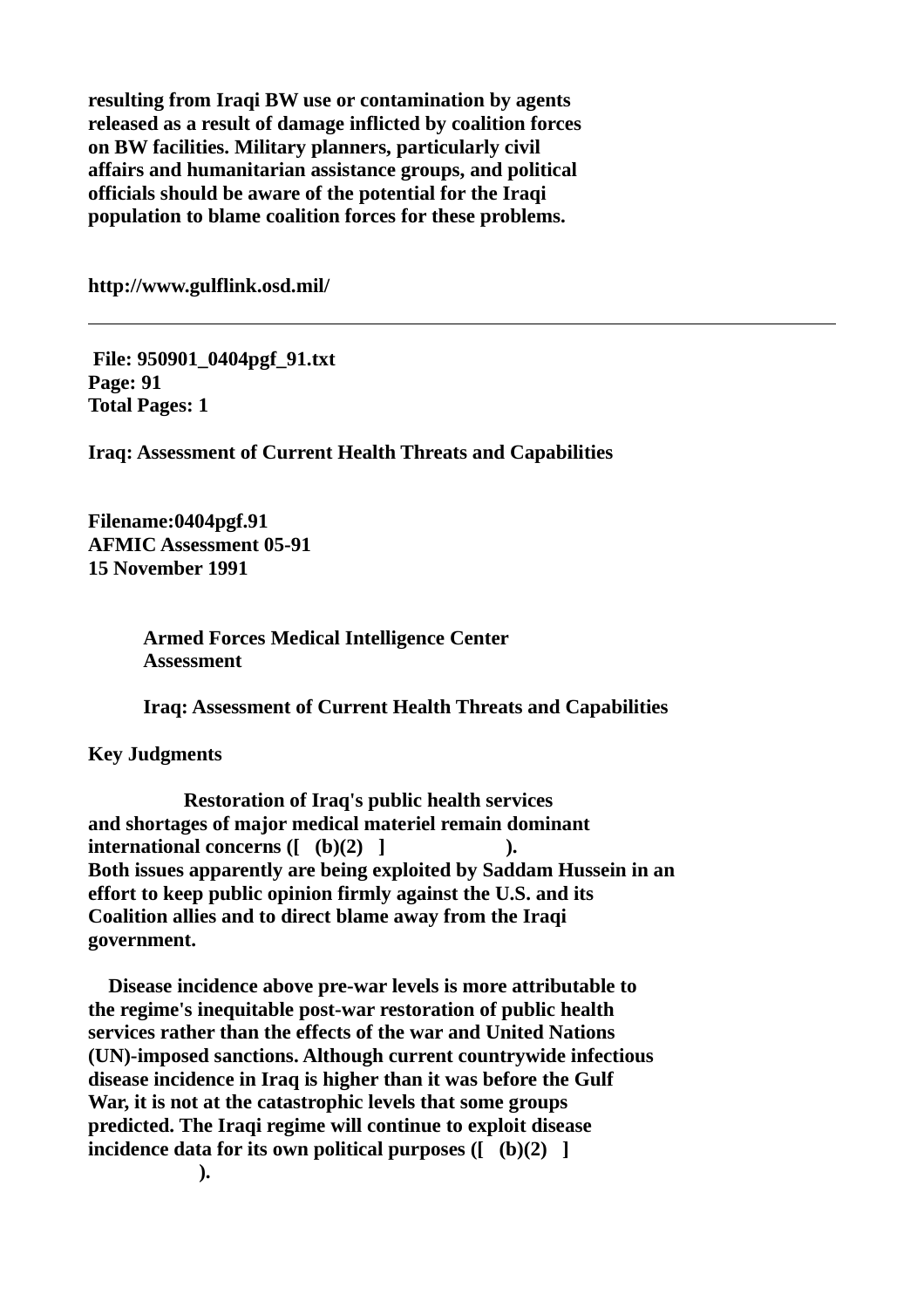**resulting from Iraqi BW use or contamination by agents released as a result of damage inflicted by coalition forces on BW facilities. Military planners, particularly civil affairs and humanitarian assistance groups, and political officials should be aware of the potential for the Iraqi population to blame coalition forces for these problems.**

**http://www.gulflink.osd.mil/**

 **File: 950901\_0404pgf\_91.txt Page: 91 Total Pages: 1**

**Iraq: Assessment of Current Health Threats and Capabilities**

**Filename:0404pgf.91 AFMIC Assessment 05-91 15 November 1991**

> **Armed Forces Medical Intelligence Center Assessment**

**Iraq: Assessment of Current Health Threats and Capabilities**

**Key Judgments**

 **Restoration of Iraq's public health services and shortages of major medical materiel remain dominant**  international concerns ([ (b)(2) ] ). **Both issues apparently are being exploited by Saddam Hussein in an effort to keep public opinion firmly against the U.S. and its Coalition allies and to direct blame away from the Iraqi government.**

 **Disease incidence above pre-war levels is more attributable to the regime's inequitable post-war restoration of public health services rather than the effects of the war and United Nations (UN)-imposed sanctions. Although current countrywide infectious disease incidence in Iraq is higher than it was before the Gulf War, it is not at the catastrophic levels that some groups predicted. The Iraqi regime will continue to exploit disease incidence data for its own political purposes ([ (b)(2) ]**

 **).**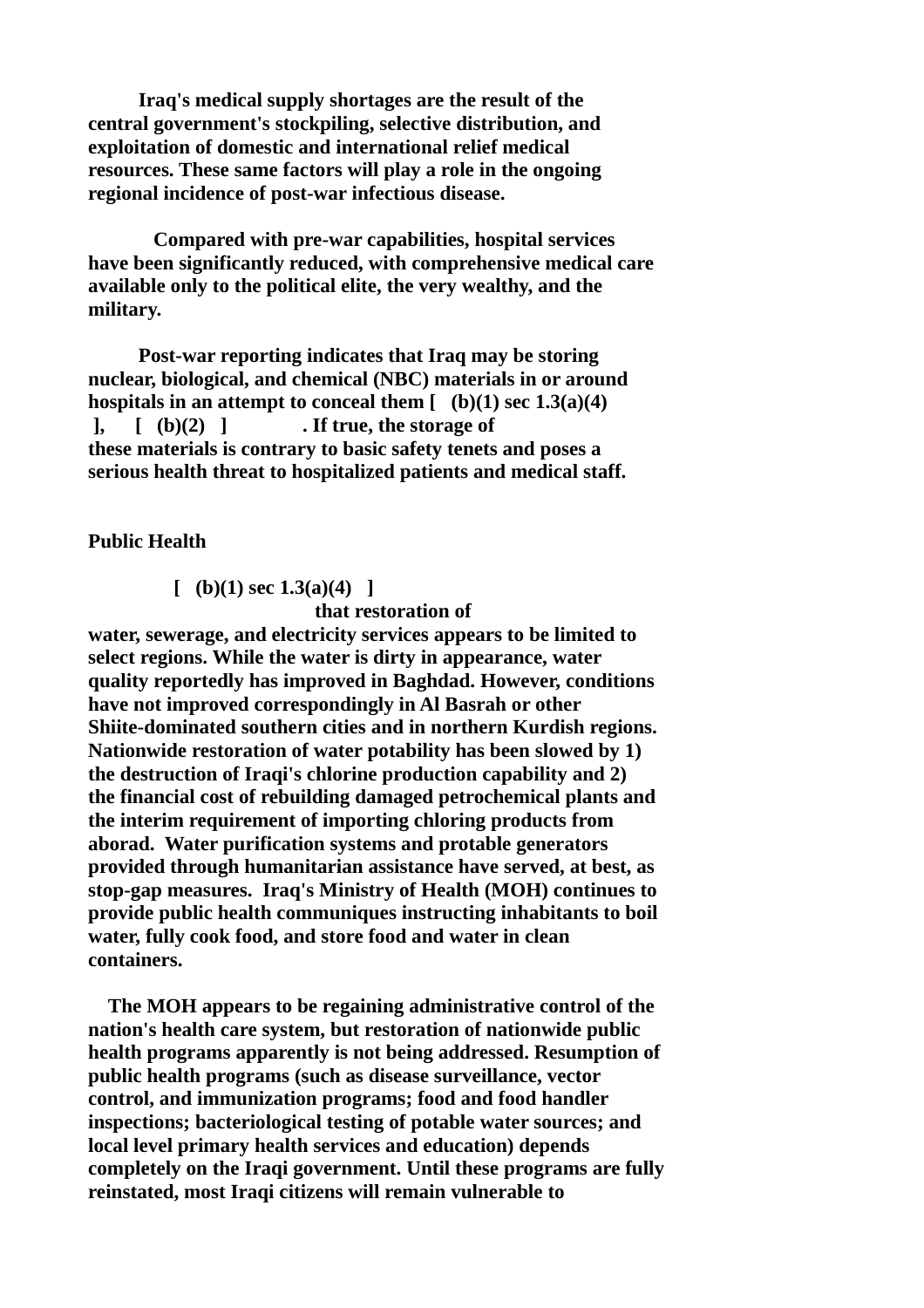**Iraq's medical supply shortages are the result of the central government's stockpiling, selective distribution, and exploitation of domestic and international relief medical resources. These same factors will play a role in the ongoing regional incidence of post-war infectious disease.** 

 **Compared with pre-war capabilities, hospital services have been significantly reduced, with comprehensive medical care available only to the political elite, the very wealthy, and the military.**

 **Post-war reporting indicates that Iraq may be storing nuclear, biological, and chemical (NBC) materials in or around hospitals in an attempt to conceal them [ (b)(1) sec 1.3(a)(4) ], [ (b)(2) ] . If true, the storage of these materials is contrary to basic safety tenets and poses a serious health threat to hospitalized patients and medical staff.** 

### **Public Health**

## **[ (b)(1) sec 1.3(a)(4) ]**

 **that restoration of** 

**water, sewerage, and electricity services appears to be limited to select regions. While the water is dirty in appearance, water quality reportedly has improved in Baghdad. However, conditions have not improved correspondingly in Al Basrah or other Shiite-dominated southern cities and in northern Kurdish regions. Nationwide restoration of water potability has been slowed by 1) the destruction of Iraqi's chlorine production capability and 2) the financial cost of rebuilding damaged petrochemical plants and the interim requirement of importing chloring products from aborad. Water purification systems and protable generators provided through humanitarian assistance have served, at best, as stop-gap measures. Iraq's Ministry of Health (MOH) continues to provide public health communiques instructing inhabitants to boil water, fully cook food, and store food and water in clean containers.**

 **The MOH appears to be regaining administrative control of the nation's health care system, but restoration of nationwide public health programs apparently is not being addressed. Resumption of public health programs (such as disease surveillance, vector control, and immunization programs; food and food handler inspections; bacteriological testing of potable water sources; and local level primary health services and education) depends completely on the Iraqi government. Until these programs are fully reinstated, most Iraqi citizens will remain vulnerable to**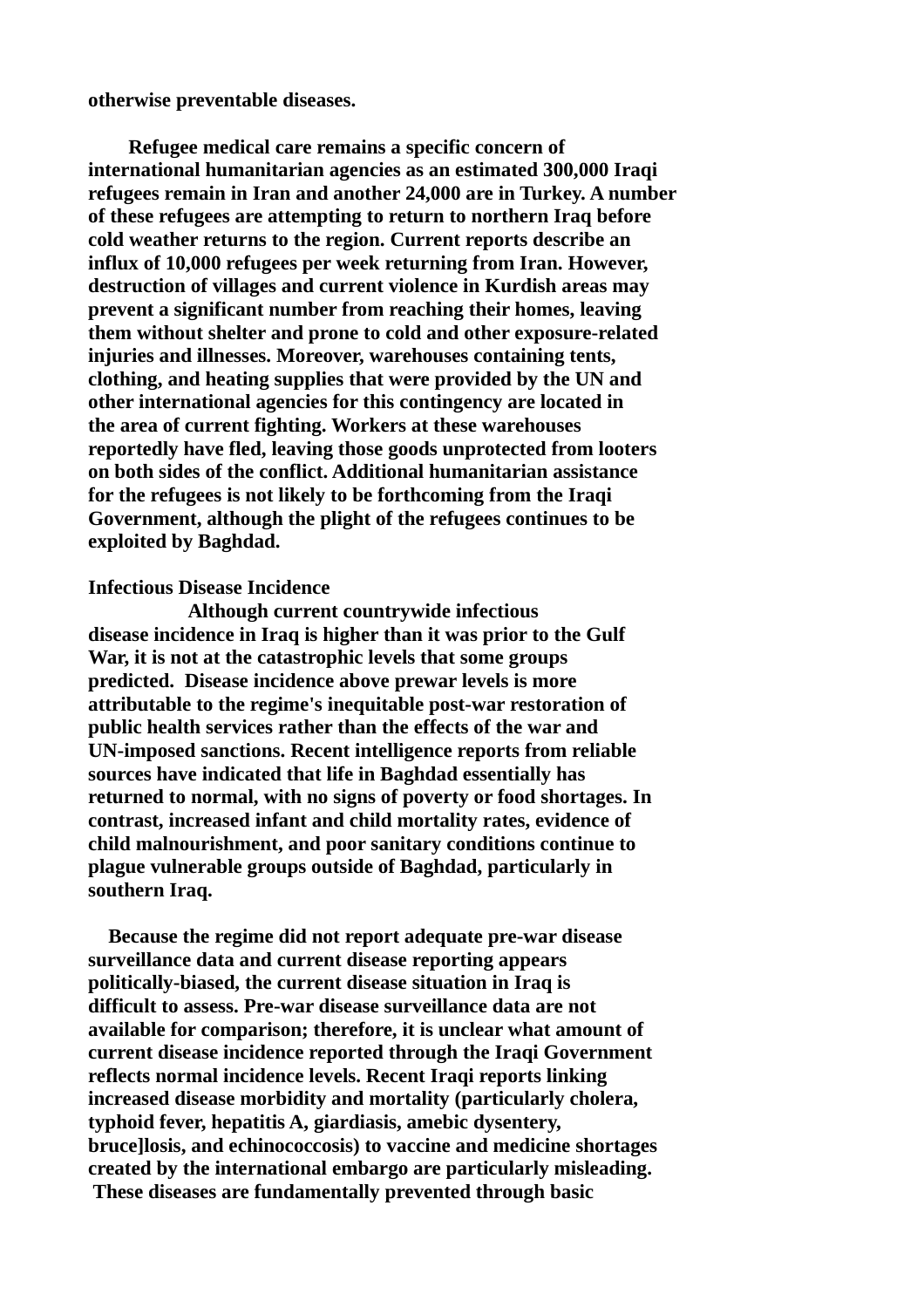**otherwise preventable diseases.**

 **Refugee medical care remains a specific concern of international humanitarian agencies as an estimated 300,000 Iraqi refugees remain in Iran and another 24,000 are in Turkey. A number of these refugees are attempting to return to northern Iraq before cold weather returns to the region. Current reports describe an influx of 10,000 refugees per week returning from Iran. However, destruction of villages and current violence in Kurdish areas may prevent a significant number from reaching their homes, leaving them without shelter and prone to cold and other exposure-related injuries and illnesses. Moreover, warehouses containing tents, clothing, and heating supplies that were provided by the UN and other international agencies for this contingency are located in the area of current fighting. Workers at these warehouses reportedly have fled, leaving those goods unprotected from looters on both sides of the conflict. Additional humanitarian assistance for the refugees is not likely to be forthcoming from the Iraqi Government, although the plight of the refugees continues to be exploited by Baghdad.**

### **Infectious Disease Incidence**

 **Although current countrywide infectious disease incidence in Iraq is higher than it was prior to the Gulf War, it is not at the catastrophic levels that some groups predicted. Disease incidence above prewar levels is more attributable to the regime's inequitable post-war restoration of public health services rather than the effects of the war and UN-imposed sanctions. Recent intelligence reports from reliable sources have indicated that life in Baghdad essentially has returned to normal, with no signs of poverty or food shortages. In contrast, increased infant and child mortality rates, evidence of child malnourishment, and poor sanitary conditions continue to plague vulnerable groups outside of Baghdad, particularly in southern Iraq.**

 **Because the regime did not report adequate pre-war disease surveillance data and current disease reporting appears politically-biased, the current disease situation in Iraq is difficult to assess. Pre-war disease surveillance data are not available for comparison; therefore, it is unclear what amount of current disease incidence reported through the Iraqi Government reflects normal incidence levels. Recent Iraqi reports linking increased disease morbidity and mortality (particularly cholera, typhoid fever, hepatitis A, giardiasis, amebic dysentery, bruce]losis, and echinococcosis) to vaccine and medicine shortages created by the international embargo are particularly misleading. These diseases are fundamentally prevented through basic**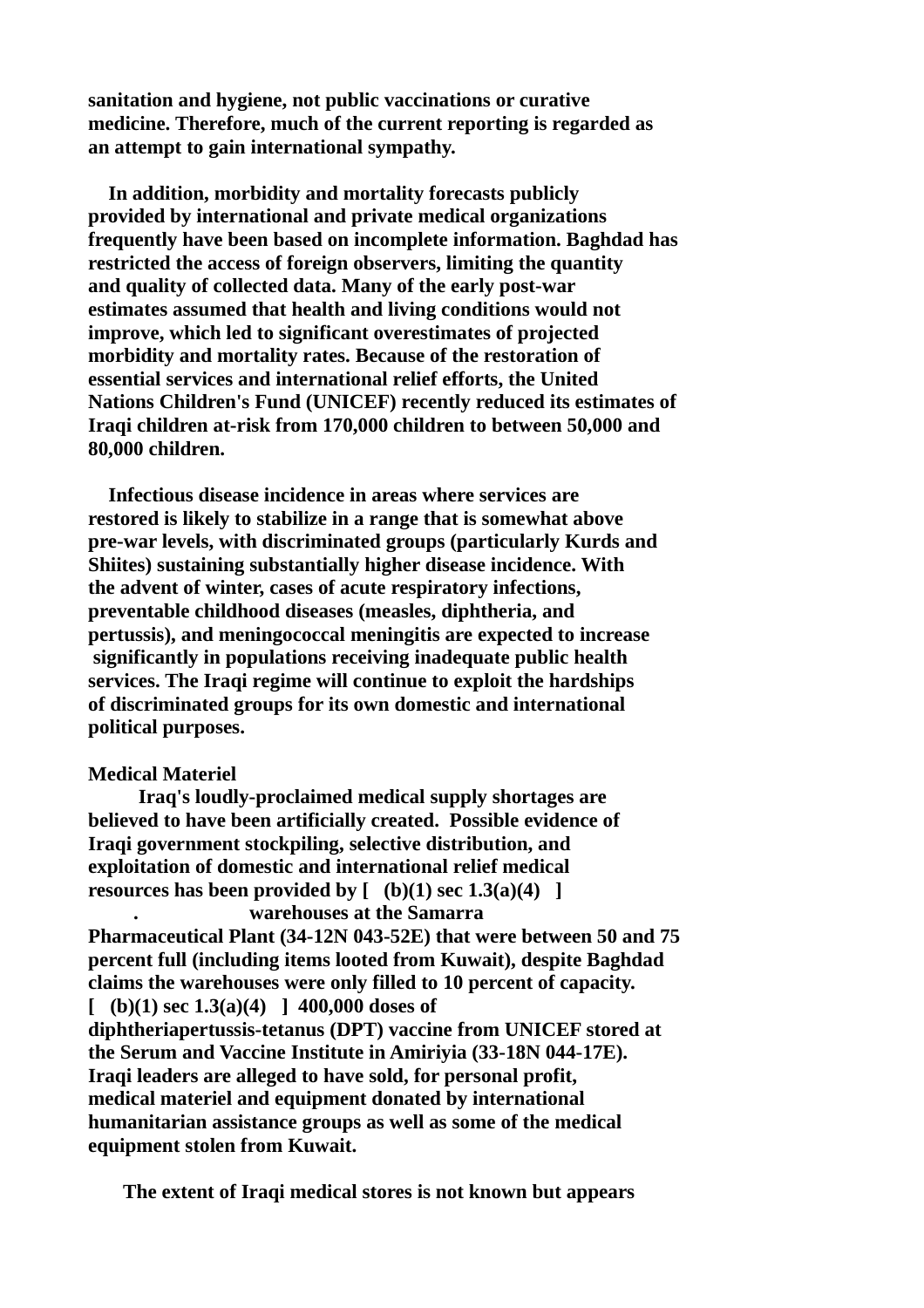**sanitation and hygiene, not public vaccinations or curative medicine. Therefore, much of the current reporting is regarded as an attempt to gain international sympathy.**

 **In addition, morbidity and mortality forecasts publicly provided by international and private medical organizations frequently have been based on incomplete information. Baghdad has restricted the access of foreign observers, limiting the quantity and quality of collected data. Many of the early post-war estimates assumed that health and living conditions would not improve, which led to significant overestimates of projected morbidity and mortality rates. Because of the restoration of essential services and international relief efforts, the United Nations Children's Fund (UNICEF) recently reduced its estimates of Iraqi children at-risk from 170,000 children to between 50,000 and 80,000 children.**

 **Infectious disease incidence in areas where services are restored is likely to stabilize in a range that is somewhat above pre-war levels, with discriminated groups (particularly Kurds and Shiites) sustaining substantially higher disease incidence. With the advent of winter, cases of acute respiratory infections, preventable childhood diseases (measles, diphtheria, and pertussis), and meningococcal meningitis are expected to increase significantly in populations receiving inadequate public health services. The Iraqi regime will continue to exploit the hardships of discriminated groups for its own domestic and international political purposes.**

#### **Medical Materiel**

 **Iraq's loudly-proclaimed medical supply shortages are believed to have been artificially created. Possible evidence of Iraqi government stockpiling, selective distribution, and exploitation of domestic and international relief medical resources has been provided by [ (b)(1) sec 1.3(a)(4) ] . warehouses at the Samarra Pharmaceutical Plant (34-12N 043-52E) that were between 50 and 75 percent full (including items looted from Kuwait), despite Baghdad claims the warehouses were only filled to 10 percent of capacity. [ (b)(1) sec 1.3(a)(4) ] 400,000 doses of diphtheriapertussis-tetanus (DPT) vaccine from UNICEF stored at the Serum and Vaccine Institute in Amiriyia (33-18N 044-17E). Iraqi leaders are alleged to have sold, for personal profit, medical materiel and equipment donated by international humanitarian assistance groups as well as some of the medical equipment stolen from Kuwait.**

 **The extent of Iraqi medical stores is not known but appears**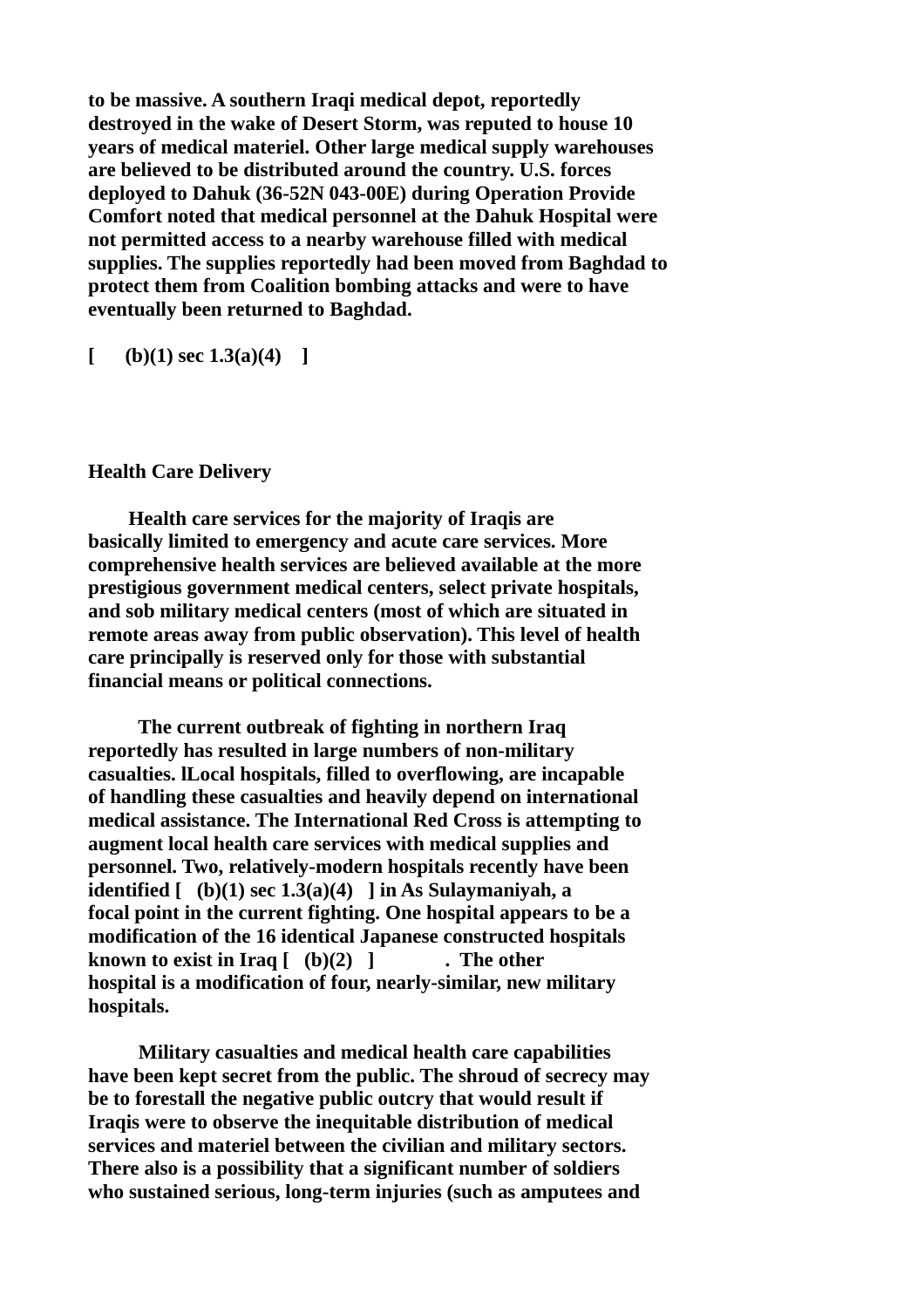**to be massive. A southern Iraqi medical depot, reportedly destroyed in the wake of Desert Storm, was reputed to house 10 years of medical materiel. Other large medical supply warehouses are believed to be distributed around the country. U.S. forces deployed to Dahuk (36-52N 043-00E) during Operation Provide Comfort noted that medical personnel at the Dahuk Hospital were not permitted access to a nearby warehouse filled with medical supplies. The supplies reportedly had been moved from Baghdad to protect them from Coalition bombing attacks and were to have eventually been returned to Baghdad.**

**[ (b)(1) sec 1.3(a)(4) ]**

### **Health Care Delivery**

 **Health care services for the majority of Iraqis are basically limited to emergency and acute care services. More comprehensive health services are believed available at the more prestigious government medical centers, select private hospitals, and sob military medical centers (most of which are situated in remote areas away from public observation). This level of health care principally is reserved only for those with substantial financial means or political connections.**

 **The current outbreak of fighting in northern Iraq reportedly has resulted in large numbers of non-military casualties. lLocal hospitals, filled to overflowing, are incapable of handling these casualties and heavily depend on international medical assistance. The International Red Cross is attempting to augment local health care services with medical supplies and personnel. Two, relatively-modern hospitals recently have been identified [ (b)(1) sec 1.3(a)(4) ] in As Sulaymaniyah, a focal point in the current fighting. One hospital appears to be a modification of the 16 identical Japanese constructed hospitals known to exist in Iraq [ (b)(2) ] . The other hospital is a modification of four, nearly-similar, new military hospitals.**

 **Military casualties and medical health care capabilities have been kept secret from the public. The shroud of secrecy may be to forestall the negative public outcry that would result if Iraqis were to observe the inequitable distribution of medical services and materiel between the civilian and military sectors. There also is a possibility that a significant number of soldiers who sustained serious, long-term injuries (such as amputees and**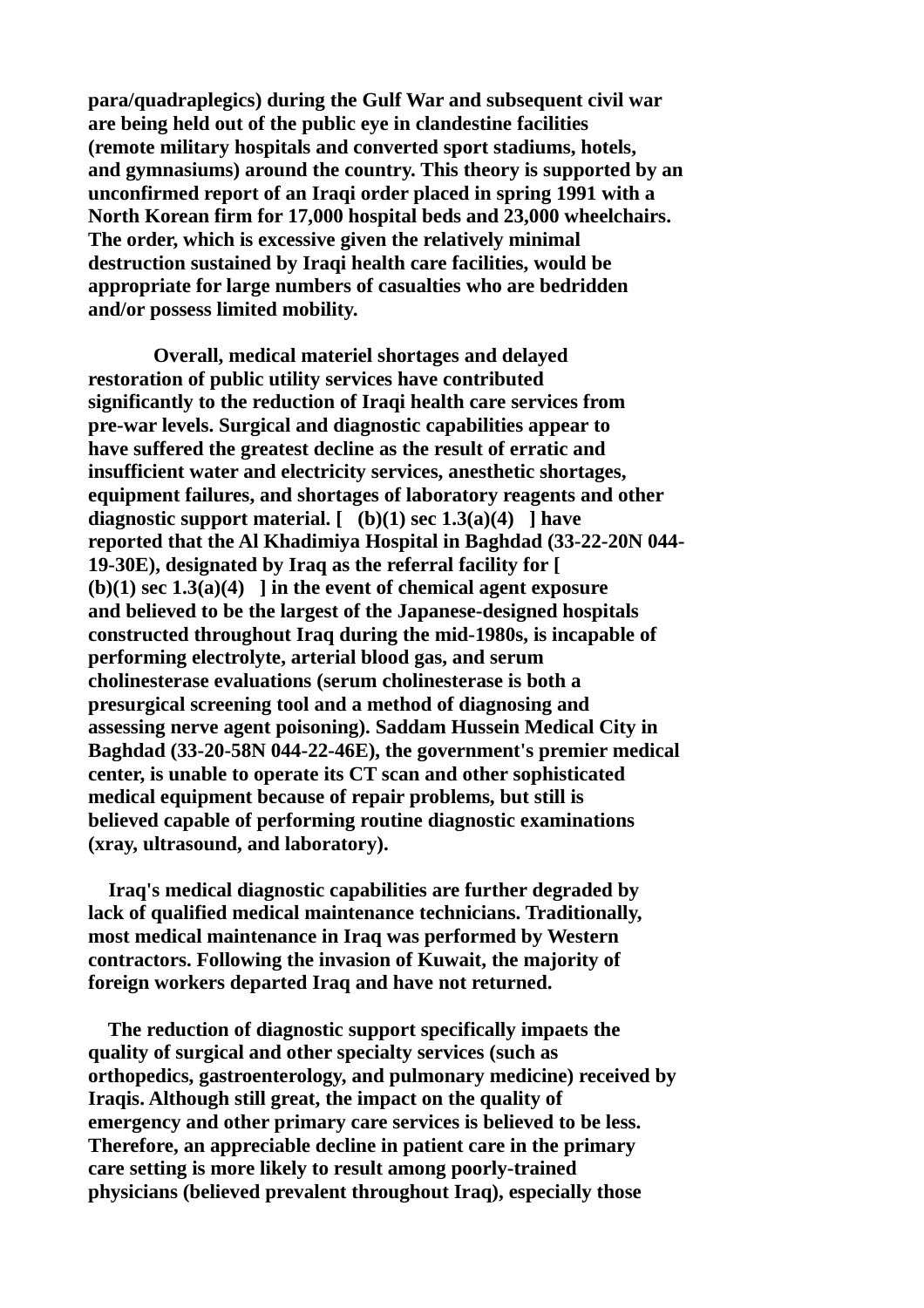**para/quadraplegics) during the Gulf War and subsequent civil war are being held out of the public eye in clandestine facilities (remote military hospitals and converted sport stadiums, hotels, and gymnasiums) around the country. This theory is supported by an unconfirmed report of an Iraqi order placed in spring 1991 with a North Korean firm for 17,000 hospital beds and 23,000 wheelchairs. The order, which is excessive given the relatively minimal destruction sustained by Iraqi health care facilities, would be appropriate for large numbers of casualties who are bedridden and/or possess limited mobility.**

 **Overall, medical materiel shortages and delayed restoration of public utility services have contributed significantly to the reduction of Iraqi health care services from pre-war levels. Surgical and diagnostic capabilities appear to have suffered the greatest decline as the result of erratic and insufficient water and electricity services, anesthetic shortages, equipment failures, and shortages of laboratory reagents and other diagnostic support material. [ (b)(1) sec 1.3(a)(4) ] have reported that the Al Khadimiya Hospital in Baghdad (33-22-20N 044- 19-30E), designated by Iraq as the referral facility for [ (b)(1) sec 1.3(a)(4) ] in the event of chemical agent exposure and believed to be the largest of the Japanese-designed hospitals constructed throughout Iraq during the mid-1980s, is incapable of performing electrolyte, arterial blood gas, and serum cholinesterase evaluations (serum cholinesterase is both a presurgical screening tool and a method of diagnosing and assessing nerve agent poisoning). Saddam Hussein Medical City in Baghdad (33-20-58N 044-22-46E), the government's premier medical center, is unable to operate its CT scan and other sophisticated medical equipment because of repair problems, but still is believed capable of performing routine diagnostic examinations (xray, ultrasound, and laboratory).**

 **Iraq's medical diagnostic capabilities are further degraded by lack of qualified medical maintenance technicians. Traditionally, most medical maintenance in Iraq was performed by Western contractors. Following the invasion of Kuwait, the majority of foreign workers departed Iraq and have not returned.** 

 **The reduction of diagnostic support specifically impaets the quality of surgical and other specialty services (such as orthopedics, gastroenterology, and pulmonary medicine) received by Iraqis. Although still great, the impact on the quality of emergency and other primary care services is believed to be less. Therefore, an appreciable decline in patient care in the primary care setting is more likely to result among poorly-trained physicians (believed prevalent throughout Iraq), especially those**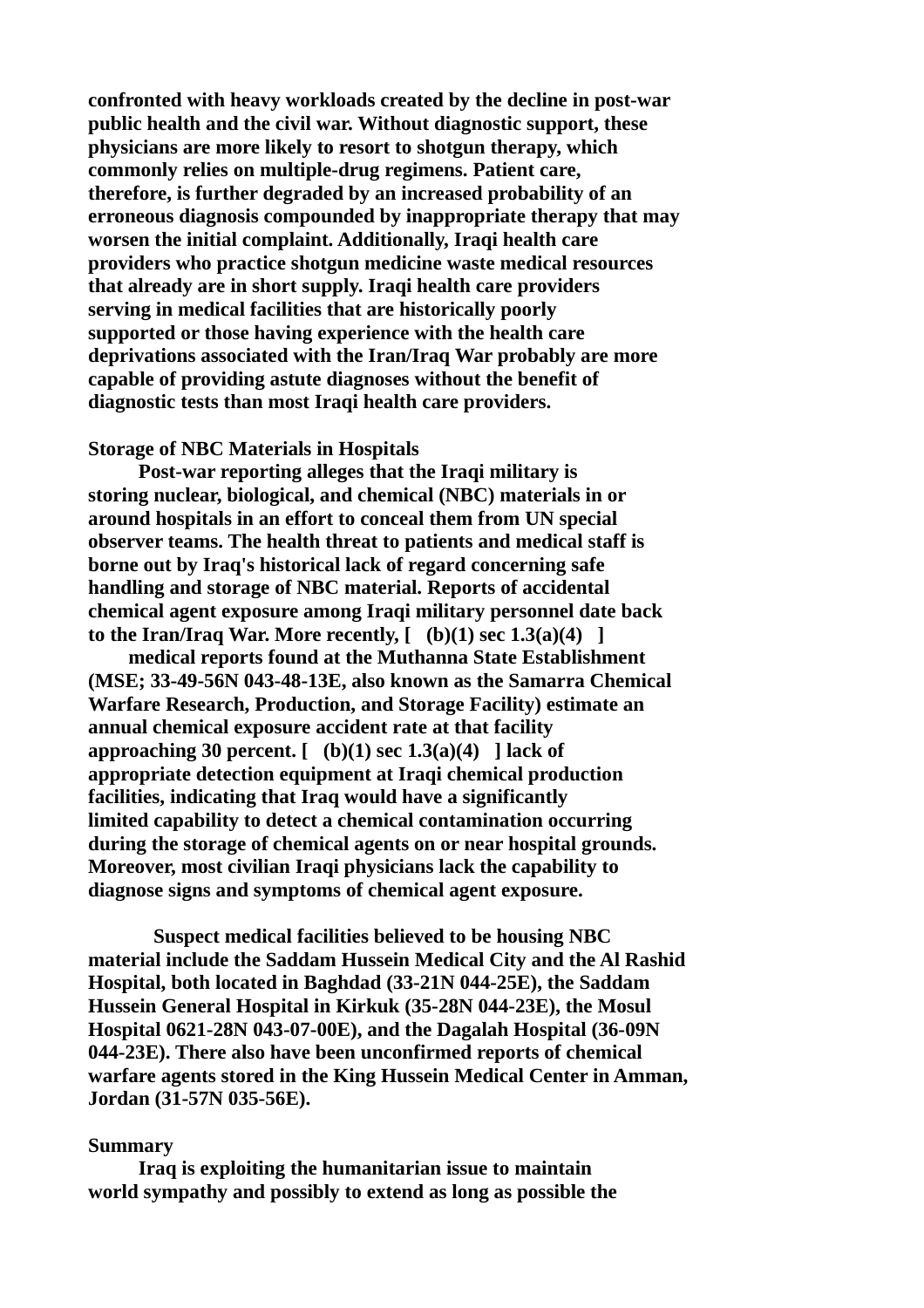**confronted with heavy workloads created by the decline in post-war public health and the civil war. Without diagnostic support, these physicians are more likely to resort to shotgun therapy, which commonly relies on multiple-drug regimens. Patient care, therefore, is further degraded by an increased probability of an erroneous diagnosis compounded by inappropriate therapy that may worsen the initial complaint. Additionally, Iraqi health care providers who practice shotgun medicine waste medical resources that already are in short supply. Iraqi health care providers serving in medical facilities that are historically poorly supported or those having experience with the health care deprivations associated with the Iran/Iraq War probably are more capable of providing astute diagnoses without the benefit of diagnostic tests than most Iraqi health care providers.**

#### **Storage of NBC Materials in Hospitals**

 **Post-war reporting alleges that the Iraqi military is storing nuclear, biological, and chemical (NBC) materials in or around hospitals in an effort to conceal them from UN special observer teams. The health threat to patients and medical staff is borne out by Iraq's historical lack of regard concerning safe handling and storage of NBC material. Reports of accidental chemical agent exposure among Iraqi military personnel date back to the Iran/Iraq War. More recently, [ (b)(1) sec 1.3(a)(4) ]**

 **medical reports found at the Muthanna State Establishment (MSE; 33-49-56N 043-48-13E, also known as the Samarra Chemical Warfare Research, Production, and Storage Facility) estimate an annual chemical exposure accident rate at that facility approaching 30 percent. [ (b)(1) sec 1.3(a)(4) ] lack of appropriate detection equipment at Iraqi chemical production facilities, indicating that Iraq would have a significantly limited capability to detect a chemical contamination occurring during the storage of chemical agents on or near hospital grounds. Moreover, most civilian Iraqi physicians lack the capability to diagnose signs and symptoms of chemical agent exposure.**

 **Suspect medical facilities believed to be housing NBC material include the Saddam Hussein Medical City and the Al Rashid Hospital, both located in Baghdad (33-21N 044-25E), the Saddam Hussein General Hospital in Kirkuk (35-28N 044-23E), the Mosul Hospital 0621-28N 043-07-00E), and the Dagalah Hospital (36-09N 044-23E). There also have been unconfirmed reports of chemical warfare agents stored in the King Hussein Medical Center in Amman, Jordan (31-57N 035-56E).**

#### **Summary**

 **Iraq is exploiting the humanitarian issue to maintain world sympathy and possibly to extend as long as possible the**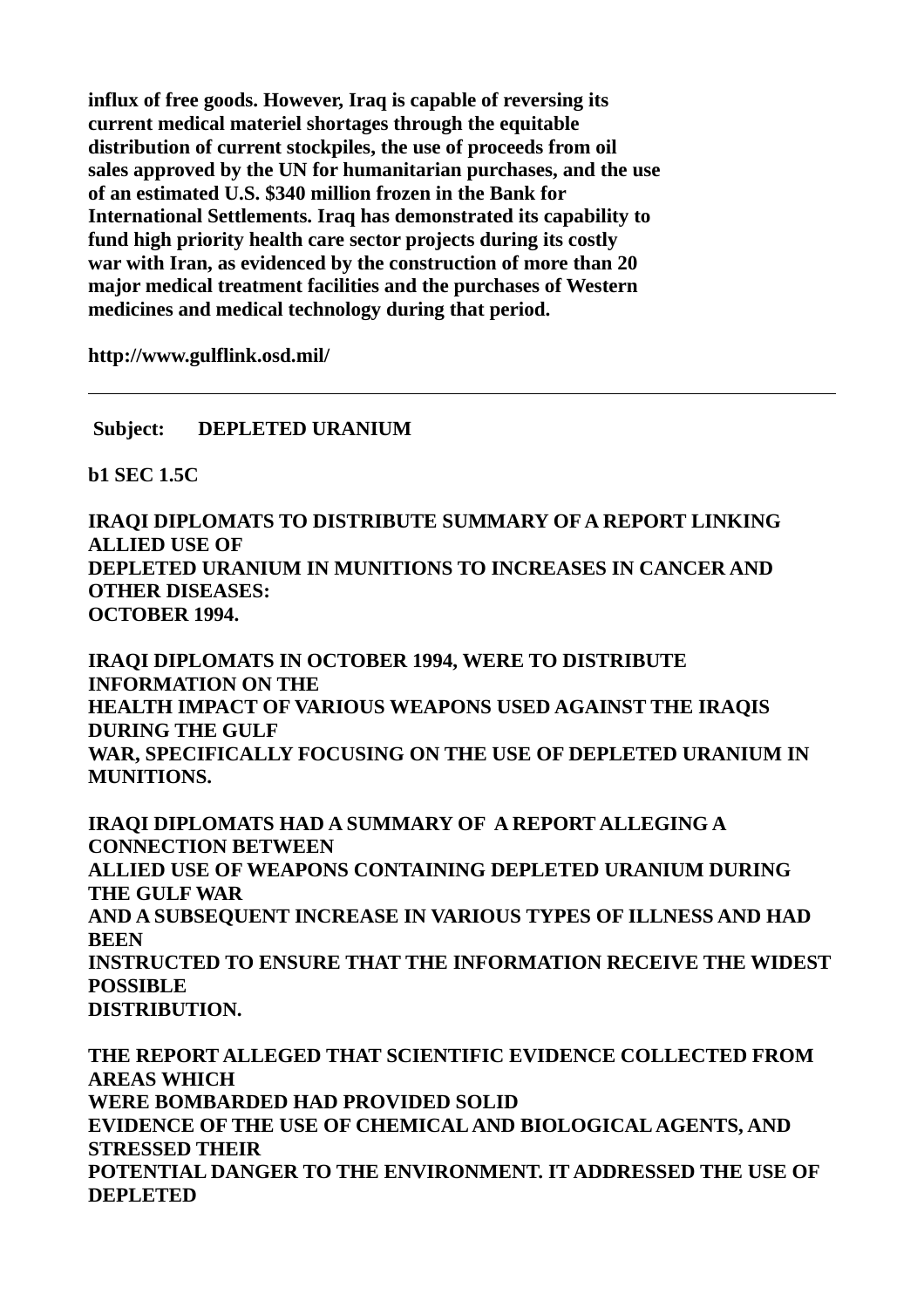**influx of free goods. However, Iraq is capable of reversing its current medical materiel shortages through the equitable distribution of current stockpiles, the use of proceeds from oil sales approved by the UN for humanitarian purchases, and the use of an estimated U.S. \$340 million frozen in the Bank for International Settlements. Iraq has demonstrated its capability to fund high priority health care sector projects during its costly war with Iran, as evidenced by the construction of more than 20 major medical treatment facilities and the purchases of Western medicines and medical technology during that period.**

**http://www.gulflink.osd.mil/**

 **Subject: DEPLETED URANIUM** 

**b1 SEC 1.5C**

**IRAQI DIPLOMATS TO DISTRIBUTE SUMMARY OF A REPORT LINKING ALLIED USE OF DEPLETED URANIUM IN MUNITIONS TO INCREASES IN CANCER AND OTHER DISEASES: OCTOBER 1994.**

**IRAQI DIPLOMATS IN OCTOBER 1994, WERE TO DISTRIBUTE INFORMATION ON THE HEALTH IMPACT OF VARIOUS WEAPONS USED AGAINST THE IRAQIS DURING THE GULF WAR, SPECIFICALLY FOCUSING ON THE USE OF DEPLETED URANIUM IN MUNITIONS.**

**IRAQI DIPLOMATS HAD A SUMMARY OF A REPORT ALLEGING A CONNECTION BETWEEN ALLIED USE OF WEAPONS CONTAINING DEPLETED URANIUM DURING THE GULF WAR AND A SUBSEQUENT INCREASE IN VARIOUS TYPES OF ILLNESS AND HAD BEEN INSTRUCTED TO ENSURE THAT THE INFORMATION RECEIVE THE WIDEST POSSIBLE DISTRIBUTION.**

**THE REPORT ALLEGED THAT SCIENTIFIC EVIDENCE COLLECTED FROM AREAS WHICH WERE BOMBARDED HAD PROVIDED SOLID EVIDENCE OF THE USE OF CHEMICAL AND BIOLOGICAL AGENTS, AND STRESSED THEIR POTENTIAL DANGER TO THE ENVIRONMENT. IT ADDRESSED THE USE OF DEPLETED**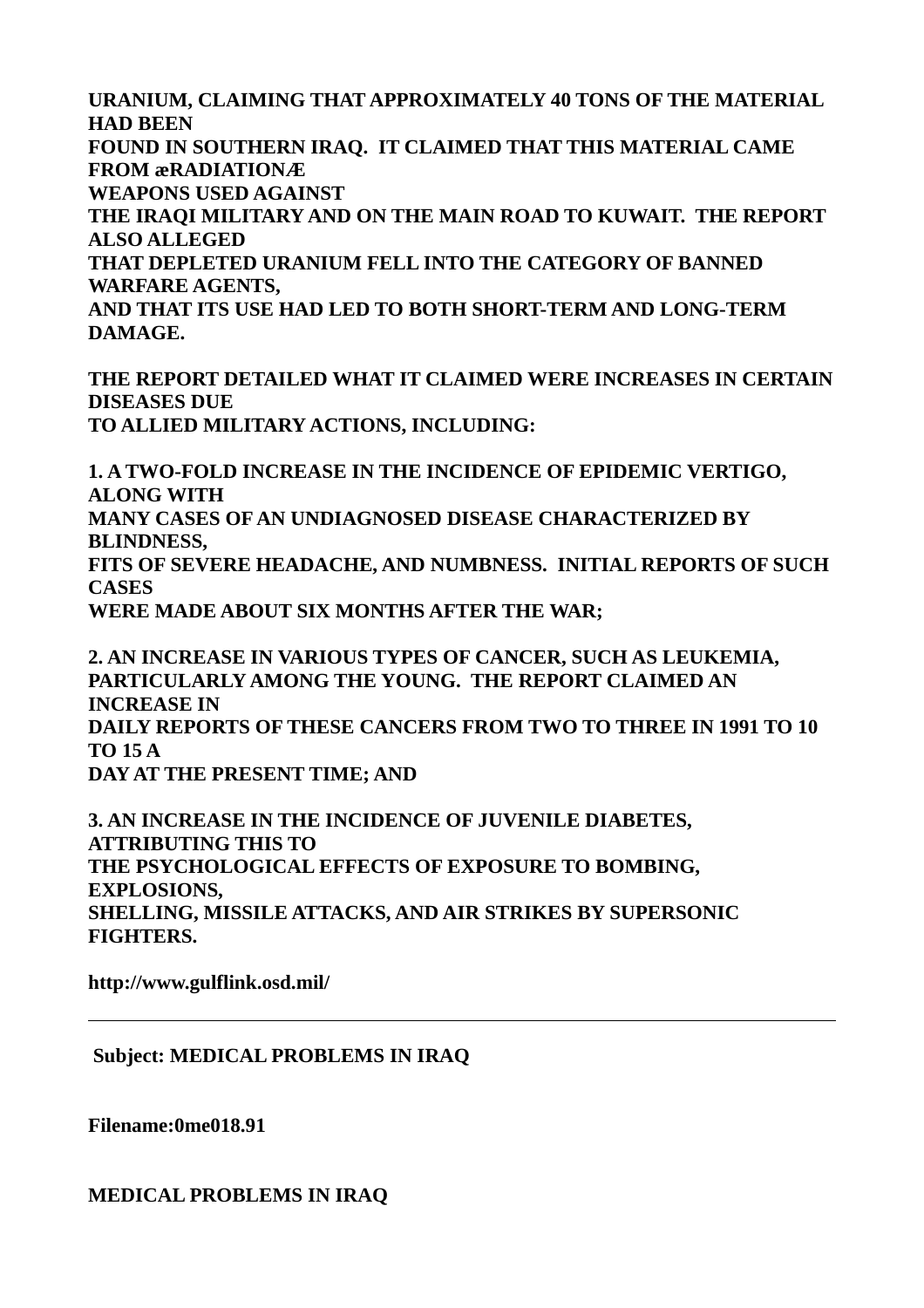**URANIUM, CLAIMING THAT APPROXIMATELY 40 TONS OF THE MATERIAL HAD BEEN** 

**FOUND IN SOUTHERN IRAQ. IT CLAIMED THAT THIS MATERIAL CAME FROM æRADIATIONÆ** 

**WEAPONS USED AGAINST** 

**THE IRAQI MILITARY AND ON THE MAIN ROAD TO KUWAIT. THE REPORT ALSO ALLEGED** 

**THAT DEPLETED URANIUM FELL INTO THE CATEGORY OF BANNED WARFARE AGENTS,** 

**AND THAT ITS USE HAD LED TO BOTH SHORT-TERM AND LONG-TERM DAMAGE.**

**THE REPORT DETAILED WHAT IT CLAIMED WERE INCREASES IN CERTAIN DISEASES DUE TO ALLIED MILITARY ACTIONS, INCLUDING:**

**1. A TWO-FOLD INCREASE IN THE INCIDENCE OF EPIDEMIC VERTIGO, ALONG WITH MANY CASES OF AN UNDIAGNOSED DISEASE CHARACTERIZED BY BLINDNESS, FITS OF SEVERE HEADACHE, AND NUMBNESS. INITIAL REPORTS OF SUCH CASES** 

**WERE MADE ABOUT SIX MONTHS AFTER THE WAR;**

**2. AN INCREASE IN VARIOUS TYPES OF CANCER, SUCH AS LEUKEMIA, PARTICULARLY AMONG THE YOUNG. THE REPORT CLAIMED AN INCREASE IN DAILY REPORTS OF THESE CANCERS FROM TWO TO THREE IN 1991 TO 10 TO 15 A DAY AT THE PRESENT TIME; AND**

**3. AN INCREASE IN THE INCIDENCE OF JUVENILE DIABETES, ATTRIBUTING THIS TO THE PSYCHOLOGICAL EFFECTS OF EXPOSURE TO BOMBING, EXPLOSIONS, SHELLING, MISSILE ATTACKS, AND AIR STRIKES BY SUPERSONIC FIGHTERS.**

**http://www.gulflink.osd.mil/**

 **Subject: MEDICAL PROBLEMS IN IRAQ**

**Filename:0me018.91**

**MEDICAL PROBLEMS IN IRAQ**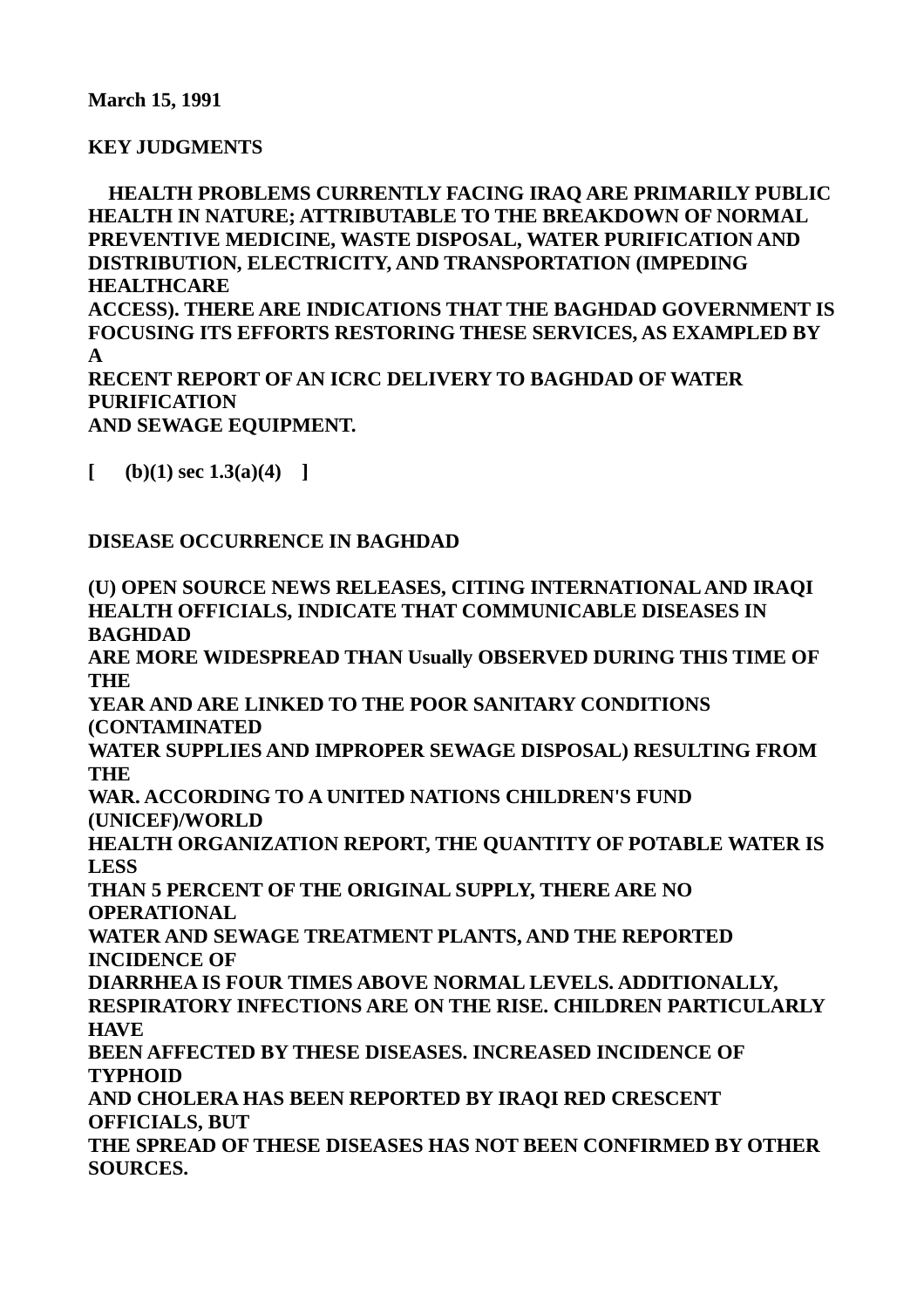**March 15, 1991**

# **KEY JUDGMENTS**

 **HEALTH PROBLEMS CURRENTLY FACING IRAQ ARE PRIMARILY PUBLIC HEALTH IN NATURE; ATTRIBUTABLE TO THE BREAKDOWN OF NORMAL PREVENTIVE MEDICINE, WASTE DISPOSAL, WATER PURIFICATION AND DISTRIBUTION, ELECTRICITY, AND TRANSPORTATION (IMPEDING HEALTHCARE ACCESS). THERE ARE INDICATIONS THAT THE BAGHDAD GOVERNMENT IS FOCUSING ITS EFFORTS RESTORING THESE SERVICES, AS EXAMPLED BY A RECENT REPORT OF AN ICRC DELIVERY TO BAGHDAD OF WATER PURIFICATION AND SEWAGE EQUIPMENT.**

**[ (b)(1) sec 1.3(a)(4) ]**

# **DISEASE OCCURRENCE IN BAGHDAD**

**(U) OPEN SOURCE NEWS RELEASES, CITING INTERNATIONAL AND IRAQI HEALTH OFFICIALS, INDICATE THAT COMMUNICABLE DISEASES IN BAGHDAD ARE MORE WIDESPREAD THAN Usually OBSERVED DURING THIS TIME OF THE YEAR AND ARE LINKED TO THE POOR SANITARY CONDITIONS (CONTAMINATED WATER SUPPLIES AND IMPROPER SEWAGE DISPOSAL) RESULTING FROM THE WAR. ACCORDING TO A UNITED NATIONS CHILDREN'S FUND (UNICEF)/WORLD HEALTH ORGANIZATION REPORT, THE QUANTITY OF POTABLE WATER IS LESS THAN 5 PERCENT OF THE ORIGINAL SUPPLY, THERE ARE NO OPERATIONAL WATER AND SEWAGE TREATMENT PLANTS, AND THE REPORTED INCIDENCE OF DIARRHEA IS FOUR TIMES ABOVE NORMAL LEVELS. ADDITIONALLY, RESPIRATORY INFECTIONS ARE ON THE RISE. CHILDREN PARTICULARLY HAVE BEEN AFFECTED BY THESE DISEASES. INCREASED INCIDENCE OF TYPHOID AND CHOLERA HAS BEEN REPORTED BY IRAQI RED CRESCENT OFFICIALS, BUT THE SPREAD OF THESE DISEASES HAS NOT BEEN CONFIRMED BY OTHER SOURCES.**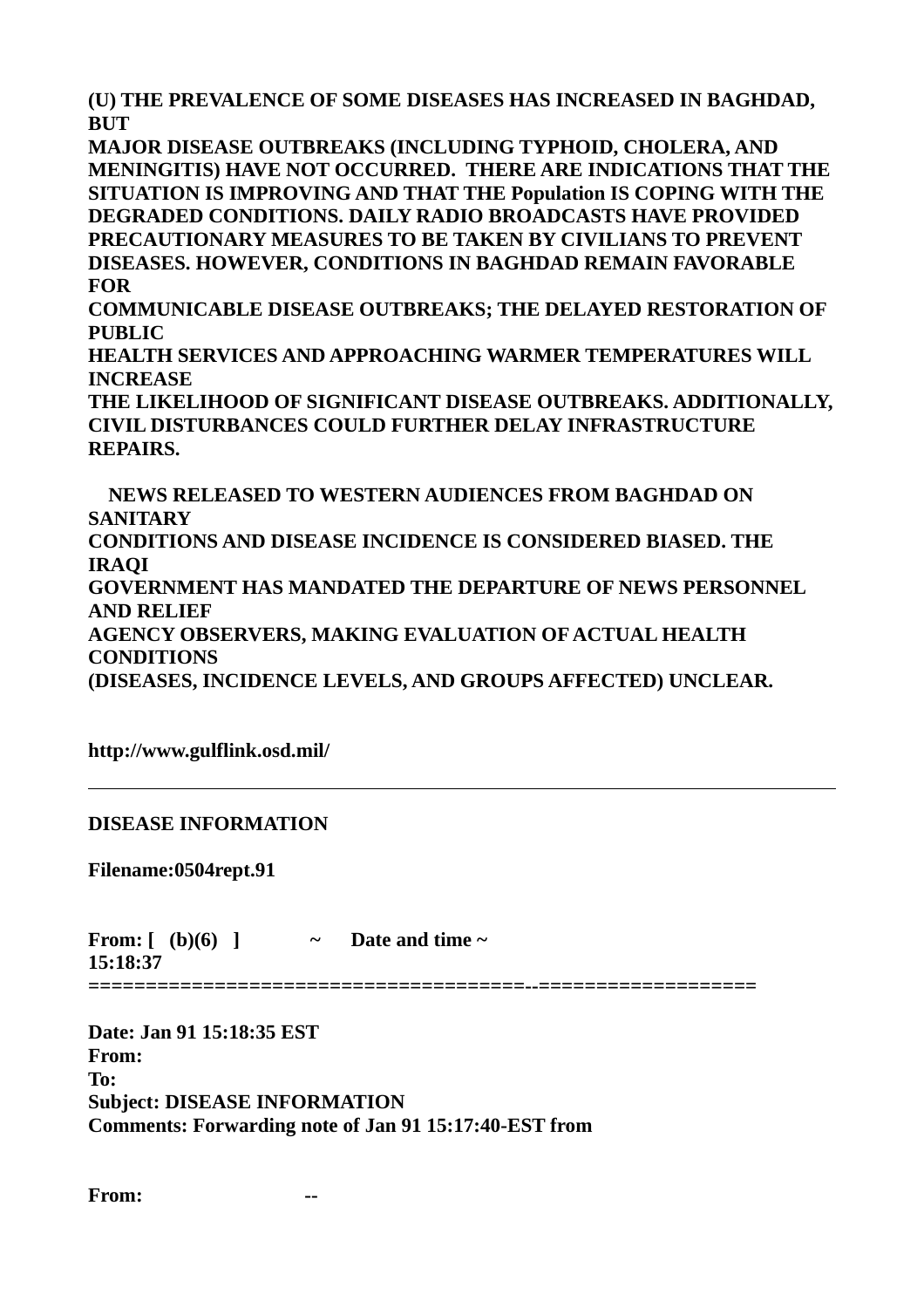**(U) THE PREVALENCE OF SOME DISEASES HAS INCREASED IN BAGHDAD, BUT** 

**MAJOR DISEASE OUTBREAKS (INCLUDING TYPHOID, CHOLERA, AND MENINGITIS) HAVE NOT OCCURRED. THERE ARE INDICATIONS THAT THE SITUATION IS IMPROVING AND THAT THE Population IS COPING WITH THE DEGRADED CONDITIONS. DAILY RADIO BROADCASTS HAVE PROVIDED PRECAUTIONARY MEASURES TO BE TAKEN BY CIVILIANS TO PREVENT DISEASES. HOWEVER, CONDITIONS IN BAGHDAD REMAIN FAVORABLE FOR** 

**COMMUNICABLE DISEASE OUTBREAKS; THE DELAYED RESTORATION OF PUBLIC** 

**HEALTH SERVICES AND APPROACHING WARMER TEMPERATURES WILL INCREASE** 

**THE LIKELIHOOD OF SIGNIFICANT DISEASE OUTBREAKS. ADDITIONALLY, CIVIL DISTURBANCES COULD FURTHER DELAY INFRASTRUCTURE REPAIRS.**

 **NEWS RELEASED TO WESTERN AUDIENCES FROM BAGHDAD ON SANITARY CONDITIONS AND DISEASE INCIDENCE IS CONSIDERED BIASED. THE IRAQI GOVERNMENT HAS MANDATED THE DEPARTURE OF NEWS PERSONNEL AND RELIEF AGENCY OBSERVERS, MAKING EVALUATION OF ACTUAL HEALTH CONDITIONS (DISEASES, INCIDENCE LEVELS, AND GROUPS AFFECTED) UNCLEAR.**

**http://www.gulflink.osd.mil/**

## **DISEASE INFORMATION**

**Filename:0504rept.91**

**From:**  $[$  (b)(6)  $]$   $\sim$  Date and time  $\sim$ **15:18:37 ======================================--===================**

**Date: Jan 91 15:18:35 EST From: To: Subject: DISEASE INFORMATION Comments: Forwarding note of Jan 91 15:17:40-EST from** 

**From: --**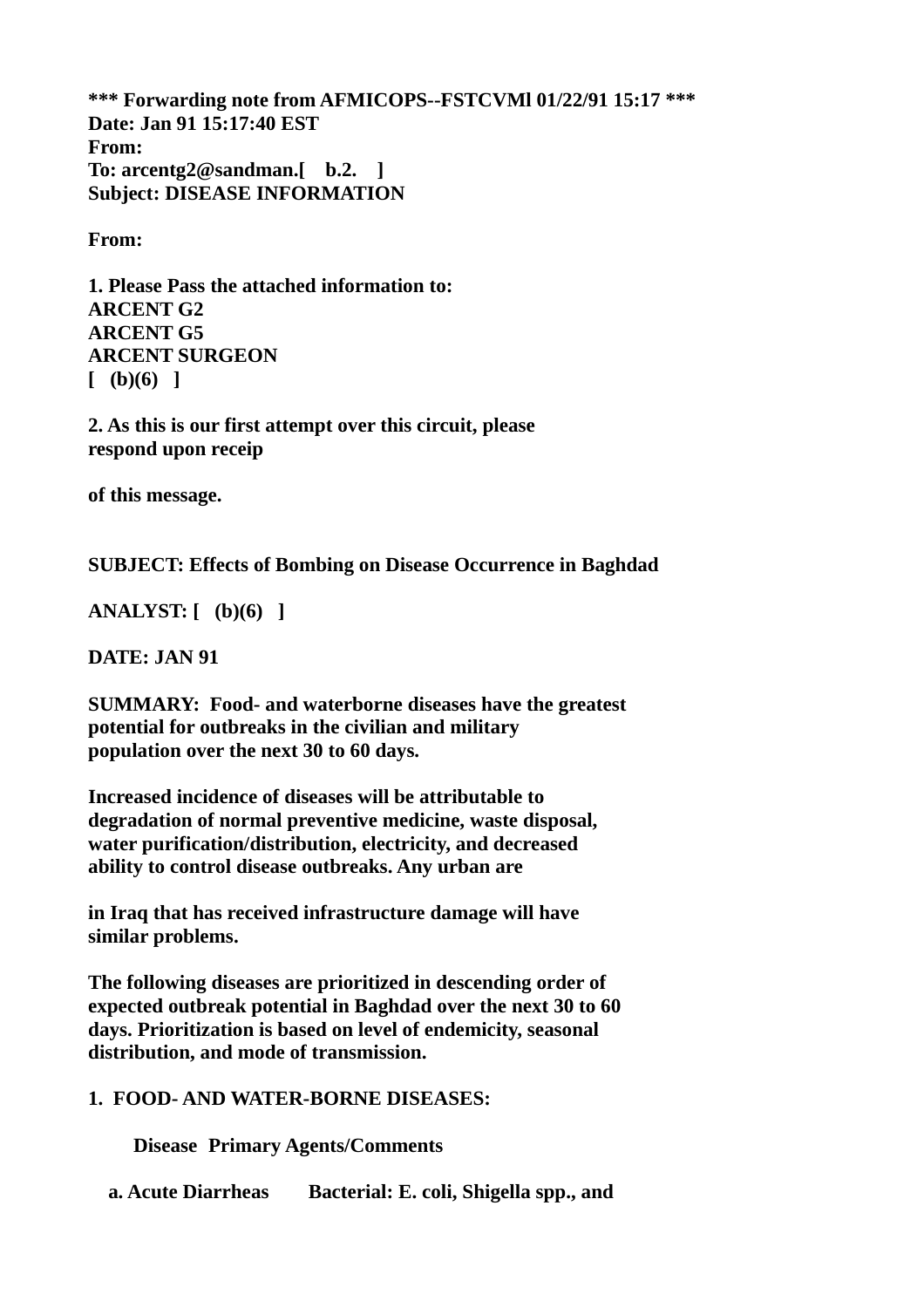**\*\*\* Forwarding note from AFMICOPS--FSTCVMl 01/22/91 15:17 \*\*\* Date: Jan 91 15:17:40 EST From: To: arcentg2@sandman.[ b.2. ] Subject: DISEASE INFORMATION**

**From:**

**1. Please Pass the attached information to: ARCENT G2 ARCENT G5 ARCENT SURGEON [ (b)(6) ]**

**2. As this is our first attempt over this circuit, please respond upon receip**

**of this message.**

**SUBJECT: Effects of Bombing on Disease Occurrence in Baghdad** 

**ANALYST: [ (b)(6) ]**

**DATE: JAN 91**

**SUMMARY: Food- and waterborne diseases have the greatest potential for outbreaks in the civilian and military population over the next 30 to 60 days.**

**Increased incidence of diseases will be attributable to degradation of normal preventive medicine, waste disposal, water purification/distribution, electricity, and decreased ability to control disease outbreaks. Any urban are**

**in Iraq that has received infrastructure damage will have similar problems.** 

**The following diseases are prioritized in descending order of expected outbreak potential in Baghdad over the next 30 to 60 days. Prioritization is based on level of endemicity, seasonal distribution, and mode of transmission.**

# **1. FOOD- AND WATER-BORNE DISEASES:**

 **Disease Primary Agents/Comments**

 **a. Acute Diarrheas Bacterial: E. coli, Shigella spp., and**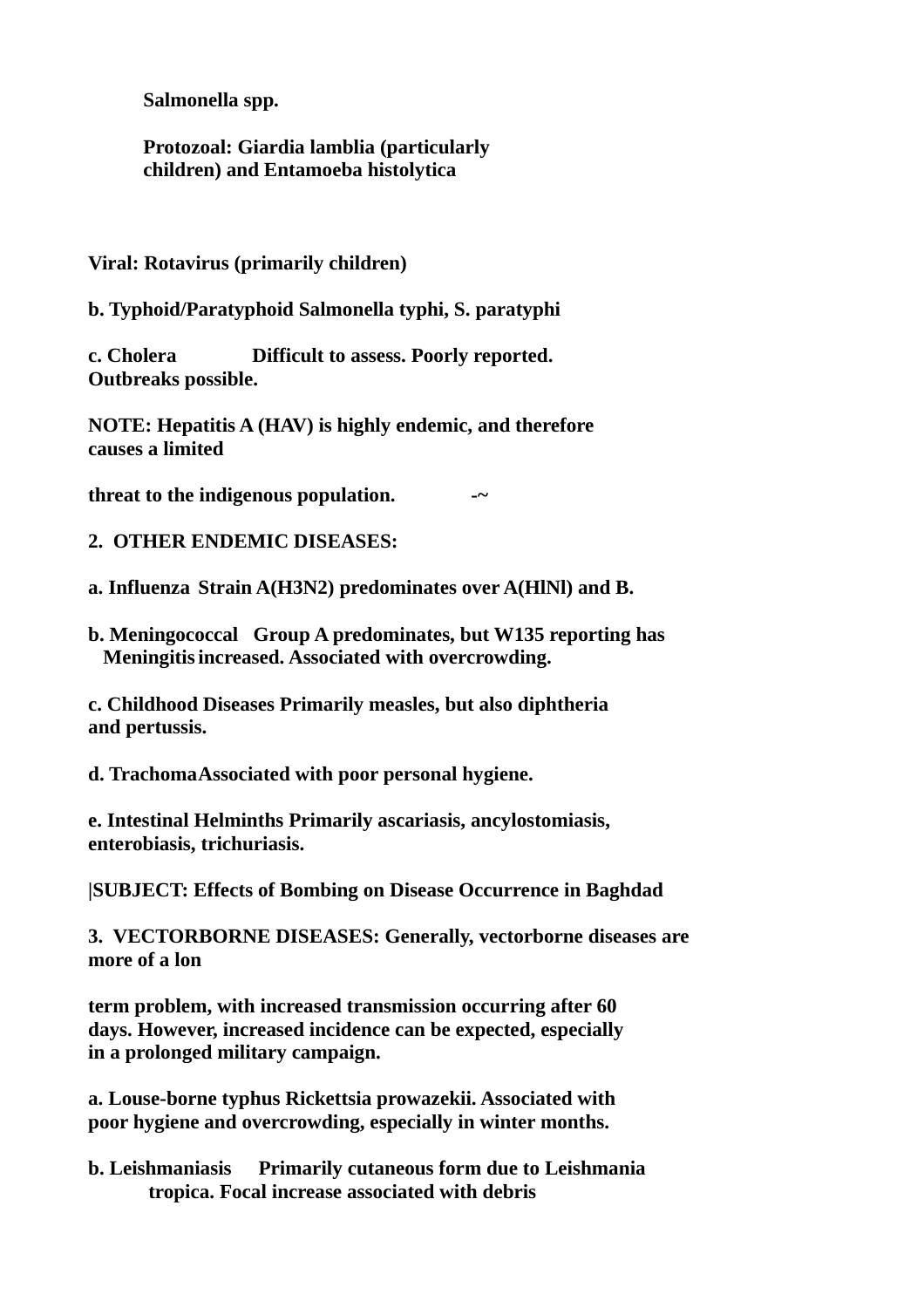**Salmonella spp.**

**Protozoal: Giardia lamblia (particularly children) and Entamoeba histolytica**

**Viral: Rotavirus (primarily children)**

**b. Typhoid/Paratyphoid Salmonella typhi, S. paratyphi**

**c. Cholera Difficult to assess. Poorly reported. Outbreaks possible.**

**NOTE: Hepatitis A (HAV) is highly endemic, and therefore causes a limited**

**threat to the indigenous population. -~**

**2. OTHER ENDEMIC DISEASES:**

- **a. Influenza Strain A(H3N2) predominates over A(HlNl) and B.**
- **b. Meningococcal Group A predominates, but W135 reporting has Meningitisincreased. Associated with overcrowding.**

**c. Childhood Diseases Primarily measles, but also diphtheria and pertussis.**

**d. TrachomaAssociated with poor personal hygiene.**

**e. Intestinal Helminths Primarily ascariasis, ancylostomiasis, enterobiasis, trichuriasis.**

**|SUBJECT: Effects of Bombing on Disease Occurrence in Baghdad** 

**3. VECTORBORNE DISEASES: Generally, vectorborne diseases are more of a lon**

**term problem, with increased transmission occurring after 60 days. However, increased incidence can be expected, especially in a prolonged military campaign.**

**a. Louse-borne typhus Rickettsia prowazekii. Associated with poor hygiene and overcrowding, especially in winter months.**

**b. Leishmaniasis Primarily cutaneous form due to Leishmania tropica. Focal increase associated with debris**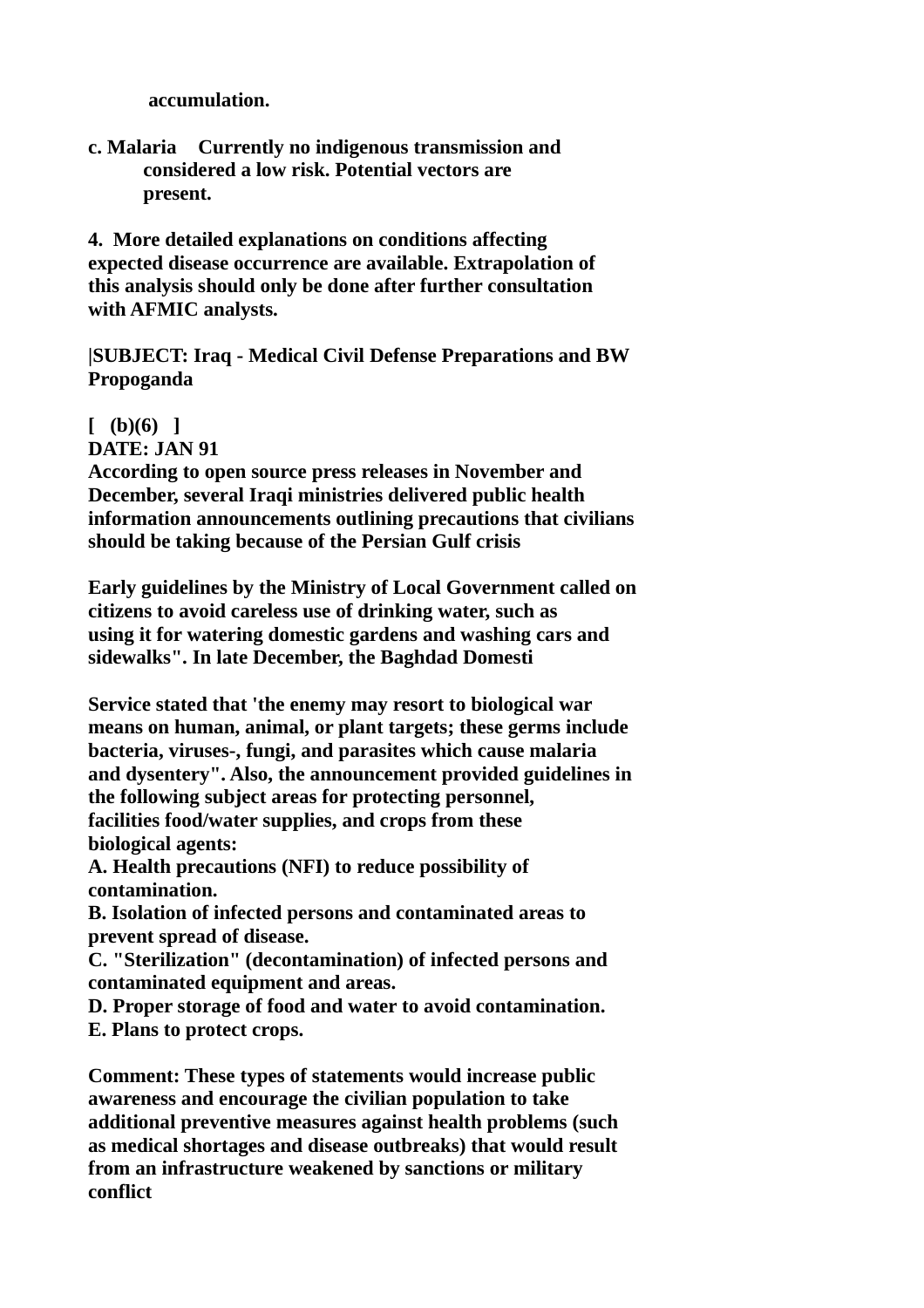**accumulation.**

**c. Malaria Currently no indigenous transmission and considered a low risk. Potential vectors are present.**

**4. More detailed explanations on conditions affecting expected disease occurrence are available. Extrapolation of this analysis should only be done after further consultation with AFMIC analysts.**

**|SUBJECT: Iraq - Medical Civil Defense Preparations and BW Propoganda** 

**[ (b)(6) ]**

**DATE: JAN 91**

**According to open source press releases in November and December, several Iraqi ministries delivered public health information announcements outlining precautions that civilians should be taking because of the Persian Gulf crisis**

**Early guidelines by the Ministry of Local Government called on citizens to avoid careless use of drinking water, such as using it for watering domestic gardens and washing cars and sidewalks". In late December, the Baghdad Domesti**

**Service stated that 'the enemy may resort to biological war means on human, animal, or plant targets; these germs include bacteria, viruses-, fungi, and parasites which cause malaria and dysentery". Also, the announcement provided guidelines in the following subject areas for protecting personnel, facilities food/water supplies, and crops from these biological agents:**

**A. Health precautions (NFI) to reduce possibility of contamination.**

**B. Isolation of infected persons and contaminated areas to prevent spread of disease.**

**C. "Sterilization" (decontamination) of infected persons and contaminated equipment and areas.**

**D. Proper storage of food and water to avoid contamination.**

**E. Plans to protect crops.**

**Comment: These types of statements would increase public awareness and encourage the civilian population to take additional preventive measures against health problems (such as medical shortages and disease outbreaks) that would result from an infrastructure weakened by sanctions or military conflict**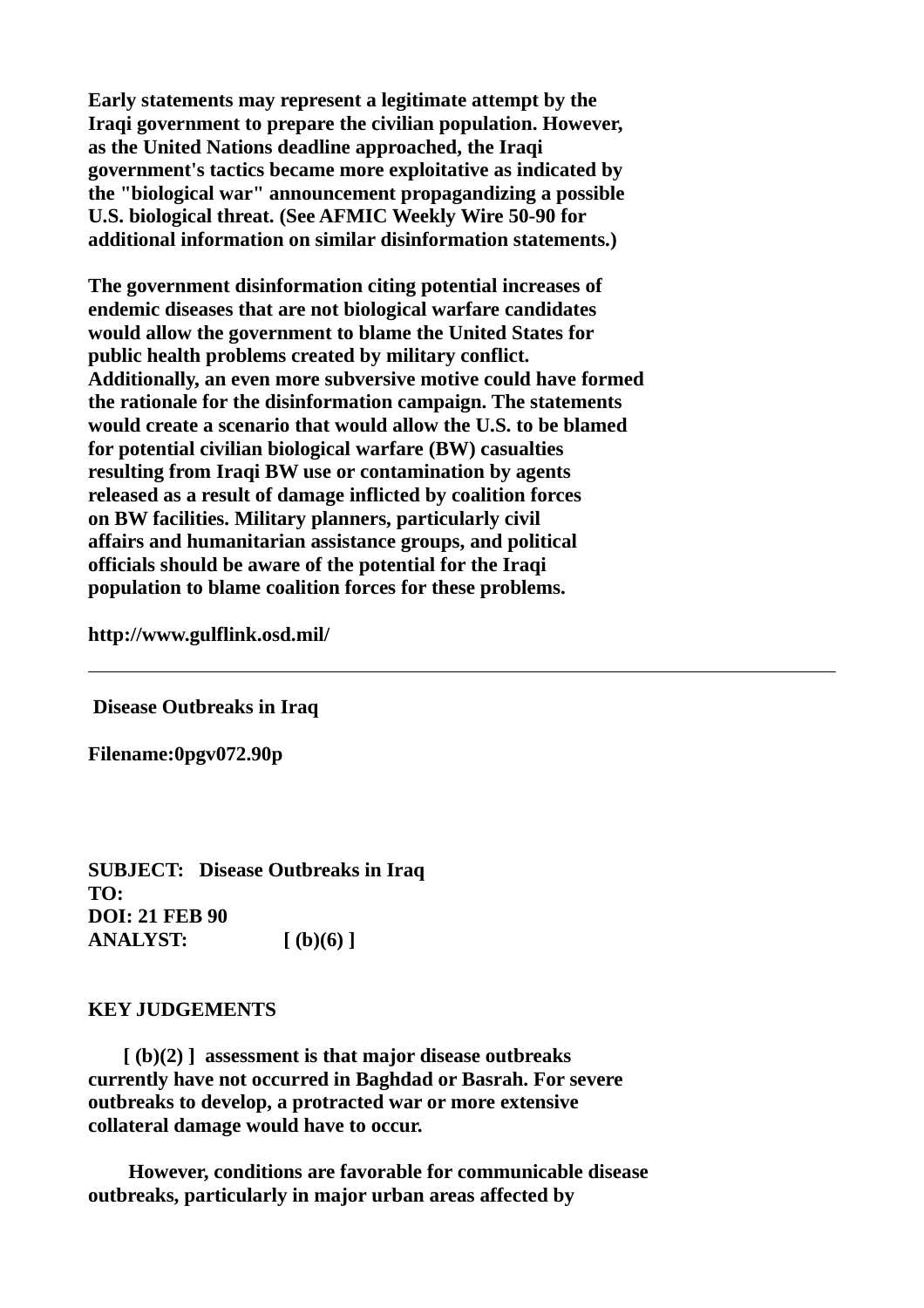**Early statements may represent a legitimate attempt by the Iraqi government to prepare the civilian population. However, as the United Nations deadline approached, the Iraqi government's tactics became more exploitative as indicated by the "biological war" announcement propagandizing a possible U.S. biological threat. (See AFMIC Weekly Wire 50-90 for additional information on similar disinformation statements.)**

**The government disinformation citing potential increases of endemic diseases that are not biological warfare candidates would allow the government to blame the United States for public health problems created by military conflict. Additionally, an even more subversive motive could have formed the rationale for the disinformation campaign. The statements would create a scenario that would allow the U.S. to be blamed for potential civilian biological warfare (BW) casualties resulting from Iraqi BW use or contamination by agents released as a result of damage inflicted by coalition forces on BW facilities. Military planners, particularly civil affairs and humanitarian assistance groups, and political officials should be aware of the potential for the Iraqi population to blame coalition forces for these problems.**

**http://www.gulflink.osd.mil/**

 **Disease Outbreaks in Iraq**

**Filename:0pgv072.90p**

**SUBJECT: Disease Outbreaks in Iraq TO: DOI: 21 FEB 90 ANALYST: [ (b)(6) ]**

#### **KEY JUDGEMENTS**

 **[ (b)(2) ] assessment is that major disease outbreaks currently have not occurred in Baghdad or Basrah. For severe outbreaks to develop, a protracted war or more extensive collateral damage would have to occur.**

 **However, conditions are favorable for communicable disease outbreaks, particularly in major urban areas affected by**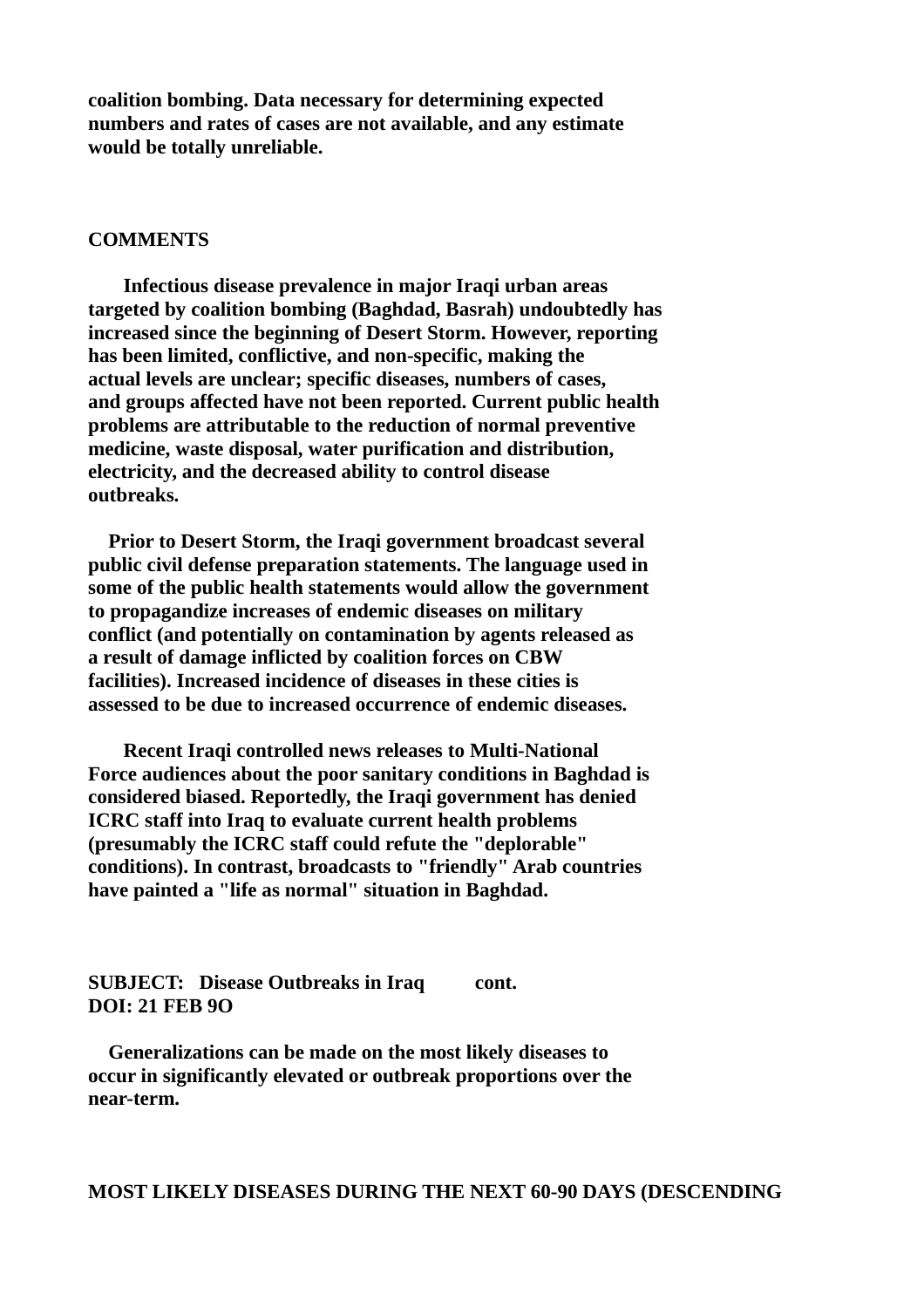**coalition bombing. Data necessary for determining expected numbers and rates of cases are not available, and any estimate would be totally unreliable.**

#### **COMMENTS**

 **Infectious disease prevalence in major Iraqi urban areas targeted by coalition bombing (Baghdad, Basrah) undoubtedly has increased since the beginning of Desert Storm. However, reporting has been limited, conflictive, and non-specific, making the actual levels are unclear; specific diseases, numbers of cases, and groups affected have not been reported. Current public health problems are attributable to the reduction of normal preventive medicine, waste disposal, water purification and distribution, electricity, and the decreased ability to control disease outbreaks.**

 **Prior to Desert Storm, the Iraqi government broadcast several public civil defense preparation statements. The language used in some of the public health statements would allow the government to propagandize increases of endemic diseases on military conflict (and potentially on contamination by agents released as a result of damage inflicted by coalition forces on CBW facilities). Increased incidence of diseases in these cities is assessed to be due to increased occurrence of endemic diseases.**

 **Recent Iraqi controlled news releases to Multi-National Force audiences about the poor sanitary conditions in Baghdad is considered biased. Reportedly, the Iraqi government has denied ICRC staff into Iraq to evaluate current health problems (presumably the ICRC staff could refute the "deplorable" conditions). In contrast, broadcasts to "friendly" Arab countries have painted a "life as normal" situation in Baghdad.**

**SUBJECT: Disease Outbreaks in Iraq cont. DOI: 21 FEB 9O**

 **Generalizations can be made on the most likely diseases to occur in significantly elevated or outbreak proportions over the near-term.**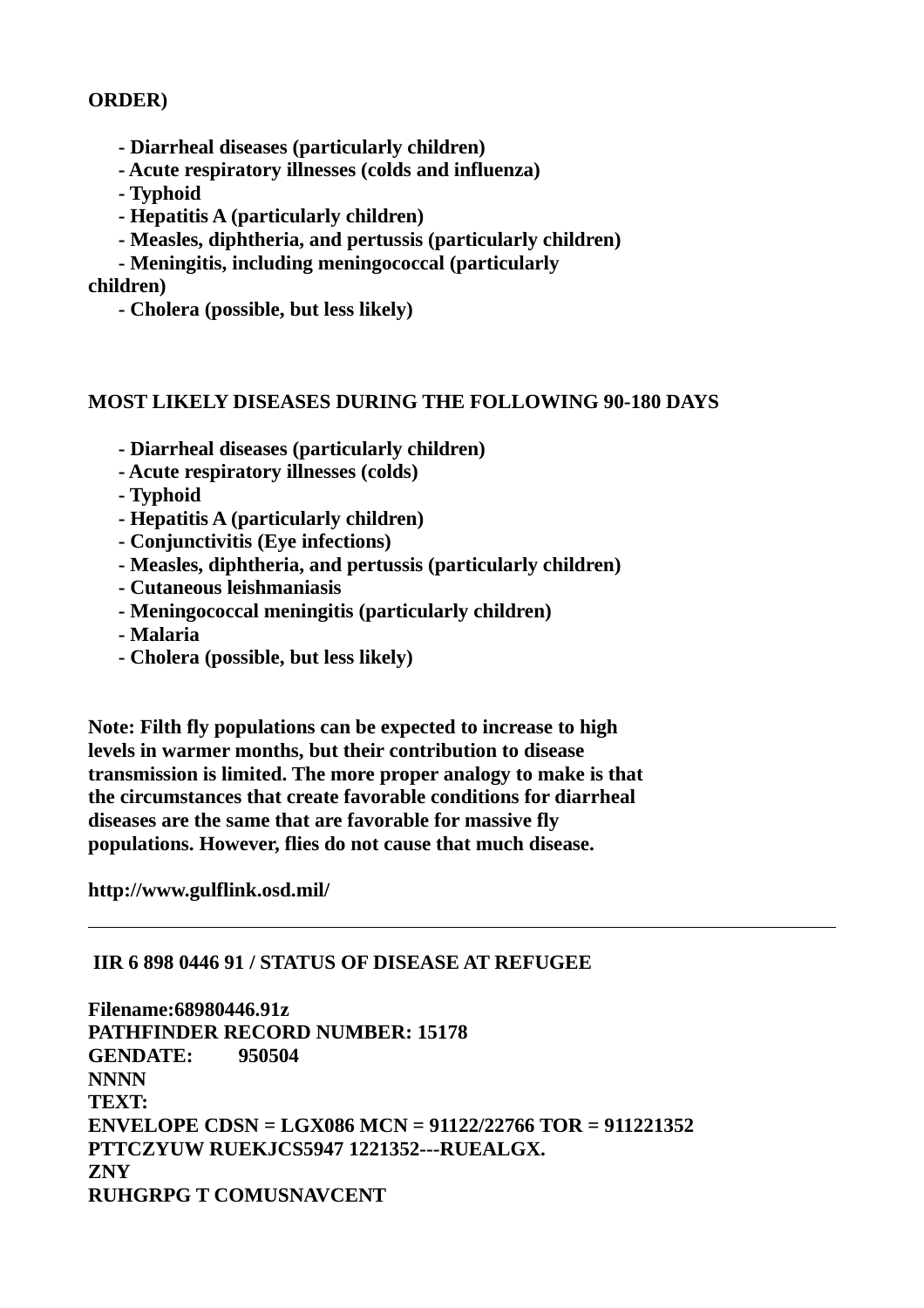## **ORDER)**

- **Diarrheal diseases (particularly children)**
- **Acute respiratory illnesses (colds and influenza)**
- **Typhoid**
- **Hepatitis A (particularly children)**
- **Measles, diphtheria, and pertussis (particularly children)**
- **Meningitis, including meningococcal (particularly**

**children)**

 **- Cholera (possible, but less likely)**

## **MOST LIKELY DISEASES DURING THE FOLLOWING 90-180 DAYS**

- **Diarrheal diseases (particularly children)**
- **Acute respiratory illnesses (colds)**
- **Typhoid**
- **Hepatitis A (particularly children)**
- **Conjunctivitis (Eye infections)**
- **Measles, diphtheria, and pertussis (particularly children)**
- **Cutaneous leishmaniasis**
- **Meningococcal meningitis (particularly children)**
- **Malaria**
- **Cholera (possible, but less likely)**

**Note: Filth fly populations can be expected to increase to high levels in warmer months, but their contribution to disease transmission is limited. The more proper analogy to make is that the circumstances that create favorable conditions for diarrheal diseases are the same that are favorable for massive fly populations. However, flies do not cause that much disease.**

**http://www.gulflink.osd.mil/**

# **IIR 6 898 0446 91 / STATUS OF DISEASE AT REFUGEE**

**Filename:68980446.91z PATHFINDER RECORD NUMBER: 15178 GENDATE: 950504 NNNN TEXT: ENVELOPE CDSN = LGX086 MCN = 91122/22766 TOR = 911221352 PTTCZYUW RUEKJCS5947 1221352---RUEALGX. ZNY RUHGRPG T COMUSNAVCENT**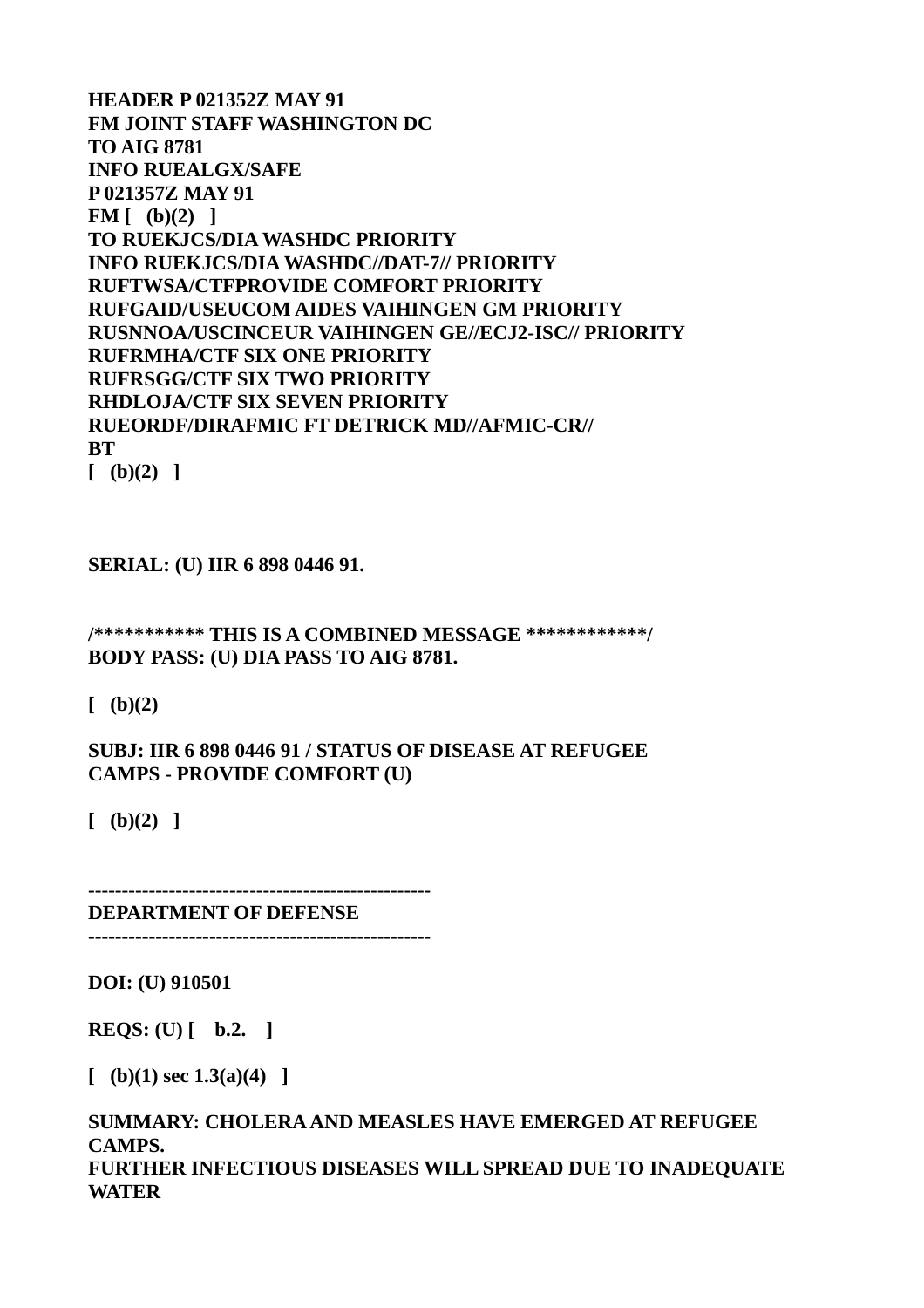**HEADER P 021352Z MAY 91 FM JOINT STAFF WASHINGTON DC TO AIG 8781 INFO RUEALGX/SAFE P 021357Z MAY 91 FM [ (b)(2) ] TO RUEKJCS/DIA WASHDC PRIORITY INFO RUEKJCS/DIA WASHDC//DAT-7// PRIORITY RUFTWSA/CTFPROVIDE COMFORT PRIORITY RUFGAID/USEUCOM AIDES VAIHINGEN GM PRIORITY RUSNNOA/USCINCEUR VAIHINGEN GE//ECJ2-ISC// PRIORITY RUFRMHA/CTF SIX ONE PRIORITY RUFRSGG/CTF SIX TWO PRIORITY RHDLOJA/CTF SIX SEVEN PRIORITY RUEORDF/DIRAFMIC FT DETRICK MD//AFMIC-CR// BT [ (b)(2) ]**

**SERIAL: (U) IIR 6 898 0446 91.**

**/\*\*\*\*\*\*\*\*\*\*\* THIS IS A COMBINED MESSAGE \*\*\*\*\*\*\*\*\*\*\*\*/ BODY PASS: (U) DIA PASS TO AIG 8781.**

**[ (b)(2)** 

**SUBJ: IIR 6 898 0446 91 / STATUS OF DISEASE AT REFUGEE CAMPS - PROVIDE COMFORT (U)**

**[ (b)(2) ]**

**---------------------------------------------------**

**DEPARTMENT OF DEFENSE ---------------------------------------------------**

**DOI: (U) 910501**

**REQS: (U) [ b.2. ]**

**[ (b)(1) sec 1.3(a)(4) ]**

**SUMMARY: CHOLERA AND MEASLES HAVE EMERGED AT REFUGEE CAMPS. FURTHER INFECTIOUS DISEASES WILL SPREAD DUE TO INADEQUATE WATER**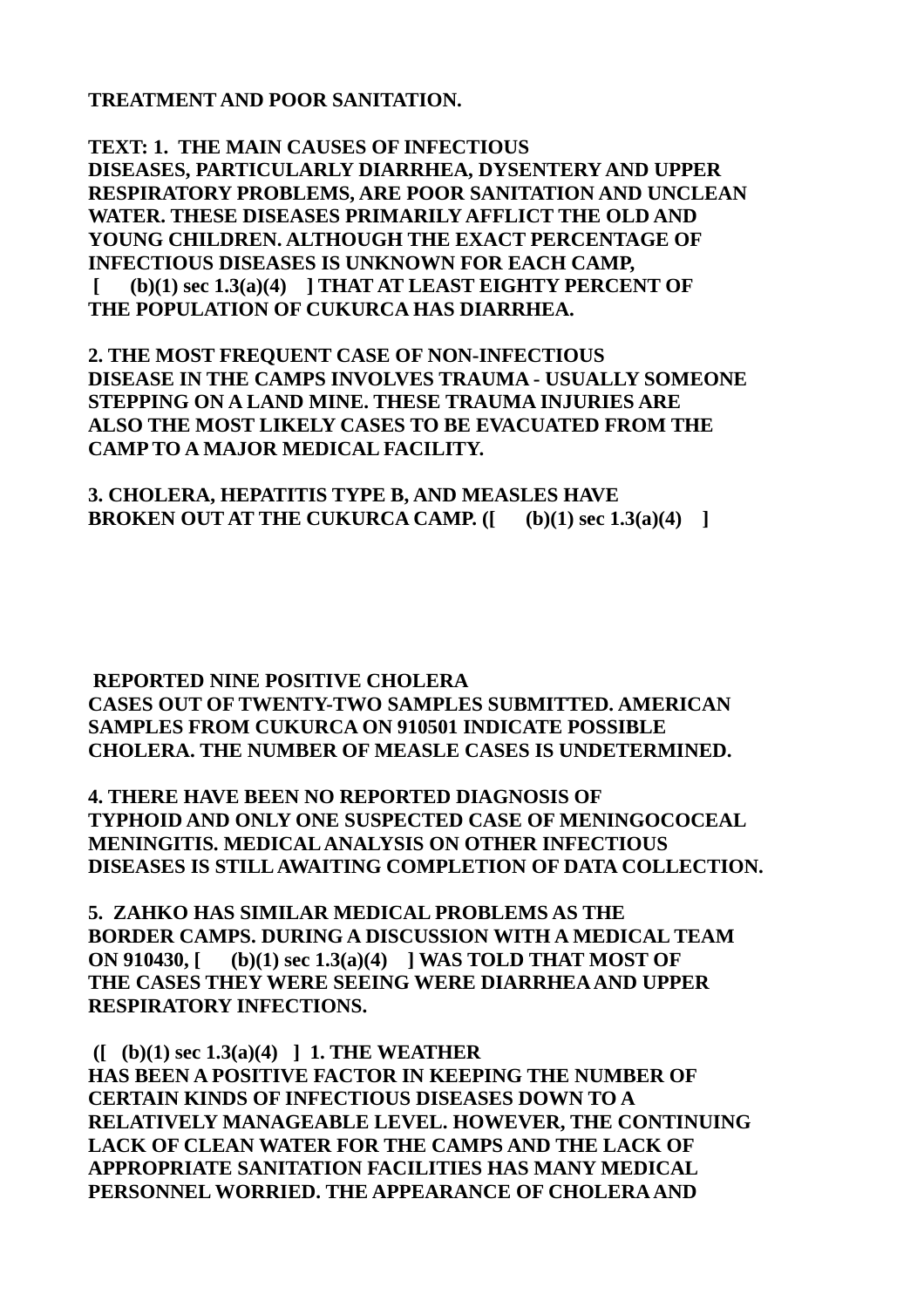**TREATMENT AND POOR SANITATION.**

**TEXT: 1. THE MAIN CAUSES OF INFECTIOUS DISEASES, PARTICULARLY DIARRHEA, DYSENTERY AND UPPER RESPIRATORY PROBLEMS, ARE POOR SANITATION AND UNCLEAN WATER. THESE DISEASES PRIMARILY AFFLICT THE OLD AND YOUNG CHILDREN. ALTHOUGH THE EXACT PERCENTAGE OF INFECTIOUS DISEASES IS UNKNOWN FOR EACH CAMP, [ (b)(1) sec 1.3(a)(4) ] THAT AT LEAST EIGHTY PERCENT OF THE POPULATION OF CUKURCA HAS DIARRHEA.**

**2. THE MOST FREQUENT CASE OF NON-INFECTIOUS DISEASE IN THE CAMPS INVOLVES TRAUMA - USUALLY SOMEONE STEPPING ON A LAND MINE. THESE TRAUMA INJURIES ARE ALSO THE MOST LIKELY CASES TO BE EVACUATED FROM THE CAMP TO A MAJOR MEDICAL FACILITY.**

**3. CHOLERA, HEPATITIS TYPE B, AND MEASLES HAVE BROKEN OUT AT THE CUKURCA CAMP. ([ (b)(1) sec 1.3(a)(4) ]** 

 **REPORTED NINE POSITIVE CHOLERA CASES OUT OF TWENTY-TWO SAMPLES SUBMITTED. AMERICAN SAMPLES FROM CUKURCA ON 910501 INDICATE POSSIBLE CHOLERA. THE NUMBER OF MEASLE CASES IS UNDETERMINED.**

**4. THERE HAVE BEEN NO REPORTED DIAGNOSIS OF TYPHOID AND ONLY ONE SUSPECTED CASE OF MENINGOCOCEAL MENINGITIS. MEDICAL ANALYSIS ON OTHER INFECTIOUS DISEASES IS STILL AWAITING COMPLETION OF DATA COLLECTION.**

**5. ZAHKO HAS SIMILAR MEDICAL PROBLEMS AS THE BORDER CAMPS. DURING A DISCUSSION WITH A MEDICAL TEAM ON 910430, [ (b)(1) sec 1.3(a)(4) ] WAS TOLD THAT MOST OF THE CASES THEY WERE SEEING WERE DIARRHEA AND UPPER RESPIRATORY INFECTIONS.**

 **([ (b)(1) sec 1.3(a)(4) ] 1. THE WEATHER HAS BEEN A POSITIVE FACTOR IN KEEPING THE NUMBER OF CERTAIN KINDS OF INFECTIOUS DISEASES DOWN TO A RELATIVELY MANAGEABLE LEVEL. HOWEVER, THE CONTINUING LACK OF CLEAN WATER FOR THE CAMPS AND THE LACK OF APPROPRIATE SANITATION FACILITIES HAS MANY MEDICAL PERSONNEL WORRIED. THE APPEARANCE OF CHOLERA AND**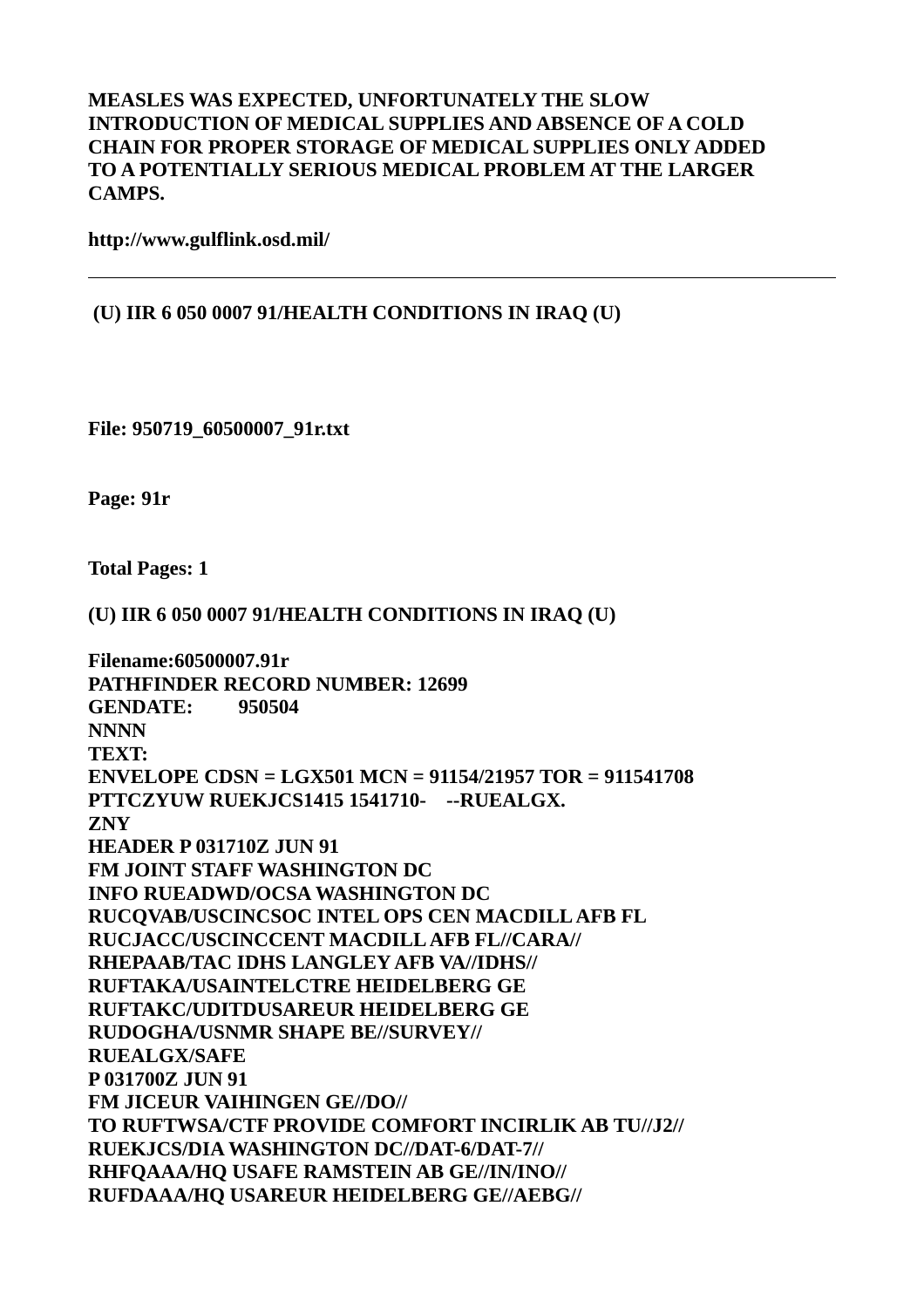**MEASLES WAS EXPECTED, UNFORTUNATELY THE SLOW INTRODUCTION OF MEDICAL SUPPLIES AND ABSENCE OF A COLD CHAIN FOR PROPER STORAGE OF MEDICAL SUPPLIES ONLY ADDED TO A POTENTIALLY SERIOUS MEDICAL PROBLEM AT THE LARGER CAMPS.**

**http://www.gulflink.osd.mil/**

## **(U) IIR 6 050 0007 91/HEALTH CONDITIONS IN IRAQ (U)**

**File: 950719\_60500007\_91r.txt**

**Page: 91r**

**Total Pages: 1**

**(U) IIR 6 050 0007 91/HEALTH CONDITIONS IN IRAQ (U)**

**Filename:60500007.91r PATHFINDER RECORD NUMBER: 12699 GENDATE: 950504 NNNN TEXT: ENVELOPE CDSN = LGX501 MCN = 91154/21957 TOR = 911541708 PTTCZYUW RUEKJCS1415 1541710- --RUEALGX. ZNY HEADER P 031710Z JUN 91 FM JOINT STAFF WASHINGTON DC INFO RUEADWD/OCSA WASHINGTON DC RUCQVAB/USCINCSOC INTEL OPS CEN MACDILL AFB FL RUCJACC/USCINCCENT MACDILL AFB FL//CARA// RHEPAAB/TAC IDHS LANGLEY AFB VA//IDHS// RUFTAKA/USAINTELCTRE HEIDELBERG GE RUFTAKC/UDITDUSAREUR HEIDELBERG GE RUDOGHA/USNMR SHAPE BE//SURVEY// RUEALGX/SAFE P 031700Z JUN 91 FM JICEUR VAIHINGEN GE//DO// TO RUFTWSA/CTF PROVIDE COMFORT INCIRLIK AB TU//J2// RUEKJCS/DIA WASHINGTON DC//DAT-6/DAT-7// RHFQAAA/HQ USAFE RAMSTEIN AB GE//IN/INO// RUFDAAA/HQ USAREUR HEIDELBERG GE//AEBG//**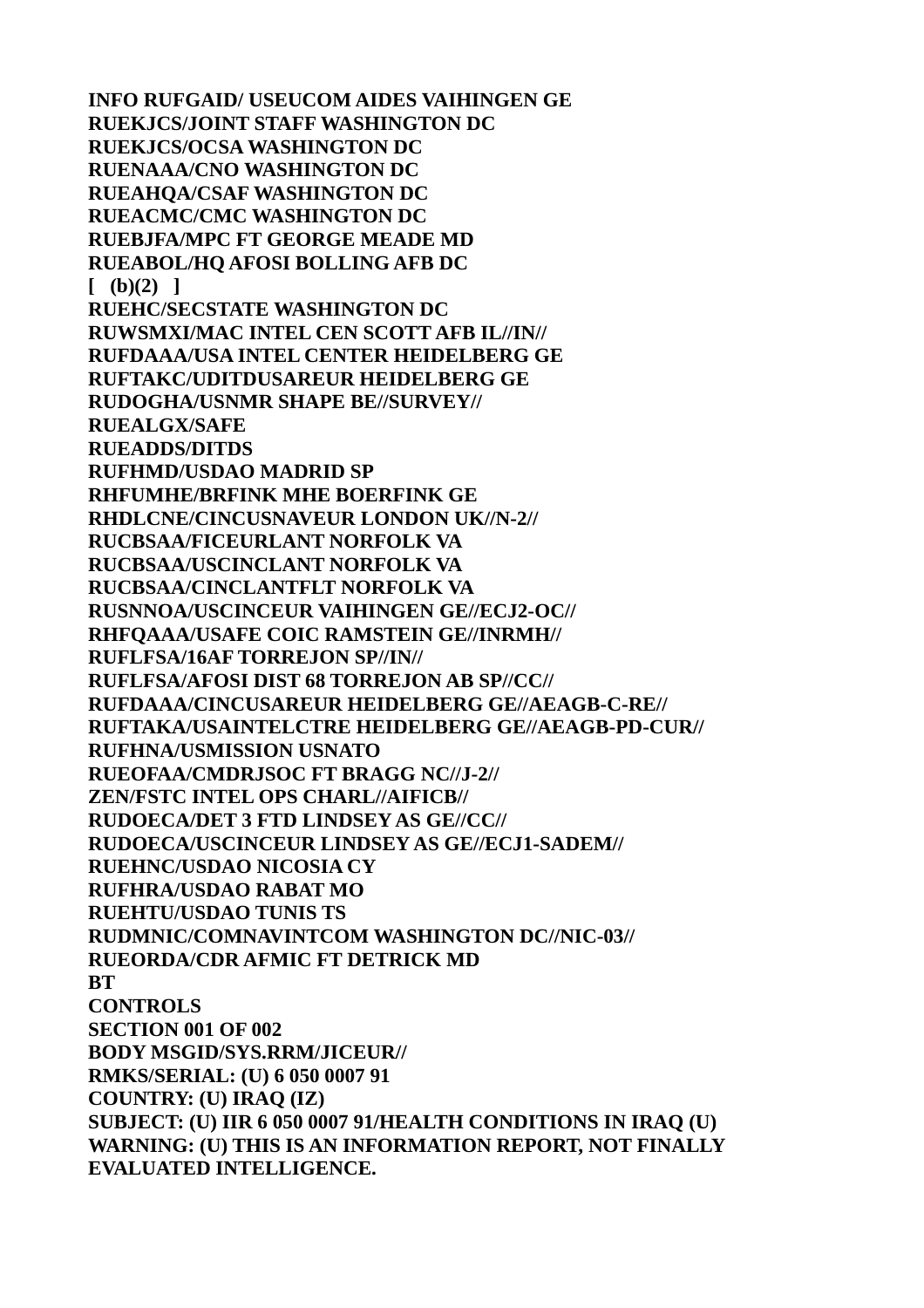**INFO RUFGAID/ USEUCOM AIDES VAIHINGEN GE RUEKJCS/JOINT STAFF WASHINGTON DC RUEKJCS/OCSA WASHINGTON DC RUENAAA/CNO WASHINGTON DC RUEAHQA/CSAF WASHINGTON DC RUEACMC/CMC WASHINGTON DC RUEBJFA/MPC FT GEORGE MEADE MD RUEABOL/HQ AFOSI BOLLING AFB DC [ (b)(2) ] RUEHC/SECSTATE WASHINGTON DC RUWSMXI/MAC INTEL CEN SCOTT AFB IL//IN// RUFDAAA/USA INTEL CENTER HEIDELBERG GE RUFTAKC/UDITDUSAREUR HEIDELBERG GE RUDOGHA/USNMR SHAPE BE//SURVEY// RUEALGX/SAFE RUEADDS/DITDS RUFHMD/USDAO MADRID SP RHFUMHE/BRFINK MHE BOERFINK GE RHDLCNE/CINCUSNAVEUR LONDON UK//N-2// RUCBSAA/FICEURLANT NORFOLK VA RUCBSAA/USCINCLANT NORFOLK VA RUCBSAA/CINCLANTFLT NORFOLK VA RUSNNOA/USCINCEUR VAIHINGEN GE//ECJ2-OC// RHFQAAA/USAFE COIC RAMSTEIN GE//INRMH// RUFLFSA/16AF TORREJON SP//IN// RUFLFSA/AFOSI DIST 68 TORREJON AB SP//CC// RUFDAAA/CINCUSAREUR HEIDELBERG GE//AEAGB-C-RE// RUFTAKA/USAINTELCTRE HEIDELBERG GE//AEAGB-PD-CUR// RUFHNA/USMISSION USNATO RUEOFAA/CMDRJSOC FT BRAGG NC//J-2// ZEN/FSTC INTEL OPS CHARL//AIFICB// RUDOECA/DET 3 FTD LINDSEY AS GE//CC// RUDOECA/USCINCEUR LINDSEY AS GE//ECJ1-SADEM// RUEHNC/USDAO NICOSIA CY RUFHRA/USDAO RABAT MO RUEHTU/USDAO TUNIS TS RUDMNIC/COMNAVINTCOM WASHINGTON DC//NIC-03// RUEORDA/CDR AFMIC FT DETRICK MD BT CONTROLS SECTION 001 OF 002 BODY MSGID/SYS.RRM/JICEUR// RMKS/SERIAL: (U) 6 050 0007 91 COUNTRY: (U) IRAQ (IZ) SUBJECT: (U) IIR 6 050 0007 91/HEALTH CONDITIONS IN IRAQ (U) WARNING: (U) THIS IS AN INFORMATION REPORT, NOT FINALLY EVALUATED INTELLIGENCE.**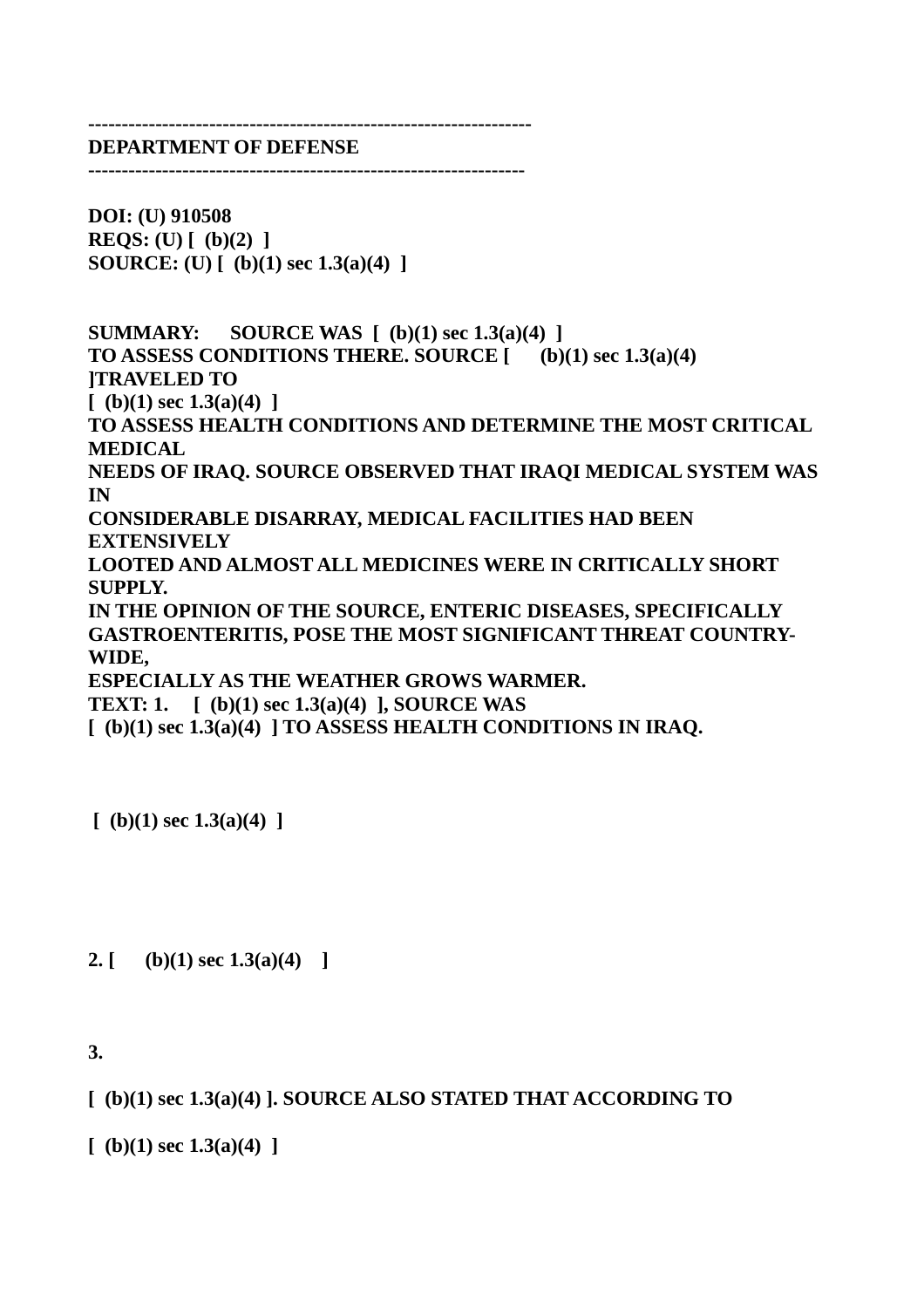**------------------------------------------------------------------**

**DEPARTMENT OF DEFENSE**

**-----------------------------------------------------------------**

**DOI: (U) 910508 REQS: (U) [ (b)(2) ] SOURCE: (U) [ (b)(1) sec 1.3(a)(4) ]**

**SUMMARY: SOURCE WAS [ (b)(1) sec 1.3(a)(4) ] TO ASSESS CONDITIONS THERE. SOURCE [ (b)(1) sec 1.3(a)(4) ]TRAVELED TO [ (b)(1) sec 1.3(a)(4) ] TO ASSESS HEALTH CONDITIONS AND DETERMINE THE MOST CRITICAL MEDICAL NEEDS OF IRAQ. SOURCE OBSERVED THAT IRAQI MEDICAL SYSTEM WAS IN CONSIDERABLE DISARRAY, MEDICAL FACILITIES HAD BEEN EXTENSIVELY LOOTED AND ALMOST ALL MEDICINES WERE IN CRITICALLY SHORT SUPPLY. IN THE OPINION OF THE SOURCE, ENTERIC DISEASES, SPECIFICALLY GASTROENTERITIS, POSE THE MOST SIGNIFICANT THREAT COUNTRY-WIDE, ESPECIALLY AS THE WEATHER GROWS WARMER. TEXT: 1. [ (b)(1) sec 1.3(a)(4) ], SOURCE WAS [ (b)(1) sec 1.3(a)(4) ] TO ASSESS HEALTH CONDITIONS IN IRAQ.**

 **[ (b)(1) sec 1.3(a)(4) ]**

**2. [ (b)(1) sec 1.3(a)(4) ]**

**3.** 

**[ (b)(1) sec 1.3(a)(4) ]. SOURCE ALSO STATED THAT ACCORDING TO** 

**[ (b)(1) sec 1.3(a)(4) ]**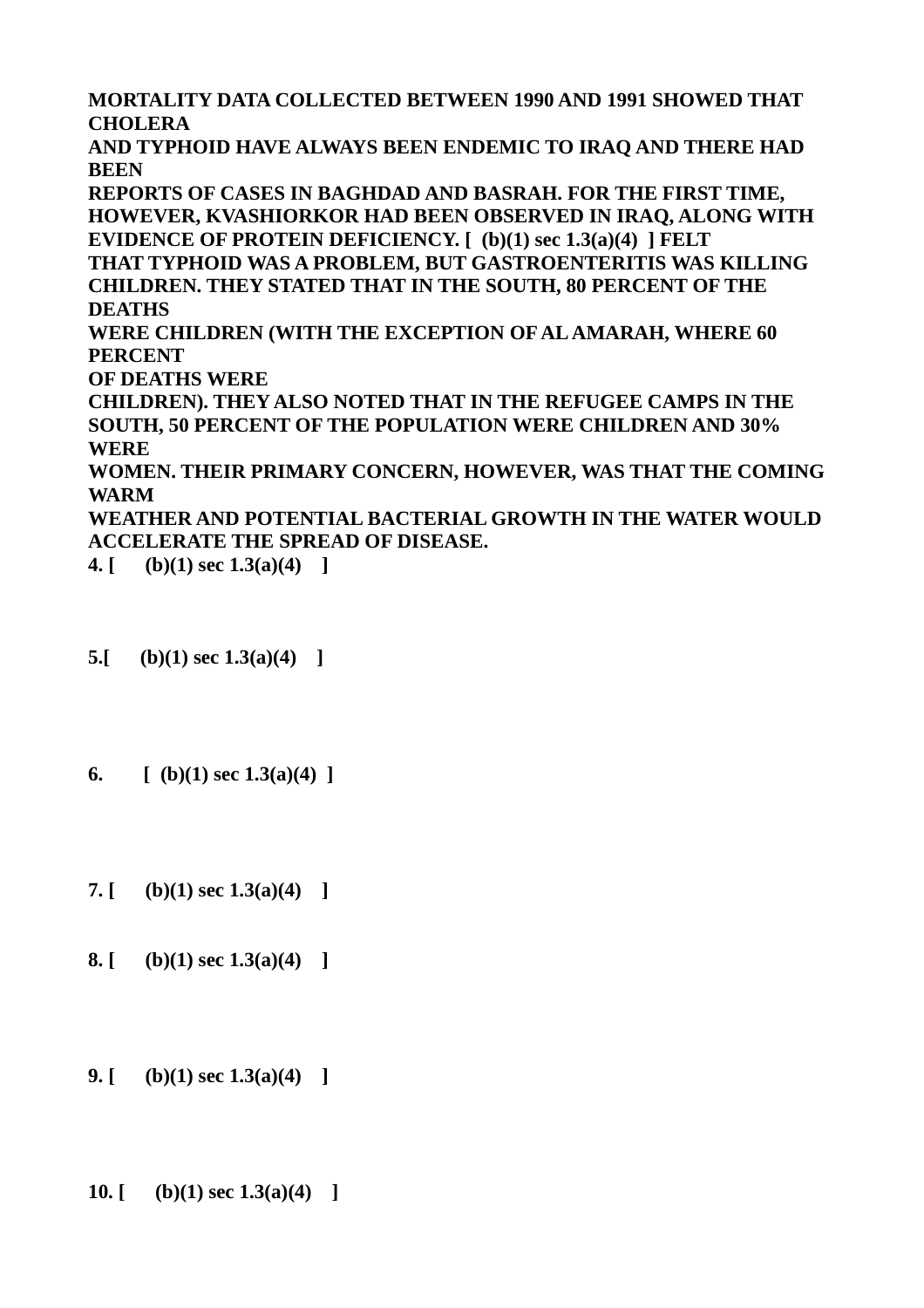**MORTALITY DATA COLLECTED BETWEEN 1990 AND 1991 SHOWED THAT CHOLERA** 

**AND TYPHOID HAVE ALWAYS BEEN ENDEMIC TO IRAQ AND THERE HAD BEEN** 

**REPORTS OF CASES IN BAGHDAD AND BASRAH. FOR THE FIRST TIME, HOWEVER, KVASHIORKOR HAD BEEN OBSERVED IN IRAQ, ALONG WITH EVIDENCE OF PROTEIN DEFICIENCY. [ (b)(1) sec 1.3(a)(4) ] FELT THAT TYPHOID WAS A PROBLEM, BUT GASTROENTERITIS WAS KILLING CHILDREN. THEY STATED THAT IN THE SOUTH, 80 PERCENT OF THE DEATHS WERE CHILDREN (WITH THE EXCEPTION OF AL AMARAH, WHERE 60 PERCENT OF DEATHS WERE**

**CHILDREN). THEY ALSO NOTED THAT IN THE REFUGEE CAMPS IN THE SOUTH, 50 PERCENT OF THE POPULATION WERE CHILDREN AND 30% WERE**

**WOMEN. THEIR PRIMARY CONCERN, HOWEVER, WAS THAT THE COMING WARM**

**WEATHER AND POTENTIAL BACTERIAL GROWTH IN THE WATER WOULD ACCELERATE THE SPREAD OF DISEASE.**

- **4. [ (b)(1) sec 1.3(a)(4) ]**
- **5.[ (b)(1) sec 1.3(a)(4) ]**
- **6. [ (b)(1) sec 1.3(a)(4) ]**
- **7. [ (b)(1) sec 1.3(a)(4) ]**
- **8. [ (b)(1) sec 1.3(a)(4) ]**
- **9. [ (b)(1) sec 1.3(a)(4) ]**
- **10. [ (b)(1) sec 1.3(a)(4) ]**